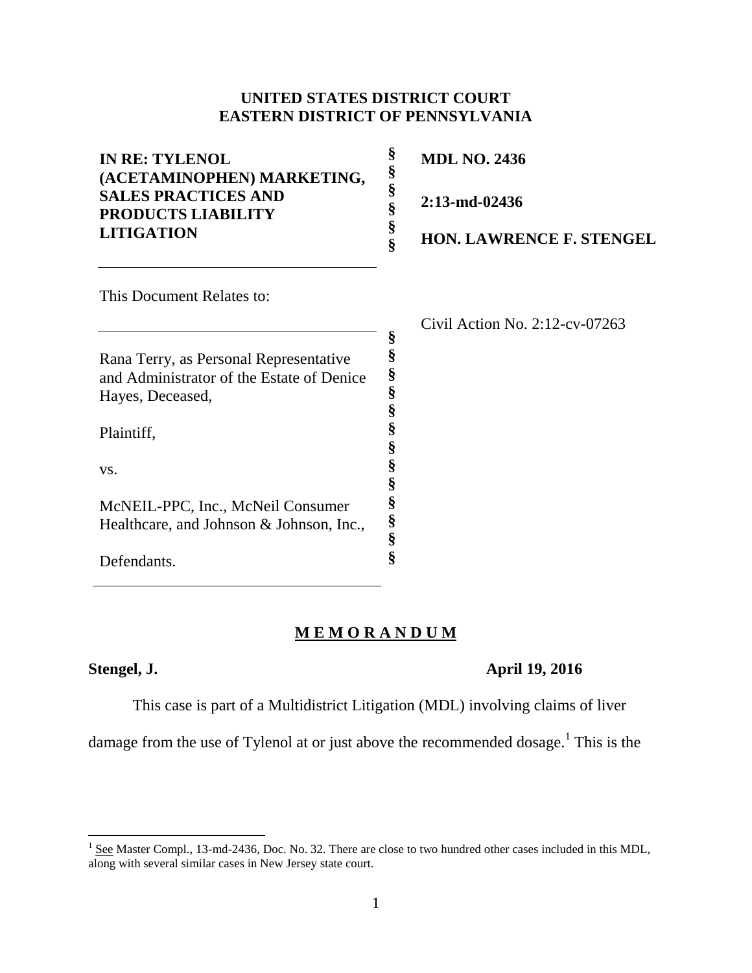### **UNITED STATES DISTRICT COURT EASTERN DISTRICT OF PENNSYLVANIA**

| <b>IN RE: TYLENOL</b><br>(ACETAMINOPHEN) MARKETING, | §<br><b>MDL NO. 2436</b><br>§             |
|-----------------------------------------------------|-------------------------------------------|
| <b>SALES PRACTICES AND</b><br>PRODUCTS LIABILITY    | §<br>2:13-md-02436<br>§                   |
| <b>LITIGATION</b>                                   | §<br><b>HON. LAWRENCE F. STENGEL</b><br>ş |
| This Document Relates to:                           |                                           |
|                                                     | Civil Action No. $2:12$ -cv-07263         |
|                                                     | §                                         |
| Rana Terry, as Personal Representative              | §                                         |
| and Administrator of the Estate of Denice           | §<br>§                                    |
| Hayes, Deceased,                                    | §                                         |
| Plaintiff,                                          | §<br>§                                    |
| VS.                                                 | §                                         |
|                                                     | §                                         |
| McNEIL-PPC, Inc., McNeil Consumer                   | §                                         |
| Healthcare, and Johnson & Johnson, Inc.,            | §<br>§                                    |
| Defendants                                          | Ş                                         |

### **M E M O R A N D U M**

Defendants.

### **Stengel, J. April 19, 2016**

This case is part of a Multidistrict Litigation (MDL) involving claims of liver

damage from the use of Tylenol at or just above the recommended dosage.<sup>1</sup> This is the

<sup>&</sup>lt;sup>1</sup> See Master Compl., 13-md-2436, Doc. No. 32. There are close to two hundred other cases included in this MDL, along with several similar cases in New Jersey state court.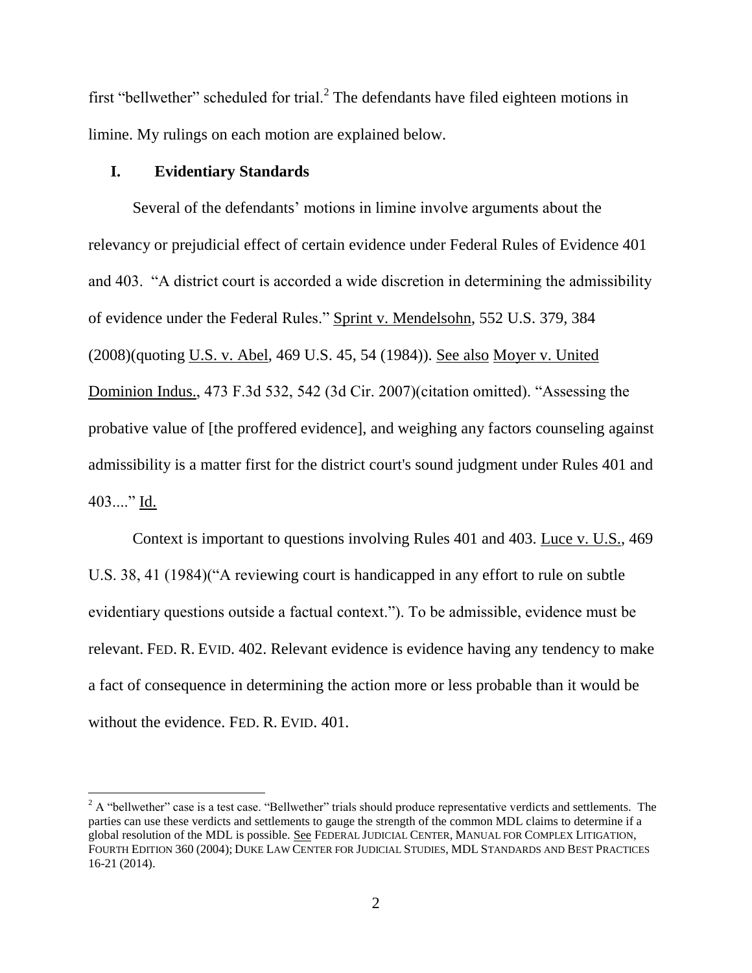first "bellwether" scheduled for trial. $2$  The defendants have filed eighteen motions in limine. My rulings on each motion are explained below.

### **I. Evidentiary Standards**

l

Several of the defendants' motions in limine involve arguments about the relevancy or prejudicial effect of certain evidence under Federal Rules of Evidence 401 and 403. "A district court is accorded a wide discretion in determining the admissibility of evidence under the Federal Rules." Sprint v. Mendelsohn, 552 U.S. 379, 384 (2008)(quoting U.S. v. Abel, 469 U.S. 45, 54 (1984)). See also Moyer v. United Dominion Indus., 473 F.3d 532, 542 (3d Cir. 2007)(citation omitted). "Assessing the probative value of [the proffered evidence], and weighing any factors counseling against admissibility is a matter first for the district court's sound judgment under Rules 401 and 403...." Id.

Context is important to questions involving Rules 401 and 403. Luce v. U.S., 469 U.S. 38, 41 (1984)("A reviewing court is handicapped in any effort to rule on subtle evidentiary questions outside a factual context."). To be admissible, evidence must be relevant. FED. R. EVID. 402. Relevant evidence is evidence having any tendency to make a fact of consequence in determining the action more or less probable than it would be without the evidence. FED. R. EVID. 401.

 $2$  A "bellwether" case is a test case. "Bellwether" trials should produce representative verdicts and settlements. The parties can use these verdicts and settlements to gauge the strength of the common MDL claims to determine if a global resolution of the MDL is possible. See FEDERAL JUDICIAL CENTER, MANUAL FOR COMPLEX LITIGATION, FOURTH EDITION 360 (2004); DUKE LAW CENTER FOR JUDICIAL STUDIES, MDL STANDARDS AND BEST PRACTICES 16-21 (2014).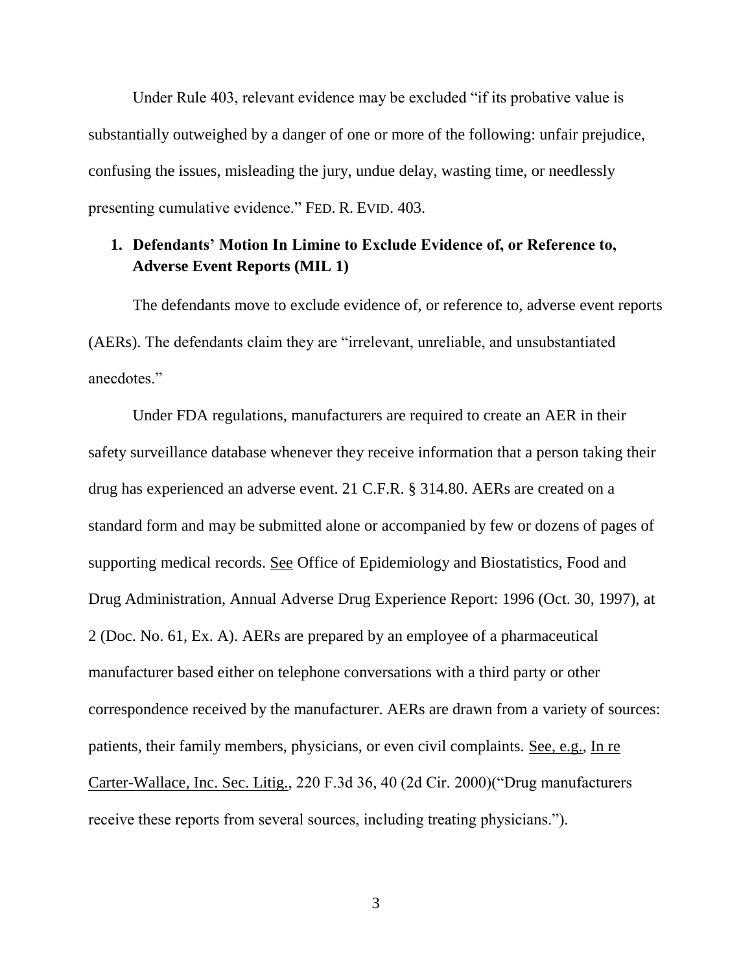Under Rule 403, relevant evidence may be excluded "if its probative value is substantially outweighed by a danger of one or more of the following: unfair prejudice, confusing the issues, misleading the jury, undue delay, wasting time, or needlessly presenting cumulative evidence." FED. R. EVID. 403.

### **1. Defendants' Motion In Limine to Exclude Evidence of, or Reference to, Adverse Event Reports (MIL 1)**

The defendants move to exclude evidence of, or reference to, adverse event reports (AERs). The defendants claim they are "irrelevant, unreliable, and unsubstantiated anecdotes."

Under FDA regulations, manufacturers are required to create an AER in their safety surveillance database whenever they receive information that a person taking their drug has experienced an adverse event. 21 C.F.R. § 314.80. AERs are created on a standard form and may be submitted alone or accompanied by few or dozens of pages of supporting medical records. See Office of Epidemiology and Biostatistics, Food and Drug Administration, Annual Adverse Drug Experience Report: 1996 (Oct. 30, 1997), at 2 (Doc. No. 61, Ex. A). AERs are prepared by an employee of a pharmaceutical manufacturer based either on telephone conversations with a third party or other correspondence received by the manufacturer. AERs are drawn from a variety of sources: patients, their family members, physicians, or even civil complaints. See, e.g., In re Carter-Wallace, Inc. Sec. Litig., 220 F.3d 36, 40 (2d Cir. 2000)("Drug manufacturers receive these reports from several sources, including treating physicians.").

3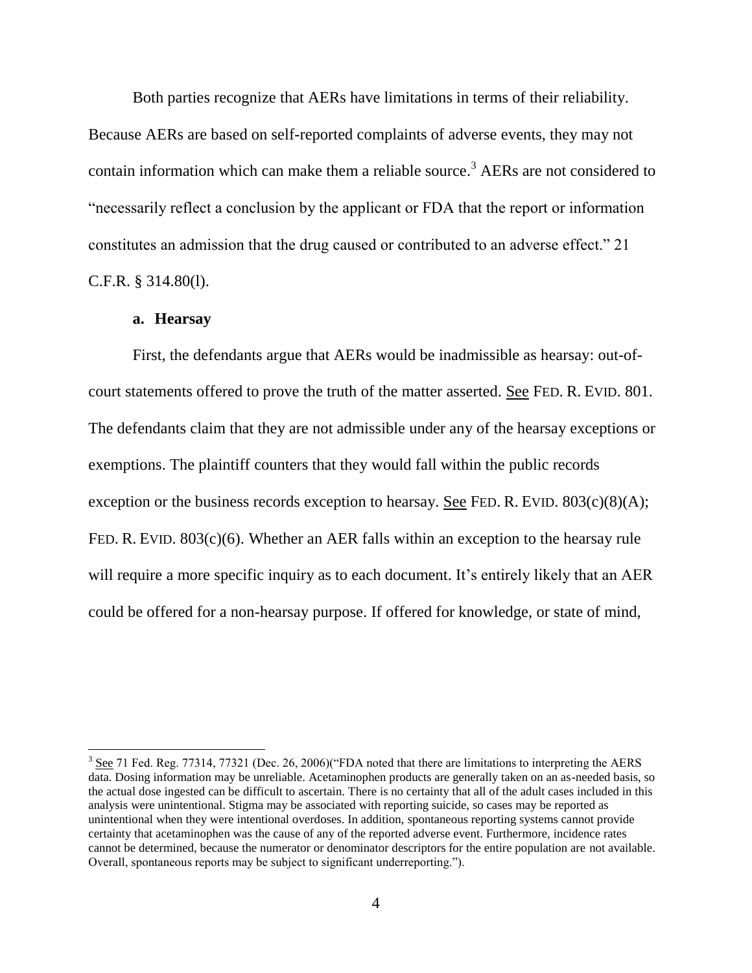Both parties recognize that AERs have limitations in terms of their reliability. Because AERs are based on self-reported complaints of adverse events, they may not contain information which can make them a reliable source.<sup>3</sup> AERs are not considered to "necessarily reflect a conclusion by the applicant or FDA that the report or information constitutes an admission that the drug caused or contributed to an adverse effect." 21 C.F.R. § 314.80(l).

### **a. Hearsay**

l

First, the defendants argue that AERs would be inadmissible as hearsay: out-ofcourt statements offered to prove the truth of the matter asserted. See FED. R. EVID. 801. The defendants claim that they are not admissible under any of the hearsay exceptions or exemptions. The plaintiff counters that they would fall within the public records exception or the business records exception to hearsay. See FED. R. EVID.  $803(c)(8)(A)$ ; FED. R. EVID. 803(c)(6). Whether an AER falls within an exception to the hearsay rule will require a more specific inquiry as to each document. It's entirely likely that an AER could be offered for a non-hearsay purpose. If offered for knowledge, or state of mind,

 $3$  See 71 Fed. Reg. 77314, 77321 (Dec. 26, 2006)("FDA noted that there are limitations to interpreting the AERS data. Dosing information may be unreliable. Acetaminophen products are generally taken on an as-needed basis, so the actual dose ingested can be difficult to ascertain. There is no certainty that all of the adult cases included in this analysis were unintentional. Stigma may be associated with reporting suicide, so cases may be reported as unintentional when they were intentional overdoses. In addition, spontaneous reporting systems cannot provide certainty that acetaminophen was the cause of any of the reported adverse event. Furthermore, incidence rates cannot be determined, because the numerator or denominator descriptors for the entire population are not available. Overall, spontaneous reports may be subject to significant underreporting.").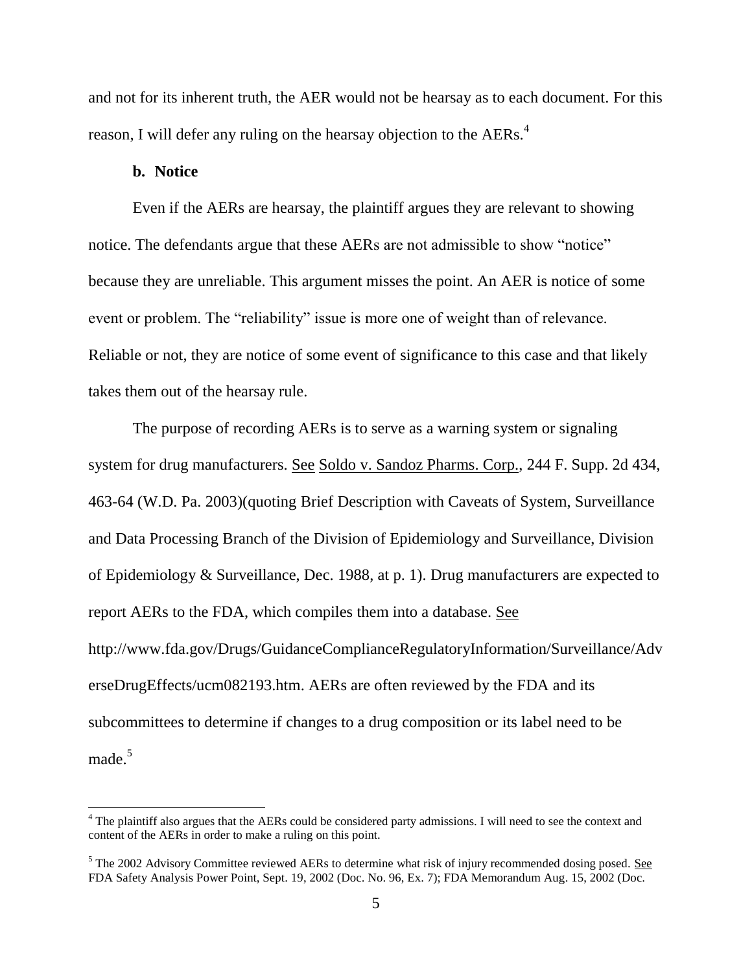and not for its inherent truth, the AER would not be hearsay as to each document. For this reason, I will defer any ruling on the hearsay objection to the AERs.<sup>4</sup>

### **b. Notice**

 $\overline{a}$ 

Even if the AERs are hearsay, the plaintiff argues they are relevant to showing notice. The defendants argue that these AERs are not admissible to show "notice" because they are unreliable. This argument misses the point. An AER is notice of some event or problem. The "reliability" issue is more one of weight than of relevance. Reliable or not, they are notice of some event of significance to this case and that likely takes them out of the hearsay rule.

The purpose of recording AERs is to serve as a warning system or signaling system for drug manufacturers. See Soldo v. Sandoz Pharms. Corp., 244 F. Supp. 2d 434, 463-64 (W.D. Pa. 2003)(quoting Brief Description with Caveats of System, Surveillance and Data Processing Branch of the Division of Epidemiology and Surveillance, Division of Epidemiology & Surveillance, Dec. 1988, at p. 1). Drug manufacturers are expected to report AERs to the FDA, which compiles them into a database. See http://www.fda.gov/Drugs/GuidanceComplianceRegulatoryInformation/Surveillance/Adv erseDrugEffects/ucm082193.htm. AERs are often reviewed by the FDA and its subcommittees to determine if changes to a drug composition or its label need to be made.<sup>5</sup>

 $4$  The plaintiff also argues that the AERs could be considered party admissions. I will need to see the context and content of the AERs in order to make a ruling on this point.

 $<sup>5</sup>$  The 2002 Advisory Committee reviewed AERs to determine what risk of injury recommended dosing posed. See</sup> FDA Safety Analysis Power Point, Sept. 19, 2002 (Doc. No. 96, Ex. 7); FDA Memorandum Aug. 15, 2002 (Doc.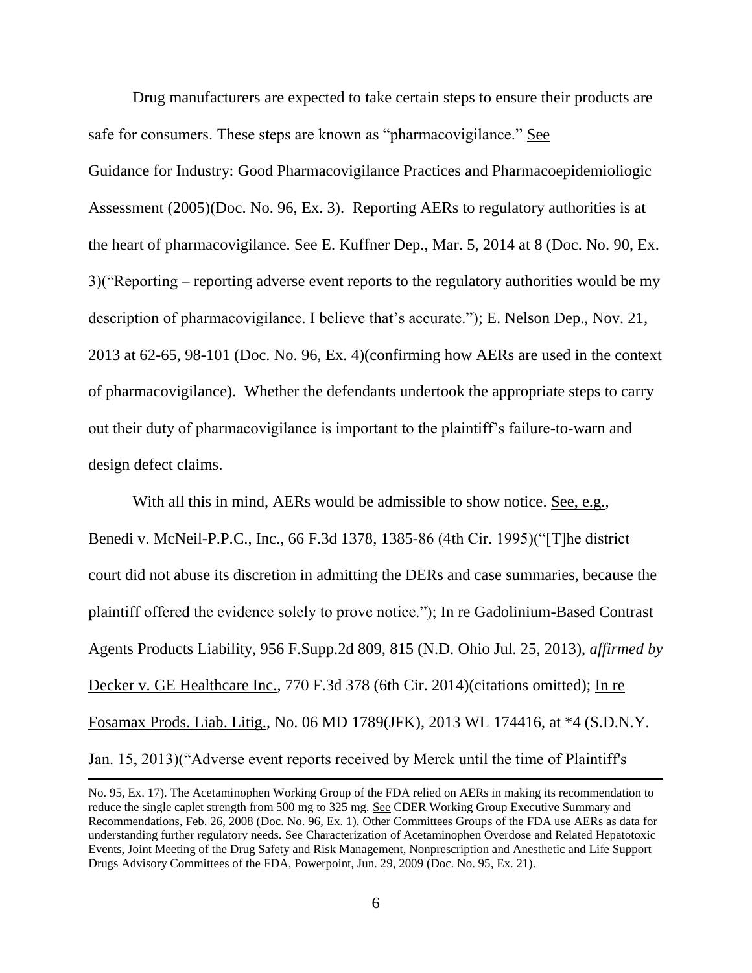Drug manufacturers are expected to take certain steps to ensure their products are safe for consumers. These steps are known as "pharmacovigilance." See Guidance for Industry: Good Pharmacovigilance Practices and Pharmacoepidemioliogic Assessment (2005)(Doc. No. 96, Ex. 3). Reporting AERs to regulatory authorities is at the heart of pharmacovigilance. See E. Kuffner Dep., Mar. 5, 2014 at 8 (Doc. No. 90, Ex. 3)("Reporting – reporting adverse event reports to the regulatory authorities would be my description of pharmacovigilance. I believe that's accurate."); E. Nelson Dep., Nov. 21, 2013 at 62-65, 98-101 (Doc. No. 96, Ex. 4)(confirming how AERs are used in the context of pharmacovigilance). Whether the defendants undertook the appropriate steps to carry out their duty of pharmacovigilance is important to the plaintiff's failure-to-warn and design defect claims.

With all this in mind, AERs would be admissible to show notice. See, e.g., Benedi v. McNeil-P.P.C., Inc., 66 F.3d 1378, 1385-86 (4th Cir. 1995)("[T]he district court did not abuse its discretion in admitting the DERs and case summaries, because the plaintiff offered the evidence solely to prove notice."); In re Gadolinium-Based Contrast Agents Products Liability, 956 F.Supp.2d 809, 815 (N.D. Ohio Jul. 25, 2013), *affirmed by* Decker v. GE Healthcare Inc., 770 F.3d 378 (6th Cir. 2014) (citations omitted); In re Fosamax Prods. Liab. Litig., No. 06 MD 1789(JFK), 2013 WL 174416, at \*4 (S.D.N.Y. Jan. 15, 2013)("Adverse event reports received by Merck until the time of Plaintiff's

No. 95, Ex. 17). The Acetaminophen Working Group of the FDA relied on AERs in making its recommendation to reduce the single caplet strength from 500 mg to 325 mg. See CDER Working Group Executive Summary and Recommendations, Feb. 26, 2008 (Doc. No. 96, Ex. 1). Other Committees Groups of the FDA use AERs as data for understanding further regulatory needs. See Characterization of Acetaminophen Overdose and Related Hepatotoxic Events, Joint Meeting of the Drug Safety and Risk Management, Nonprescription and Anesthetic and Life Support Drugs Advisory Committees of the FDA, Powerpoint, Jun. 29, 2009 (Doc. No. 95, Ex. 21).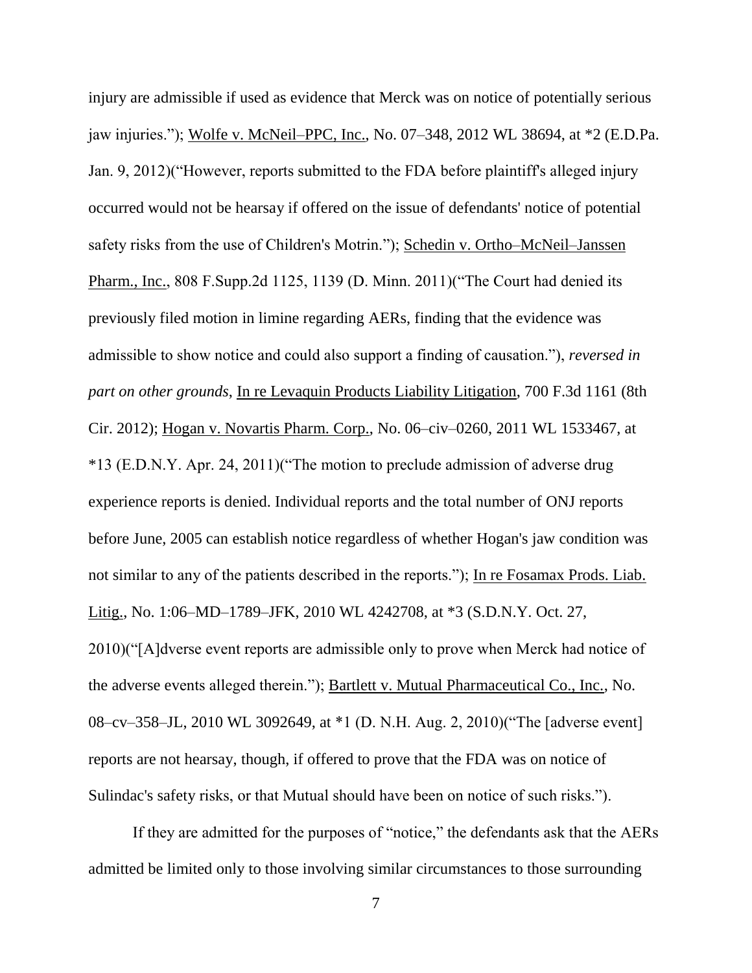injury are admissible if used as evidence that Merck was on notice of potentially serious jaw injuries."); Wolfe v. McNeil–PPC, Inc., No. 07–348, 2012 WL 38694, at \*2 (E.D.Pa. Jan. 9, 2012)("However, reports submitted to the FDA before plaintiff's alleged injury occurred would not be hearsay if offered on the issue of defendants' notice of potential safety risks from the use of Children's Motrin."); Schedin v. Ortho–McNeil–Janssen Pharm., Inc., 808 F.Supp.2d 1125, 1139 (D. Minn. 2011)("The Court had denied its previously filed motion in limine regarding AERs, finding that the evidence was admissible to show notice and could also support a finding of causation."), *reversed in part on other grounds*, In re Levaquin Products Liability Litigation, 700 F.3d 1161 (8th Cir. 2012); Hogan v. Novartis Pharm. Corp., No. 06–civ–0260, 2011 WL 1533467, at \*13 (E.D.N.Y. Apr. 24, 2011)("The motion to preclude admission of adverse drug experience reports is denied. Individual reports and the total number of ONJ reports before June, 2005 can establish notice regardless of whether Hogan's jaw condition was not similar to any of the patients described in the reports."); In re Fosamax Prods. Liab. Litig., No. 1:06–MD–1789–JFK, 2010 WL 4242708, at \*3 (S.D.N.Y. Oct. 27, 2010)("[A]dverse event reports are admissible only to prove when Merck had notice of the adverse events alleged therein."); Bartlett v. Mutual Pharmaceutical Co., Inc., No. 08–cv–358–JL, 2010 WL 3092649, at \*1 (D. N.H. Aug. 2, 2010)("The [adverse event] reports are not hearsay, though, if offered to prove that the FDA was on notice of Sulindac's safety risks, or that Mutual should have been on notice of such risks.").

If they are admitted for the purposes of "notice," the defendants ask that the AERs admitted be limited only to those involving similar circumstances to those surrounding

7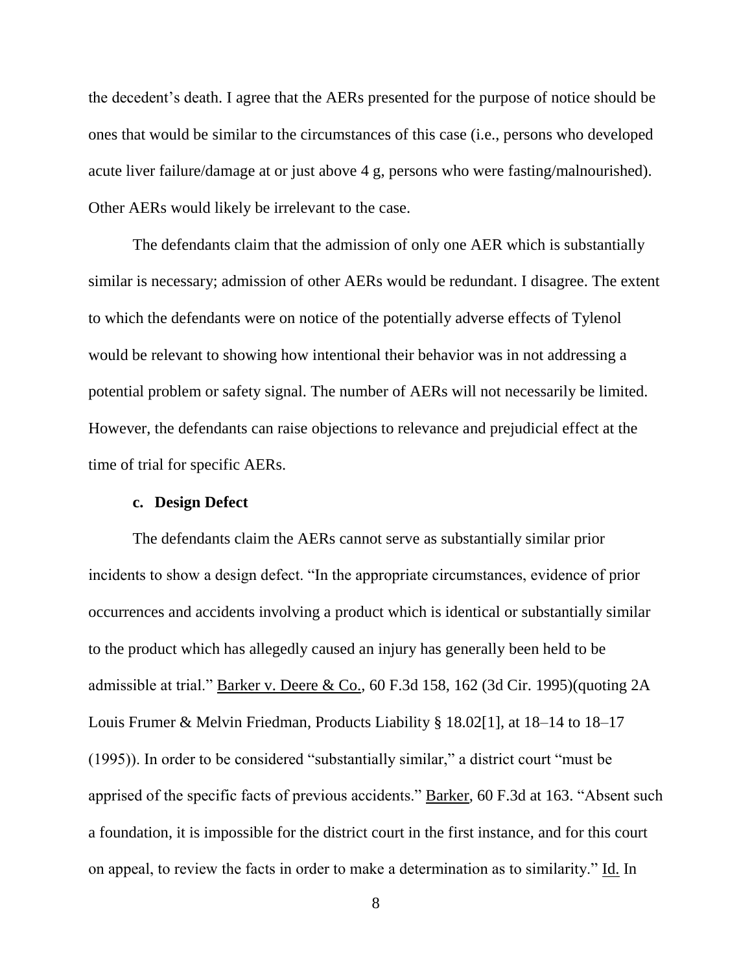the decedent's death. I agree that the AERs presented for the purpose of notice should be ones that would be similar to the circumstances of this case (i.e., persons who developed acute liver failure/damage at or just above 4 g, persons who were fasting/malnourished). Other AERs would likely be irrelevant to the case.

The defendants claim that the admission of only one AER which is substantially similar is necessary; admission of other AERs would be redundant. I disagree. The extent to which the defendants were on notice of the potentially adverse effects of Tylenol would be relevant to showing how intentional their behavior was in not addressing a potential problem or safety signal. The number of AERs will not necessarily be limited. However, the defendants can raise objections to relevance and prejudicial effect at the time of trial for specific AERs.

#### **c. Design Defect**

The defendants claim the AERs cannot serve as substantially similar prior incidents to show a design defect. "In the appropriate circumstances, evidence of prior occurrences and accidents involving a product which is identical or substantially similar to the product which has allegedly caused an injury has generally been held to be admissible at trial." Barker v. Deere & Co., 60 F.3d 158, 162 (3d Cir. 1995)(quoting 2A Louis Frumer & Melvin Friedman, Products Liability § 18.02[1], at 18–14 to 18–17 (1995)). In order to be considered "substantially similar," a district court "must be apprised of the specific facts of previous accidents." Barker, 60 F.3d at 163. "Absent such a foundation, it is impossible for the district court in the first instance, and for this court on appeal, to review the facts in order to make a determination as to similarity." Id. In

8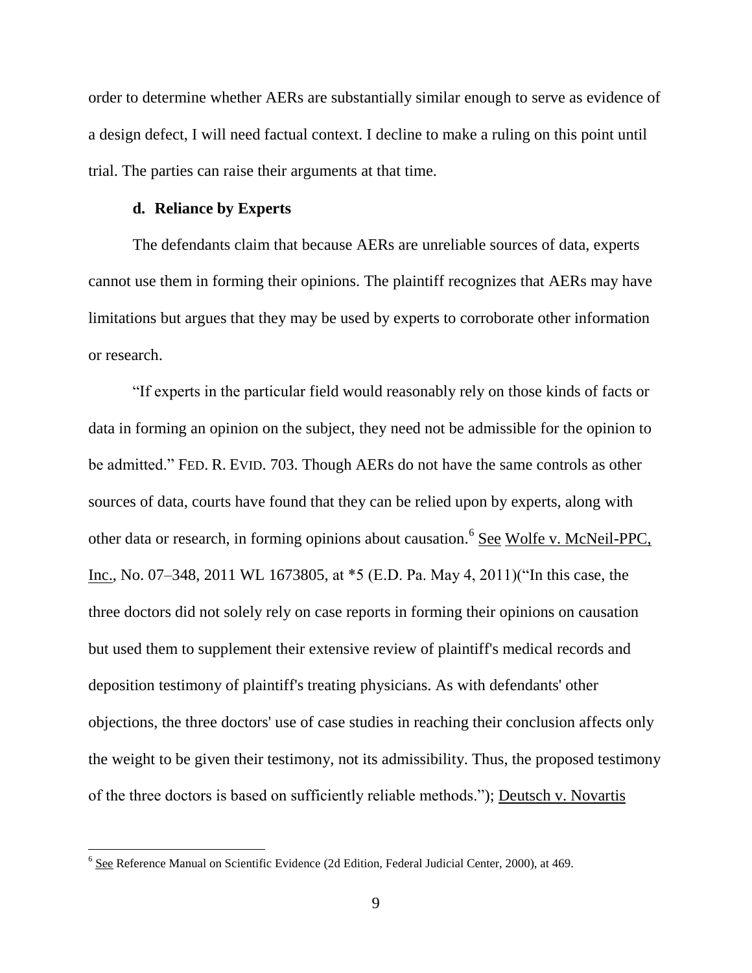order to determine whether AERs are substantially similar enough to serve as evidence of a design defect, I will need factual context. I decline to make a ruling on this point until trial. The parties can raise their arguments at that time.

#### **d. Reliance by Experts**

The defendants claim that because AERs are unreliable sources of data, experts cannot use them in forming their opinions. The plaintiff recognizes that AERs may have limitations but argues that they may be used by experts to corroborate other information or research.

"If experts in the particular field would reasonably rely on those kinds of facts or data in forming an opinion on the subject, they need not be admissible for the opinion to be admitted." FED. R. EVID. 703. Though AERs do not have the same controls as other sources of data, courts have found that they can be relied upon by experts, along with other data or research, in forming opinions about causation.<sup>6</sup> See Wolfe v. McNeil-PPC, Inc., No. 07–348, 2011 WL 1673805, at \*5 (E.D. Pa. May 4, 2011)("In this case, the three doctors did not solely rely on case reports in forming their opinions on causation but used them to supplement their extensive review of plaintiff's medical records and deposition testimony of plaintiff's treating physicians. As with defendants' other objections, the three doctors' use of case studies in reaching their conclusion affects only the weight to be given their testimony, not its admissibility. Thus, the proposed testimony of the three doctors is based on sufficiently reliable methods."); Deutsch v. Novartis

<sup>&</sup>lt;sup>6</sup> See Reference Manual on Scientific Evidence (2d Edition, Federal Judicial Center, 2000), at 469.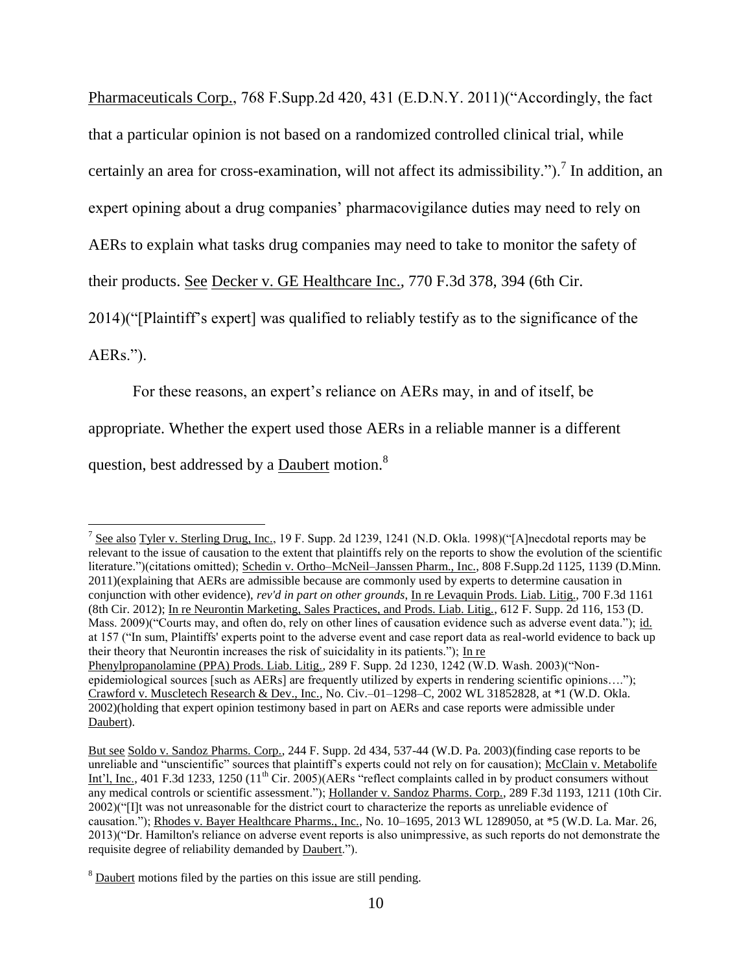Pharmaceuticals Corp., 768 F.Supp.2d 420, 431 (E.D.N.Y. 2011)("Accordingly, the fact that a particular opinion is not based on a randomized controlled clinical trial, while certainly an area for cross-examination, will not affect its admissibility.").<sup>7</sup> In addition, an expert opining about a drug companies' pharmacovigilance duties may need to rely on AERs to explain what tasks drug companies may need to take to monitor the safety of their products. See Decker v. GE Healthcare Inc., 770 F.3d 378, 394 (6th Cir.

2014)("[Plaintiff's expert] was qualified to reliably testify as to the significance of the

AERs.").

 $\overline{\phantom{a}}$ 

For these reasons, an expert's reliance on AERs may, in and of itself, be

appropriate. Whether the expert used those AERs in a reliable manner is a different

question, best addressed by a Daubert motion.<sup>8</sup>

<sup>&</sup>lt;sup>7</sup> See also Tyler v. Sterling Drug, Inc., 19 F. Supp. 2d 1239, 1241 (N.D. Okla. 1998)("[A]necdotal reports may be relevant to the issue of causation to the extent that plaintiffs rely on the reports to show the evolution of the scientific literature.")(citations omitted); Schedin v. Ortho–McNeil–Janssen Pharm., Inc., 808 F.Supp.2d 1125, 1139 (D.Minn. 2011)(explaining that AERs are admissible because are commonly used by experts to determine causation in conjunction with other evidence), *rev'd in part on other grounds*, In re Levaquin Prods. Liab. Litig., 700 F.3d 1161 (8th Cir. 2012); In re Neurontin Marketing, Sales Practices, and Prods. Liab. Litig., 612 F. Supp. 2d 116, 153 (D. Mass. 2009)("Courts may, and often do, rely on other lines of causation evidence such as adverse event data."); id. at 157 ("In sum, Plaintiffs' experts point to the adverse event and case report data as real-world evidence to back up their theory that Neurontin increases the risk of suicidality in its patients."); In re Phenylpropanolamine (PPA) Prods. Liab. Litig., 289 F. Supp. 2d 1230, 1242 (W.D. Wash. 2003)("Nonepidemiological sources [such as AERs] are frequently utilized by experts in rendering scientific opinions…."); Crawford v. Muscletech Research & Dev., Inc., No. Civ.–01–1298–C, 2002 WL 31852828, at \*1 (W.D. Okla. 2002)(holding that expert opinion testimony based in part on AERs and case reports were admissible under Daubert).

But see Soldo v. Sandoz Pharms. Corp., 244 F. Supp. 2d 434, 537-44 (W.D. Pa. 2003)(finding case reports to be unreliable and "unscientific" sources that plaintiff's experts could not rely on for causation); McClain v. Metabolife Int'l, Inc., 401 F.3d 1233, 1250 (11<sup>th</sup> Cir. 2005)(AERs "reflect complaints called in by product consumers without any medical controls or scientific assessment."); Hollander v. Sandoz Pharms. Corp., 289 F.3d 1193, 1211 (10th Cir. 2002)("[I]t was not unreasonable for the district court to characterize the reports as unreliable evidence of causation."); Rhodes v. Bayer Healthcare Pharms., Inc., No. 10–1695, 2013 WL 1289050, at \*5 (W.D. La. Mar. 26, 2013)("Dr. Hamilton's reliance on adverse event reports is also unimpressive, as such reports do not demonstrate the requisite degree of reliability demanded by Daubert.").

<sup>&</sup>lt;sup>8</sup> Daubert motions filed by the parties on this issue are still pending.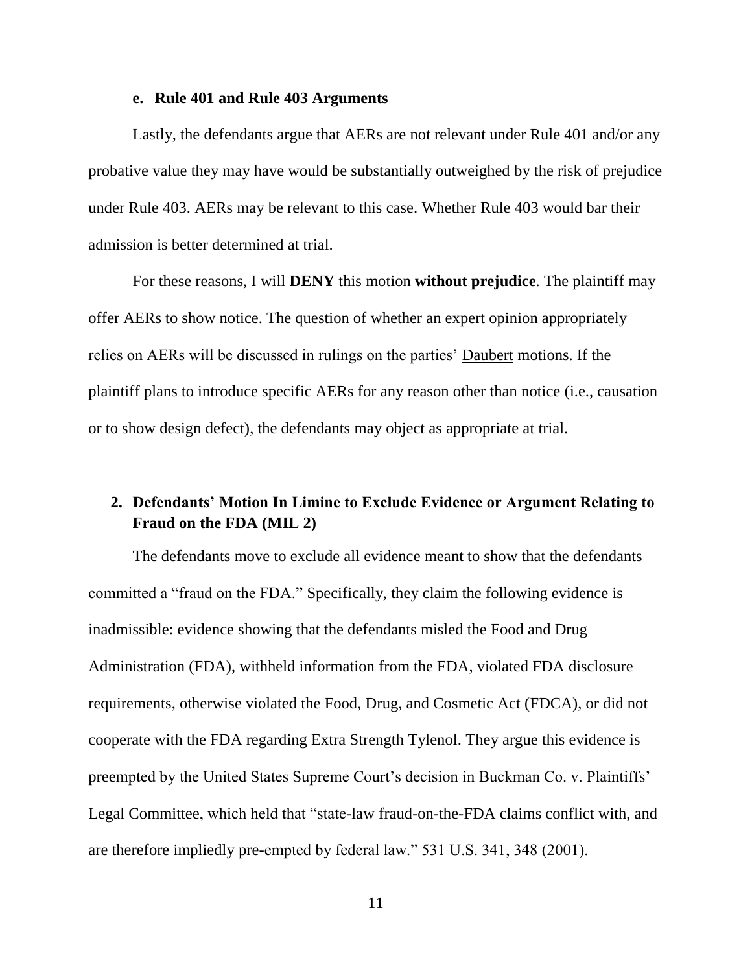#### **e. Rule 401 and Rule 403 Arguments**

Lastly, the defendants argue that AERs are not relevant under Rule 401 and/or any probative value they may have would be substantially outweighed by the risk of prejudice under Rule 403. AERs may be relevant to this case. Whether Rule 403 would bar their admission is better determined at trial.

For these reasons, I will **DENY** this motion **without prejudice**. The plaintiff may offer AERs to show notice. The question of whether an expert opinion appropriately relies on AERs will be discussed in rulings on the parties' Daubert motions. If the plaintiff plans to introduce specific AERs for any reason other than notice (i.e., causation or to show design defect), the defendants may object as appropriate at trial.

# **2. Defendants' Motion In Limine to Exclude Evidence or Argument Relating to Fraud on the FDA (MIL 2)**

The defendants move to exclude all evidence meant to show that the defendants committed a "fraud on the FDA." Specifically, they claim the following evidence is inadmissible: evidence showing that the defendants misled the Food and Drug Administration (FDA), withheld information from the FDA, violated FDA disclosure requirements, otherwise violated the Food, Drug, and Cosmetic Act (FDCA), or did not cooperate with the FDA regarding Extra Strength Tylenol. They argue this evidence is preempted by the United States Supreme Court's decision in Buckman Co. v. Plaintiffs' Legal Committee, which held that "state-law fraud-on-the-FDA claims conflict with, and are therefore impliedly pre-empted by federal law." 531 U.S. 341, 348 (2001).

11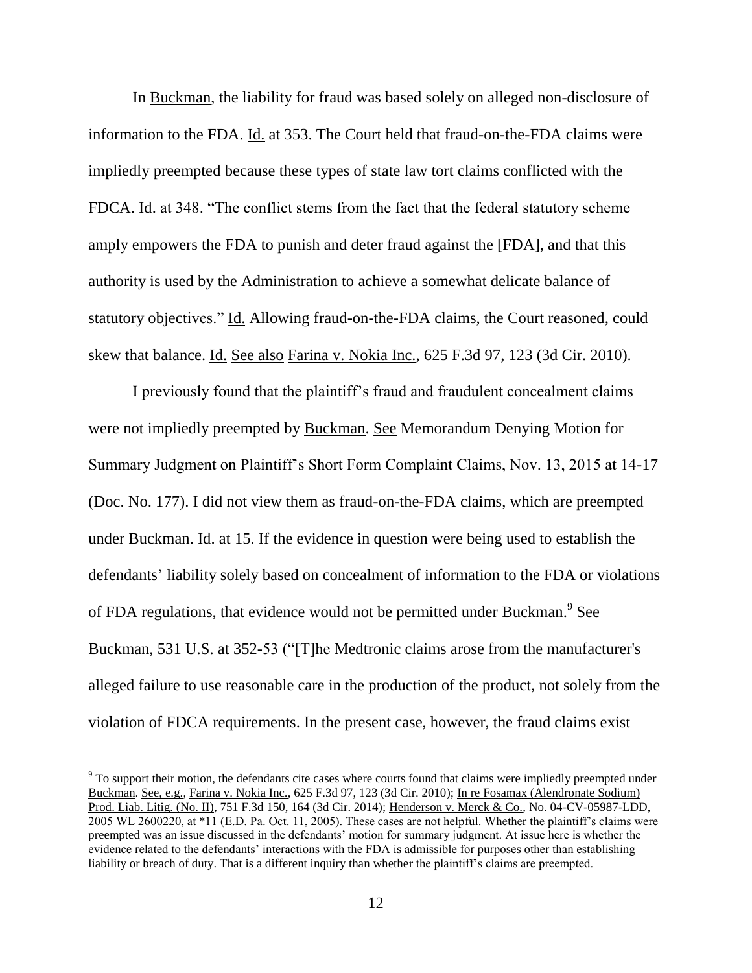In Buckman, the liability for fraud was based solely on alleged non-disclosure of information to the FDA. Id. at 353. The Court held that fraud-on-the-FDA claims were impliedly preempted because these types of state law tort claims conflicted with the FDCA. Id. at 348. "The conflict stems from the fact that the federal statutory scheme amply empowers the FDA to punish and deter fraud against the [FDA], and that this authority is used by the Administration to achieve a somewhat delicate balance of statutory objectives." Id. Allowing fraud-on-the-FDA claims, the Court reasoned, could skew that balance. Id. See also Farina v. Nokia Inc., 625 F.3d 97, 123 (3d Cir. 2010).

I previously found that the plaintiff's fraud and fraudulent concealment claims were not impliedly preempted by Buckman. See Memorandum Denying Motion for Summary Judgment on Plaintiff's Short Form Complaint Claims, Nov. 13, 2015 at 14-17 (Doc. No. 177). I did not view them as fraud-on-the-FDA claims, which are preempted under Buckman. Id. at 15. If the evidence in question were being used to establish the defendants' liability solely based on concealment of information to the FDA or violations of FDA regulations, that evidence would not be permitted under Buckman.<sup>9</sup> See Buckman, 531 U.S. at 352-53 ("[T]he Medtronic claims arose from the manufacturer's alleged failure to use reasonable care in the production of the product, not solely from the violation of FDCA requirements. In the present case, however, the fraud claims exist

<sup>&</sup>lt;sup>9</sup> To support their motion, the defendants cite cases where courts found that claims were impliedly preempted under Buckman. See, e.g., Farina v. Nokia Inc., 625 F.3d 97, 123 (3d Cir. 2010); In re Fosamax (Alendronate Sodium) Prod. Liab. Litig. (No. II), 751 F.3d 150, 164 (3d Cir. 2014); Henderson v. Merck & Co., No. 04-CV-05987-LDD, 2005 WL 2600220, at \*11 (E.D. Pa. Oct. 11, 2005). These cases are not helpful. Whether the plaintiff's claims were preempted was an issue discussed in the defendants' motion for summary judgment. At issue here is whether the evidence related to the defendants' interactions with the FDA is admissible for purposes other than establishing liability or breach of duty. That is a different inquiry than whether the plaintiff's claims are preempted.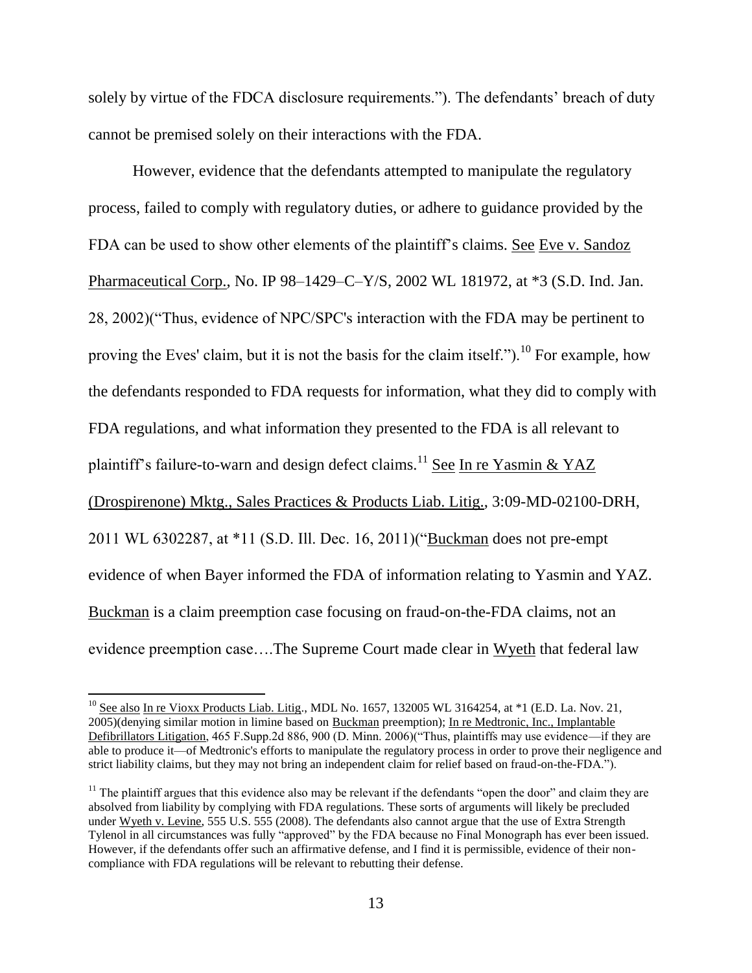solely by virtue of the FDCA disclosure requirements."). The defendants' breach of duty cannot be premised solely on their interactions with the FDA.

However, evidence that the defendants attempted to manipulate the regulatory process, failed to comply with regulatory duties, or adhere to guidance provided by the FDA can be used to show other elements of the plaintiff's claims. See Eve v. Sandoz Pharmaceutical Corp., No. IP 98–1429–C–Y/S, 2002 WL 181972, at \*3 (S.D. Ind. Jan. 28, 2002)("Thus, evidence of NPC/SPC's interaction with the FDA may be pertinent to proving the Eves' claim, but it is not the basis for the claim itself.").<sup>10</sup> For example, how the defendants responded to FDA requests for information, what they did to comply with FDA regulations, and what information they presented to the FDA is all relevant to plaintiff's failure-to-warn and design defect claims.<sup>11</sup> See In re Yasmin & YAZ (Drospirenone) Mktg., Sales Practices & Products Liab. Litig., 3:09-MD-02100-DRH, 2011 WL 6302287, at \*11 (S.D. Ill. Dec. 16, 2011)("Buckman does not pre-empt evidence of when Bayer informed the FDA of information relating to Yasmin and YAZ. Buckman is a claim preemption case focusing on fraud-on-the-FDA claims, not an evidence preemption case….The Supreme Court made clear in Wyeth that federal law

<sup>&</sup>lt;sup>10</sup> See also In re Vioxx Products Liab. Litig., MDL No. 1657, 132005 WL 3164254, at \*1 (E.D. La. Nov. 21, 2005)(denying similar motion in limine based on Buckman preemption); In re Medtronic, Inc., Implantable Defibrillators Litigation, 465 F.Supp.2d 886, 900 (D. Minn. 2006)("Thus, plaintiffs may use evidence—if they are able to produce it—of Medtronic's efforts to manipulate the regulatory process in order to prove their negligence and strict liability claims, but they may not bring an independent claim for relief based on fraud-on-the-FDA.").

 $<sup>11</sup>$  The plaintiff argues that this evidence also may be relevant if the defendants "open the door" and claim they are</sup> absolved from liability by complying with FDA regulations. These sorts of arguments will likely be precluded under Wyeth v. Levine, 555 U.S. 555 (2008). The defendants also cannot argue that the use of Extra Strength Tylenol in all circumstances was fully "approved" by the FDA because no Final Monograph has ever been issued. However, if the defendants offer such an affirmative defense, and I find it is permissible, evidence of their noncompliance with FDA regulations will be relevant to rebutting their defense.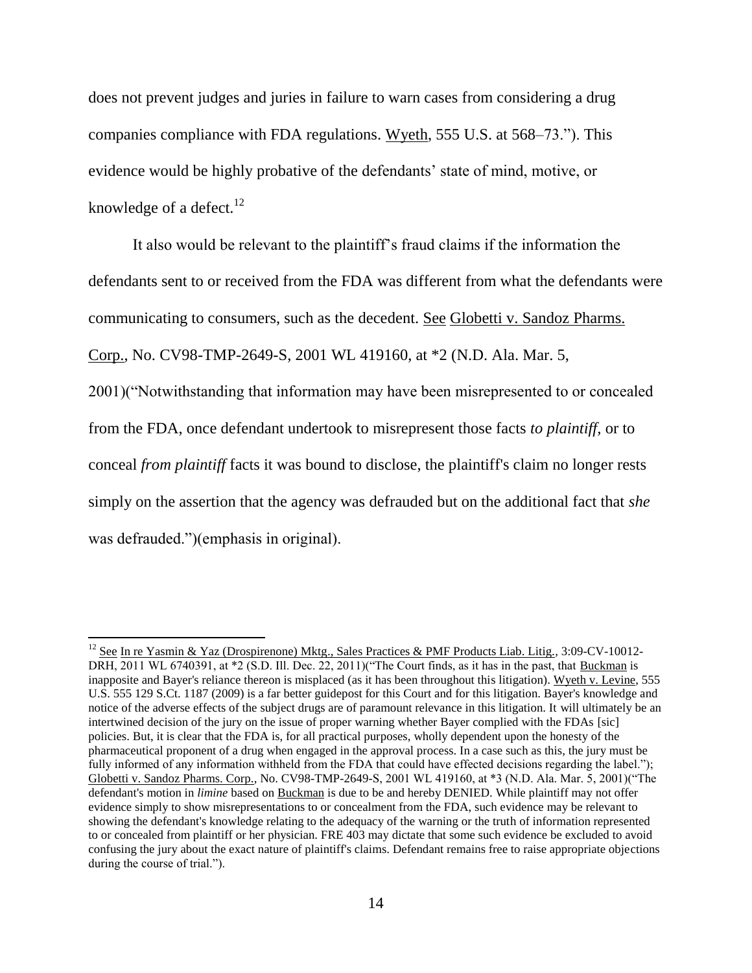does not prevent judges and juries in failure to warn cases from considering a drug companies compliance with FDA regulations. Wyeth, 555 U.S. at 568–73."). This evidence would be highly probative of the defendants' state of mind, motive, or knowledge of a defect. $12$ 

It also would be relevant to the plaintiff's fraud claims if the information the defendants sent to or received from the FDA was different from what the defendants were communicating to consumers, such as the decedent. See Globetti v. Sandoz Pharms. Corp., No. CV98-TMP-2649-S, 2001 WL 419160, at \*2 (N.D. Ala. Mar. 5,

2001)("Notwithstanding that information may have been misrepresented to or concealed from the FDA, once defendant undertook to misrepresent those facts *to plaintiff,* or to conceal *from plaintiff* facts it was bound to disclose, the plaintiff's claim no longer rests simply on the assertion that the agency was defrauded but on the additional fact that *she*  was defrauded.")(emphasis in original).

<sup>&</sup>lt;sup>12</sup> See In re Yasmin & Yaz (Drospirenone) Mktg., Sales Practices & PMF Products Liab. Litig., 3:09-CV-10012-DRH, 2011 WL 6740391, at \*2 (S.D. Ill. Dec. 22, 2011)("The Court finds, as it has in the past, that Buckman is inapposite and Bayer's reliance thereon is misplaced (as it has been throughout this litigation). Wyeth v. Levine, 555 U.S. 555 129 S.Ct. 1187 (2009) is a far better guidepost for this Court and for this litigation. Bayer's knowledge and notice of the adverse effects of the subject drugs are of paramount relevance in this litigation. It will ultimately be an intertwined decision of the jury on the issue of proper warning whether Bayer complied with the FDAs [sic] policies. But, it is clear that the FDA is, for all practical purposes, wholly dependent upon the honesty of the pharmaceutical proponent of a drug when engaged in the approval process. In a case such as this, the jury must be fully informed of any information withheld from the FDA that could have effected decisions regarding the label."); Globetti v. Sandoz Pharms. Corp., No. CV98-TMP-2649-S, 2001 WL 419160, at \*3 (N.D. Ala. Mar. 5, 2001)("The defendant's motion in *limine* based on Buckman is due to be and hereby DENIED. While plaintiff may not offer evidence simply to show misrepresentations to or concealment from the FDA, such evidence may be relevant to showing the defendant's knowledge relating to the adequacy of the warning or the truth of information represented to or concealed from plaintiff or her physician. FRE 403 may dictate that some such evidence be excluded to avoid confusing the jury about the exact nature of plaintiff's claims. Defendant remains free to raise appropriate objections during the course of trial.").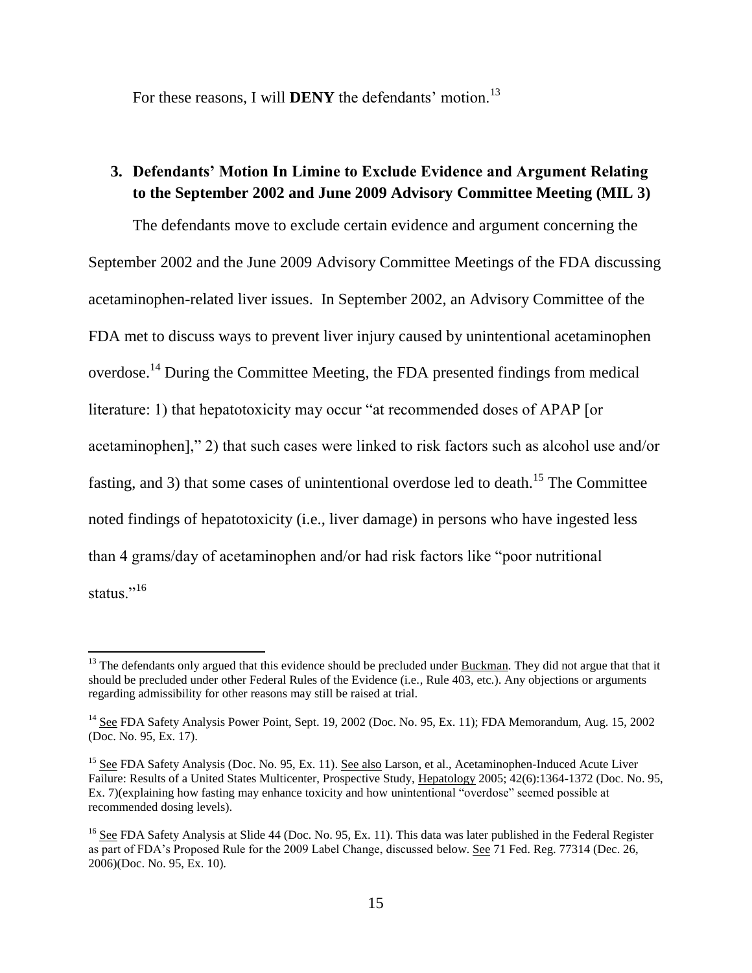For these reasons, I will **DENY** the defendants' motion.<sup>13</sup>

### **3. Defendants' Motion In Limine to Exclude Evidence and Argument Relating to the September 2002 and June 2009 Advisory Committee Meeting (MIL 3)**

The defendants move to exclude certain evidence and argument concerning the September 2002 and the June 2009 Advisory Committee Meetings of the FDA discussing acetaminophen-related liver issues. In September 2002, an Advisory Committee of the FDA met to discuss ways to prevent liver injury caused by unintentional acetaminophen overdose.<sup>14</sup> During the Committee Meeting, the FDA presented findings from medical literature: 1) that hepatotoxicity may occur "at recommended doses of APAP [or acetaminophen]," 2) that such cases were linked to risk factors such as alcohol use and/or fasting, and 3) that some cases of unintentional overdose led to death.<sup>15</sup> The Committee noted findings of hepatotoxicity (i.e., liver damage) in persons who have ingested less than 4 grams/day of acetaminophen and/or had risk factors like "poor nutritional status."<sup>16</sup>

 $13$  The defendants only argued that this evidence should be precluded under Buckman. They did not argue that that it should be precluded under other Federal Rules of the Evidence (i.e., Rule 403, etc.). Any objections or arguments regarding admissibility for other reasons may still be raised at trial.

<sup>&</sup>lt;sup>14</sup> See FDA Safety Analysis Power Point, Sept. 19, 2002 (Doc. No. 95, Ex. 11); FDA Memorandum, Aug. 15, 2002 (Doc. No. 95, Ex. 17).

<sup>&</sup>lt;sup>15</sup> See FDA Safety Analysis (Doc. No. 95, Ex. 11). See also Larson, et al., Acetaminophen-Induced Acute Liver Failure: Results of a United States Multicenter, Prospective Study, Hepatology 2005; 42(6):1364-1372 (Doc. No. 95, Ex. 7)(explaining how fasting may enhance toxicity and how unintentional "overdose" seemed possible at recommended dosing levels).

<sup>&</sup>lt;sup>16</sup> See FDA Safety Analysis at Slide 44 (Doc. No. 95, Ex. 11). This data was later published in the Federal Register as part of FDA's Proposed Rule for the 2009 Label Change, discussed below. See 71 Fed. Reg. 77314 (Dec. 26, 2006)(Doc. No. 95, Ex. 10).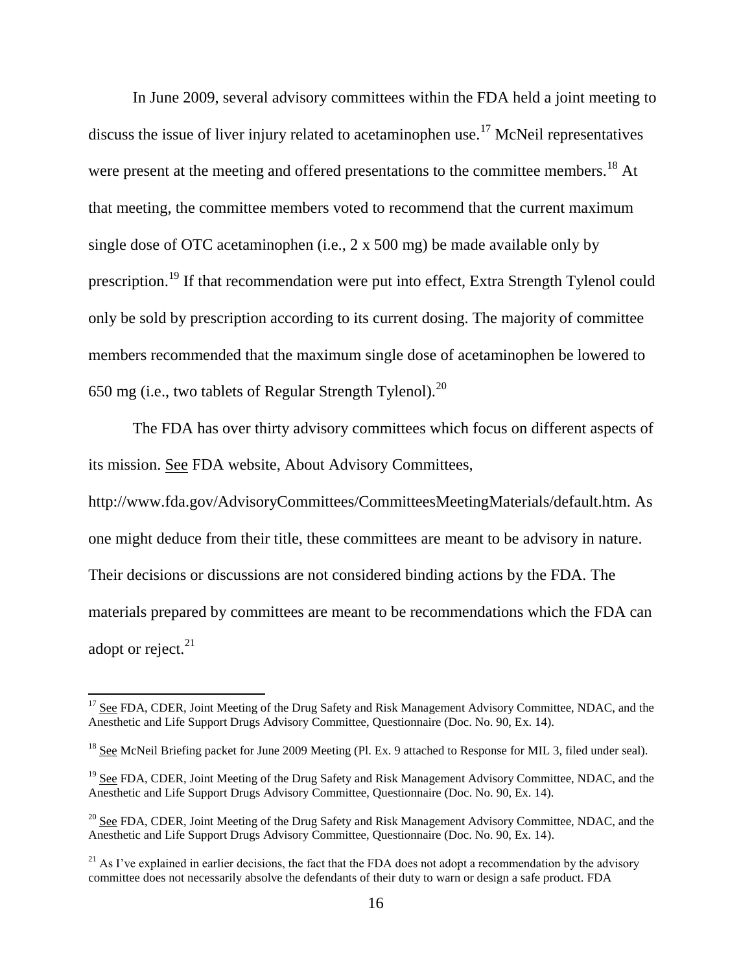In June 2009, several advisory committees within the FDA held a joint meeting to discuss the issue of liver injury related to acetaminophen use.<sup>17</sup> McNeil representatives were present at the meeting and offered presentations to the committee members.<sup>18</sup> At that meeting, the committee members voted to recommend that the current maximum single dose of OTC acetaminophen (i.e., 2 x 500 mg) be made available only by prescription.<sup>19</sup> If that recommendation were put into effect, Extra Strength Tylenol could only be sold by prescription according to its current dosing. The majority of committee members recommended that the maximum single dose of acetaminophen be lowered to 650 mg (i.e., two tablets of Regular Strength Tylenol).<sup>20</sup>

The FDA has over thirty advisory committees which focus on different aspects of its mission. See FDA website, About Advisory Committees,

http://www.fda.gov/AdvisoryCommittees/CommitteesMeetingMaterials/default.htm. As one might deduce from their title, these committees are meant to be advisory in nature. Their decisions or discussions are not considered binding actions by the FDA. The materials prepared by committees are meant to be recommendations which the FDA can adopt or reject. $^{21}$ 

<sup>&</sup>lt;sup>17</sup> See FDA, CDER, Joint Meeting of the Drug Safety and Risk Management Advisory Committee, NDAC, and the Anesthetic and Life Support Drugs Advisory Committee, Questionnaire (Doc. No. 90, Ex. 14).

<sup>&</sup>lt;sup>18</sup> See McNeil Briefing packet for June 2009 Meeting (Pl. Ex. 9 attached to Response for MIL 3, filed under seal).

<sup>&</sup>lt;sup>19</sup> See FDA, CDER, Joint Meeting of the Drug Safety and Risk Management Advisory Committee, NDAC, and the Anesthetic and Life Support Drugs Advisory Committee, Questionnaire (Doc. No. 90, Ex. 14).

<sup>&</sup>lt;sup>20</sup> See FDA, CDER, Joint Meeting of the Drug Safety and Risk Management Advisory Committee, NDAC, and the Anesthetic and Life Support Drugs Advisory Committee, Questionnaire (Doc. No. 90, Ex. 14).

<sup>&</sup>lt;sup>21</sup> As I've explained in earlier decisions, the fact that the FDA does not adopt a recommendation by the advisory committee does not necessarily absolve the defendants of their duty to warn or design a safe product. FDA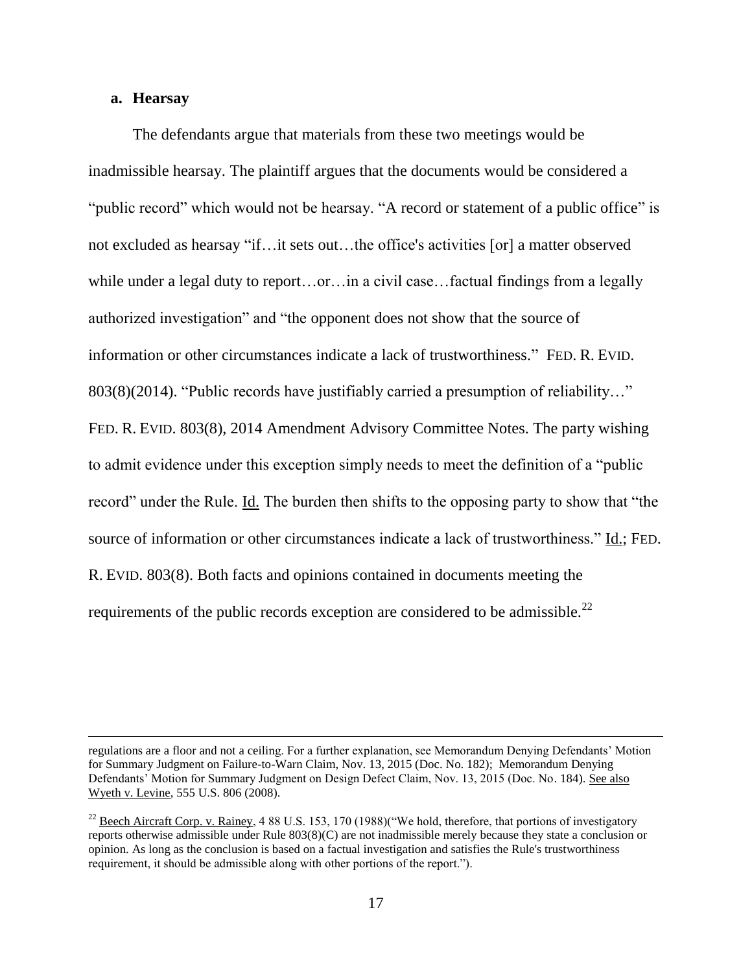#### **a. Hearsay**

 $\overline{\phantom{a}}$ 

The defendants argue that materials from these two meetings would be inadmissible hearsay. The plaintiff argues that the documents would be considered a "public record" which would not be hearsay. "A record or statement of a public office" is not excluded as hearsay "if…it sets out…the office's activities [or] a matter observed while under a legal duty to report...or...in a civil case...factual findings from a legally authorized investigation" and "the opponent does not show that the source of information or other circumstances indicate a lack of trustworthiness." FED. R. EVID. 803(8)(2014). "Public records have justifiably carried a presumption of reliability…" FED. R. EVID. 803(8), 2014 Amendment Advisory Committee Notes. The party wishing to admit evidence under this exception simply needs to meet the definition of a "public record" under the Rule. Id. The burden then shifts to the opposing party to show that "the source of information or other circumstances indicate a lack of trustworthiness." Id.; FED. R. EVID. 803(8). Both facts and opinions contained in documents meeting the requirements of the public records exception are considered to be admissible.<sup>22</sup>

regulations are a floor and not a ceiling. For a further explanation, see Memorandum Denying Defendants' Motion for Summary Judgment on Failure-to-Warn Claim, Nov. 13, 2015 (Doc. No. 182); Memorandum Denying Defendants' Motion for Summary Judgment on Design Defect Claim, Nov. 13, 2015 (Doc. No. 184). See also Wyeth v. Levine, 555 U.S. 806 (2008).

<sup>&</sup>lt;sup>22</sup> Beech Aircraft Corp. v. Rainey, 4 88 U.S. 153, 170 (1988)("We hold, therefore, that portions of investigatory reports otherwise admissible under Rule 803(8)(C) are not inadmissible merely because they state a conclusion or opinion. As long as the conclusion is based on a factual investigation and satisfies the Rule's trustworthiness requirement, it should be admissible along with other portions of the report.").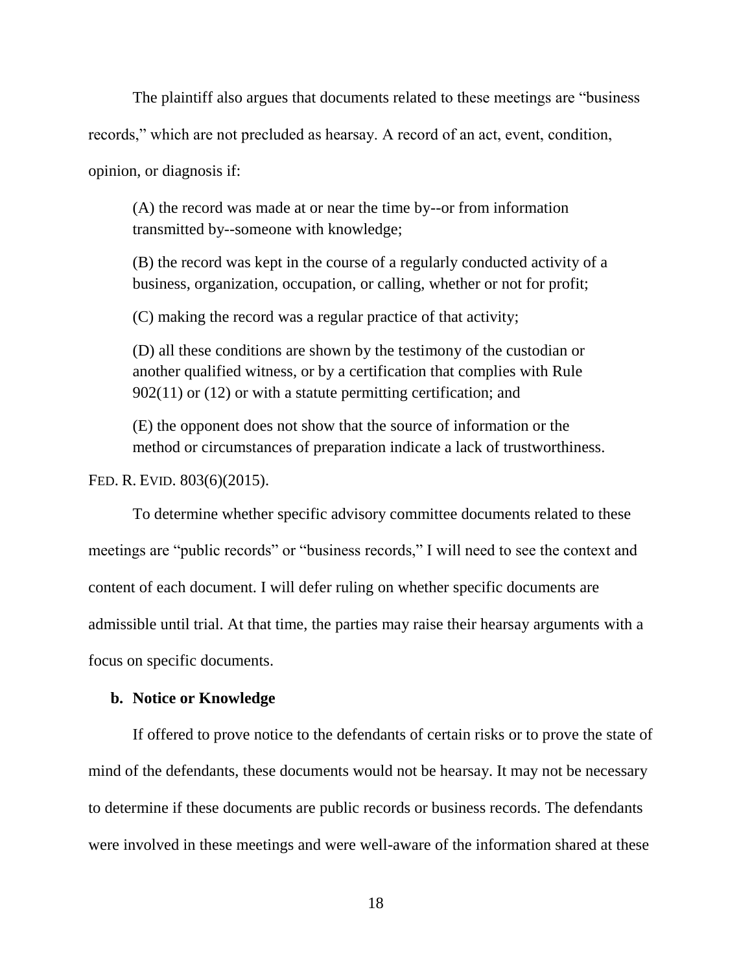The plaintiff also argues that documents related to these meetings are "business records," which are not precluded as hearsay. A record of an act, event, condition, opinion, or diagnosis if:

(A) the record was made at or near the time by--or from information transmitted by--someone with knowledge;

(B) the record was kept in the course of a regularly conducted activity of a business, organization, occupation, or calling, whether or not for profit;

(C) making the record was a regular practice of that activity;

(D) all these conditions are shown by the testimony of the custodian or another qualified witness, or by a certification that complies with Rule 902(11) or (12) or with a statute permitting certification; and

(E) the opponent does not show that the source of information or the method or circumstances of preparation indicate a lack of trustworthiness.

FED. R. EVID. 803(6)(2015).

To determine whether specific advisory committee documents related to these meetings are "public records" or "business records," I will need to see the context and content of each document. I will defer ruling on whether specific documents are admissible until trial. At that time, the parties may raise their hearsay arguments with a focus on specific documents.

### **b. Notice or Knowledge**

If offered to prove notice to the defendants of certain risks or to prove the state of mind of the defendants, these documents would not be hearsay. It may not be necessary to determine if these documents are public records or business records. The defendants were involved in these meetings and were well-aware of the information shared at these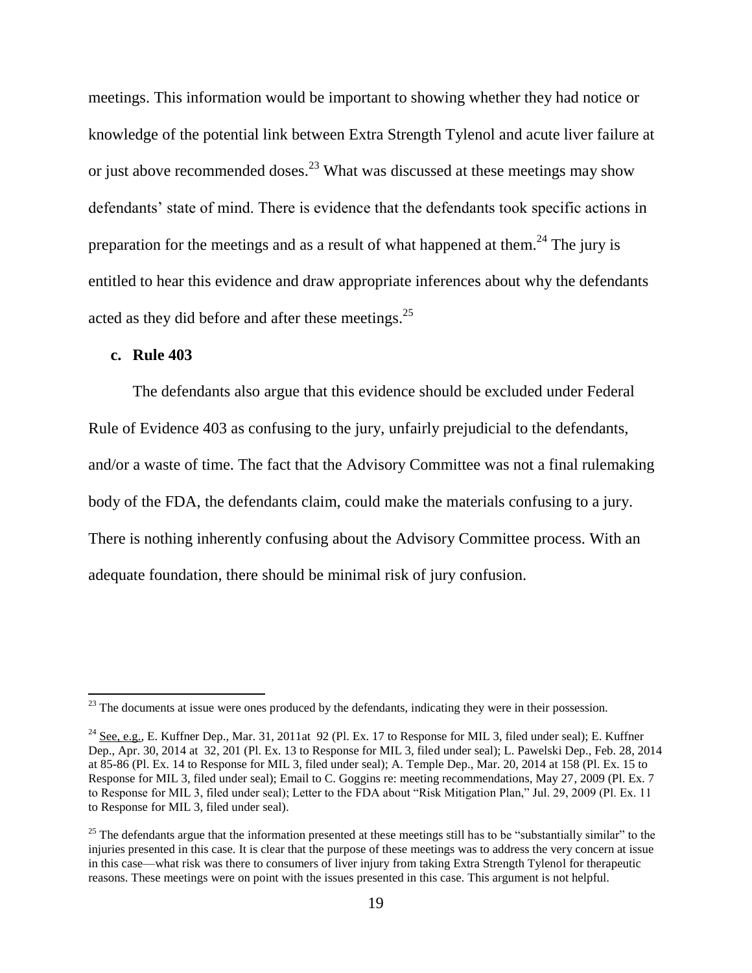meetings. This information would be important to showing whether they had notice or knowledge of the potential link between Extra Strength Tylenol and acute liver failure at or just above recommended doses.<sup>23</sup> What was discussed at these meetings may show defendants' state of mind. There is evidence that the defendants took specific actions in preparation for the meetings and as a result of what happened at them.<sup>24</sup> The jury is entitled to hear this evidence and draw appropriate inferences about why the defendants acted as they did before and after these meetings.<sup>25</sup>

### **c. Rule 403**

 $\overline{\phantom{a}}$ 

The defendants also argue that this evidence should be excluded under Federal Rule of Evidence 403 as confusing to the jury, unfairly prejudicial to the defendants, and/or a waste of time. The fact that the Advisory Committee was not a final rulemaking body of the FDA, the defendants claim, could make the materials confusing to a jury. There is nothing inherently confusing about the Advisory Committee process. With an adequate foundation, there should be minimal risk of jury confusion.

 $^{23}$  The documents at issue were ones produced by the defendants, indicating they were in their possession.

<sup>&</sup>lt;sup>24</sup> See, e.g., E. Kuffner Dep., Mar. 31, 2011at 92 (Pl. Ex. 17 to Response for MIL 3, filed under seal); E. Kuffner Dep., Apr. 30, 2014 at 32, 201 (Pl. Ex. 13 to Response for MIL 3, filed under seal); L. Pawelski Dep., Feb. 28, 2014 at 85-86 (Pl. Ex. 14 to Response for MIL 3, filed under seal); A. Temple Dep., Mar. 20, 2014 at 158 (Pl. Ex. 15 to Response for MIL 3, filed under seal); Email to C. Goggins re: meeting recommendations, May 27, 2009 (Pl. Ex. 7 to Response for MIL 3, filed under seal); Letter to the FDA about "Risk Mitigation Plan," Jul. 29, 2009 (Pl. Ex. 11 to Response for MIL 3, filed under seal).

 $25$  The defendants argue that the information presented at these meetings still has to be "substantially similar" to the injuries presented in this case. It is clear that the purpose of these meetings was to address the very concern at issue in this case—what risk was there to consumers of liver injury from taking Extra Strength Tylenol for therapeutic reasons. These meetings were on point with the issues presented in this case. This argument is not helpful.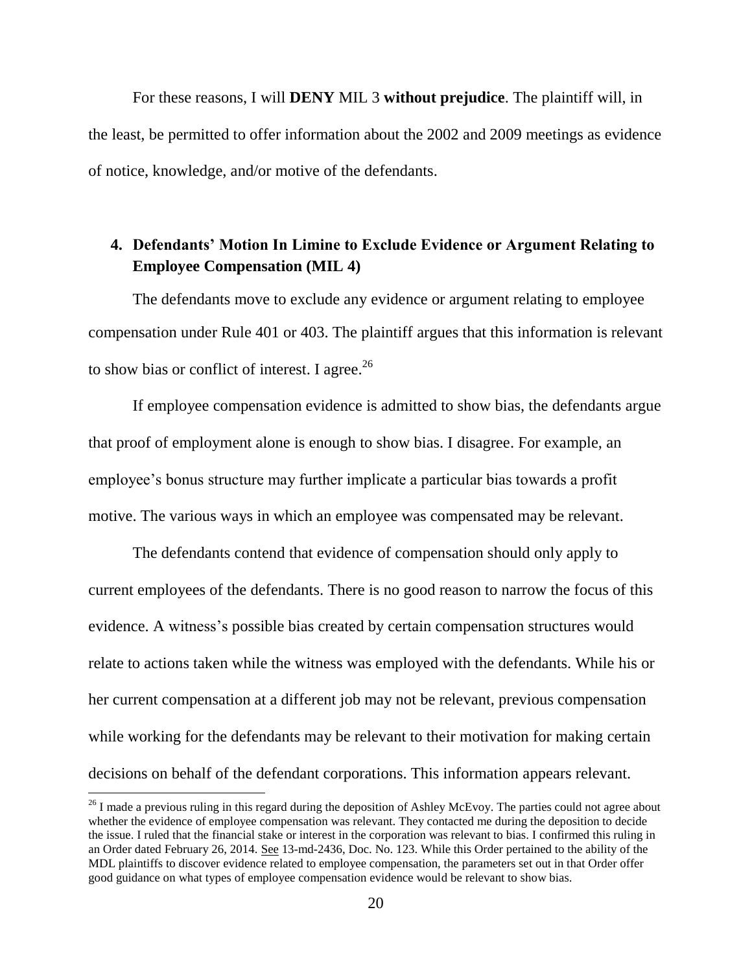For these reasons, I will **DENY** MIL 3 **without prejudice**. The plaintiff will, in the least, be permitted to offer information about the 2002 and 2009 meetings as evidence of notice, knowledge, and/or motive of the defendants.

# **4. Defendants' Motion In Limine to Exclude Evidence or Argument Relating to Employee Compensation (MIL 4)**

The defendants move to exclude any evidence or argument relating to employee compensation under Rule 401 or 403. The plaintiff argues that this information is relevant to show bias or conflict of interest. I agree. $^{26}$ 

If employee compensation evidence is admitted to show bias, the defendants argue that proof of employment alone is enough to show bias. I disagree. For example, an employee's bonus structure may further implicate a particular bias towards a profit motive. The various ways in which an employee was compensated may be relevant.

The defendants contend that evidence of compensation should only apply to current employees of the defendants. There is no good reason to narrow the focus of this evidence. A witness's possible bias created by certain compensation structures would relate to actions taken while the witness was employed with the defendants. While his or her current compensation at a different job may not be relevant, previous compensation while working for the defendants may be relevant to their motivation for making certain decisions on behalf of the defendant corporations. This information appears relevant.

l

 $^{26}$  I made a previous ruling in this regard during the deposition of Ashley McEvoy. The parties could not agree about whether the evidence of employee compensation was relevant. They contacted me during the deposition to decide the issue. I ruled that the financial stake or interest in the corporation was relevant to bias. I confirmed this ruling in an Order dated February 26, 2014. See 13-md-2436, Doc. No. 123. While this Order pertained to the ability of the MDL plaintiffs to discover evidence related to employee compensation, the parameters set out in that Order offer good guidance on what types of employee compensation evidence would be relevant to show bias.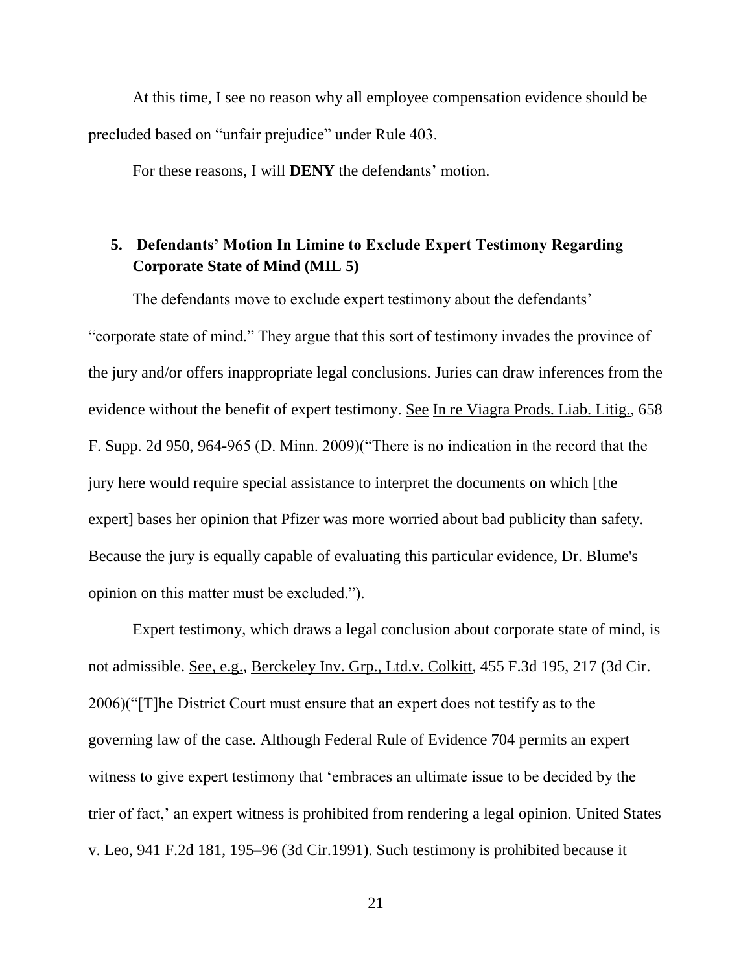At this time, I see no reason why all employee compensation evidence should be precluded based on "unfair prejudice" under Rule 403.

For these reasons, I will **DENY** the defendants' motion.

# **5. Defendants' Motion In Limine to Exclude Expert Testimony Regarding Corporate State of Mind (MIL 5)**

The defendants move to exclude expert testimony about the defendants' "corporate state of mind." They argue that this sort of testimony invades the province of the jury and/or offers inappropriate legal conclusions. Juries can draw inferences from the evidence without the benefit of expert testimony. See In re Viagra Prods. Liab. Litig., 658 F. Supp. 2d 950, 964-965 (D. Minn. 2009)("There is no indication in the record that the jury here would require special assistance to interpret the documents on which [the expert] bases her opinion that Pfizer was more worried about bad publicity than safety. Because the jury is equally capable of evaluating this particular evidence, Dr. Blume's opinion on this matter must be excluded.").

Expert testimony, which draws a legal conclusion about corporate state of mind, is not admissible. See, e.g., Berckeley Inv. Grp., Ltd.v. Colkitt, 455 F.3d 195, 217 (3d Cir. 2006)("[T]he District Court must ensure that an expert does not testify as to the governing law of the case. Although Federal Rule of Evidence 704 permits an expert witness to give expert testimony that 'embraces an ultimate issue to be decided by the trier of fact,' an expert witness is prohibited from rendering a legal opinion. United States v. Leo, 941 F.2d 181, 195–96 (3d Cir.1991). Such testimony is prohibited because it

21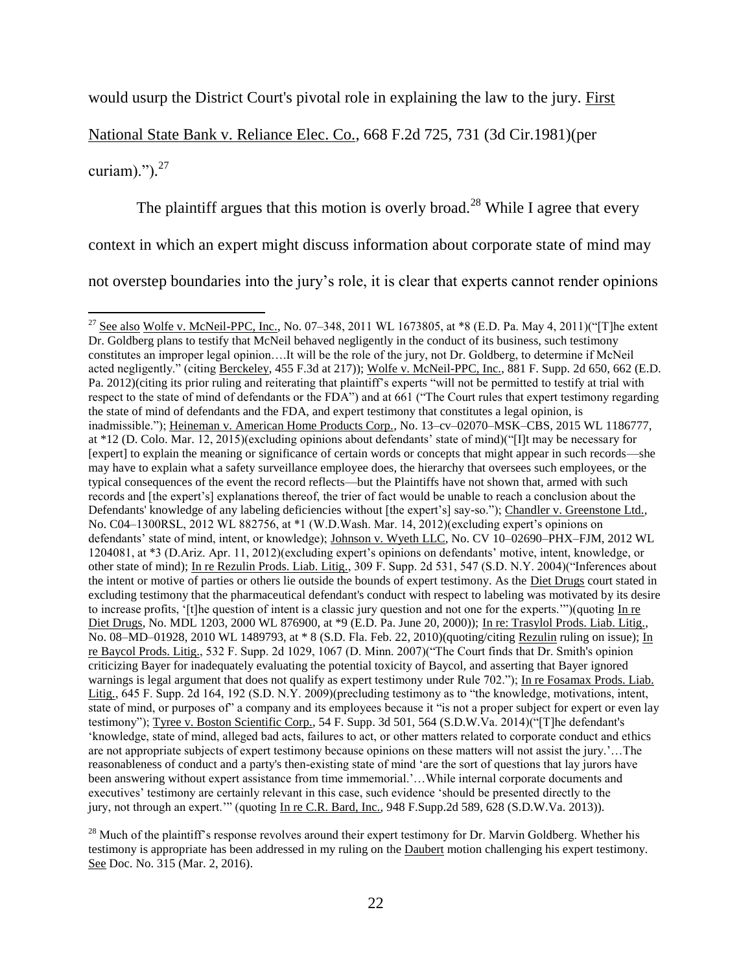would usurp the District Court's pivotal role in explaining the law to the jury. First

National State Bank v. Reliance Elec. Co., 668 F.2d 725, 731 (3d Cir.1981)(per

curiam)."). $^{27}$ 

 $\overline{\phantom{a}}$ 

The plaintiff argues that this motion is overly broad.<sup>28</sup> While I agree that every

context in which an expert might discuss information about corporate state of mind may

not overstep boundaries into the jury's role, it is clear that experts cannot render opinions

<sup>&</sup>lt;sup>27</sup> See also Wolfe v. McNeil-PPC, Inc., No. 07–348, 2011 WL 1673805, at \*8 (E.D. Pa. May 4, 2011)("[T]he extent Dr. Goldberg plans to testify that McNeil behaved negligently in the conduct of its business, such testimony constitutes an improper legal opinion….It will be the role of the jury, not Dr. Goldberg, to determine if McNeil acted negligently." (citing Berckeley, 455 F.3d at 217)); Wolfe v. McNeil-PPC, Inc., 881 F. Supp. 2d 650, 662 (E.D. Pa. 2012)(citing its prior ruling and reiterating that plaintiff's experts "will not be permitted to testify at trial with respect to the state of mind of defendants or the FDA") and at 661 ("The Court rules that expert testimony regarding the state of mind of defendants and the FDA, and expert testimony that constitutes a legal opinion, is inadmissible."); Heineman v. American Home Products Corp., No. 13–cv–02070–MSK–CBS, 2015 WL 1186777, at \*12 (D. Colo. Mar. 12, 2015)(excluding opinions about defendants' state of mind)("[I]t may be necessary for [expert] to explain the meaning or significance of certain words or concepts that might appear in such records—she may have to explain what a safety surveillance employee does, the hierarchy that oversees such employees, or the typical consequences of the event the record reflects—but the Plaintiffs have not shown that, armed with such records and [the expert's] explanations thereof, the trier of fact would be unable to reach a conclusion about the Defendants' knowledge of any labeling deficiencies without [the expert's] say-so."); Chandler v. Greenstone Ltd., No. C04–1300RSL, 2012 WL 882756, at \*1 (W.D.Wash. Mar. 14, 2012)(excluding expert's opinions on defendants' state of mind, intent, or knowledge); Johnson v. Wyeth LLC, No. CV 10–02690–PHX–FJM, 2012 WL 1204081, at \*3 (D.Ariz. Apr. 11, 2012)(excluding expert's opinions on defendants' motive, intent, knowledge, or other state of mind); In re Rezulin Prods. Liab. Litig., 309 F. Supp. 2d 531, 547 (S.D. N.Y. 2004)("Inferences about the intent or motive of parties or others lie outside the bounds of expert testimony. As the Diet Drugs court stated in excluding testimony that the pharmaceutical defendant's conduct with respect to labeling was motivated by its desire to increase profits, '[t]he question of intent is a classic jury question and not one for the experts.'")(quoting  $\overline{\ln n}$ Diet Drugs, No. MDL 1203, 2000 WL 876900, at \*9 (E.D. Pa. June 20, 2000)); In re: Trasylol Prods. Liab. Litig., No. 08–MD–01928, 2010 WL 1489793, at \* 8 (S.D. Fla. Feb. 22, 2010)(quoting/citing Rezulin ruling on issue); In re Baycol Prods. Litig., 532 F. Supp. 2d 1029, 1067 (D. Minn. 2007)("The Court finds that Dr. Smith's opinion criticizing Bayer for inadequately evaluating the potential toxicity of Baycol, and asserting that Bayer ignored warnings is legal argument that does not qualify as expert testimony under Rule 702."); In re Fosamax Prods. Liab. Litig., 645 F. Supp. 2d 164, 192 (S.D. N.Y. 2009)(precluding testimony as to "the knowledge, motivations, intent, state of mind, or purposes of" a company and its employees because it "is not a proper subject for expert or even lay testimony"); Tyree v. Boston Scientific Corp., 54 F. Supp. 3d 501, 564 (S.D.W.Va. 2014)("[T]he defendant's 'knowledge, state of mind, alleged bad acts, failures to act, or other matters related to corporate conduct and ethics are not appropriate subjects of expert testimony because opinions on these matters will not assist the jury.'…The reasonableness of conduct and a party's then-existing state of mind 'are the sort of questions that lay jurors have been answering without expert assistance from time immemorial.'...While internal corporate documents and executives' testimony are certainly relevant in this case, such evidence 'should be presented directly to the jury, not through an expert.'" (quoting In re C.R. Bard, Inc., 948 F.Supp.2d 589, 628 (S.D.W.Va. 2013)).

<sup>&</sup>lt;sup>28</sup> Much of the plaintiff's response revolves around their expert testimony for Dr. Marvin Goldberg. Whether his testimony is appropriate has been addressed in my ruling on the Daubert motion challenging his expert testimony. See Doc. No. 315 (Mar. 2, 2016).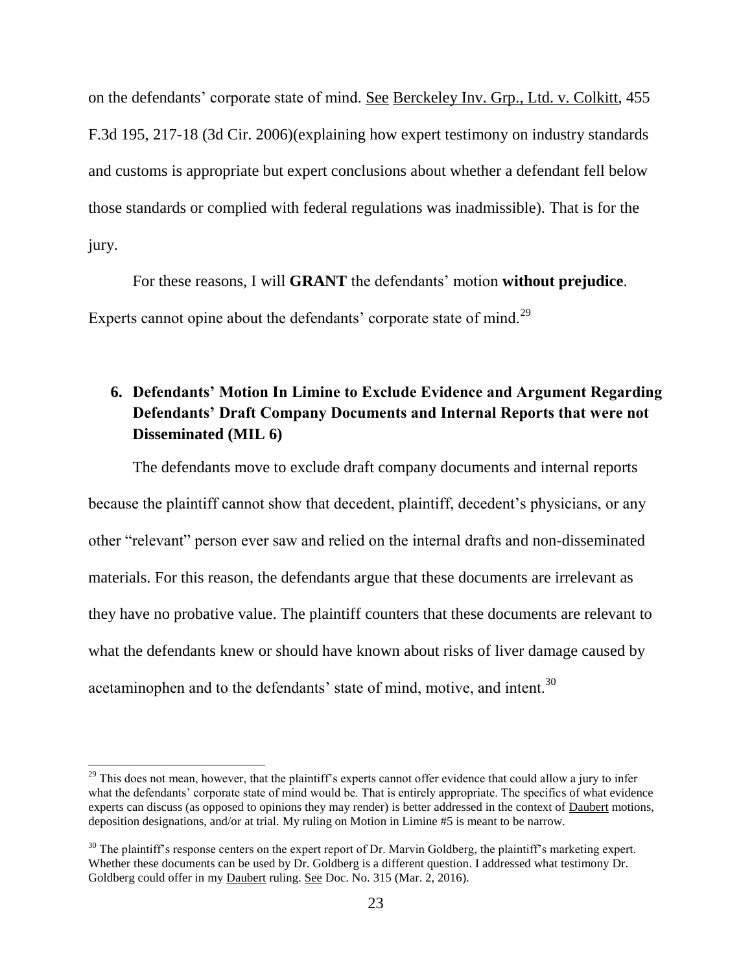on the defendants' corporate state of mind. See Berckeley Inv. Grp., Ltd. v. Colkitt, 455 F.3d 195, 217-18 (3d Cir. 2006)(explaining how expert testimony on industry standards and customs is appropriate but expert conclusions about whether a defendant fell below those standards or complied with federal regulations was inadmissible). That is for the jury.

For these reasons, I will **GRANT** the defendants' motion **without prejudice**. Experts cannot opine about the defendants' corporate state of mind.<sup>29</sup>

# **6. Defendants' Motion In Limine to Exclude Evidence and Argument Regarding Defendants' Draft Company Documents and Internal Reports that were not Disseminated (MIL 6)**

The defendants move to exclude draft company documents and internal reports because the plaintiff cannot show that decedent, plaintiff, decedent's physicians, or any other "relevant" person ever saw and relied on the internal drafts and non-disseminated materials. For this reason, the defendants argue that these documents are irrelevant as they have no probative value. The plaintiff counters that these documents are relevant to what the defendants knew or should have known about risks of liver damage caused by acetaminophen and to the defendants' state of mind, motive, and intent.<sup>30</sup>

 $29$  This does not mean, however, that the plaintiff's experts cannot offer evidence that could allow a jury to infer what the defendants' corporate state of mind would be. That is entirely appropriate. The specifics of what evidence experts can discuss (as opposed to opinions they may render) is better addressed in the context of Daubert motions, deposition designations, and/or at trial. My ruling on Motion in Limine #5 is meant to be narrow.

 $30$  The plaintiff's response centers on the expert report of Dr. Marvin Goldberg, the plaintiff's marketing expert. Whether these documents can be used by Dr. Goldberg is a different question. I addressed what testimony Dr. Goldberg could offer in my Daubert ruling. See Doc. No. 315 (Mar. 2, 2016).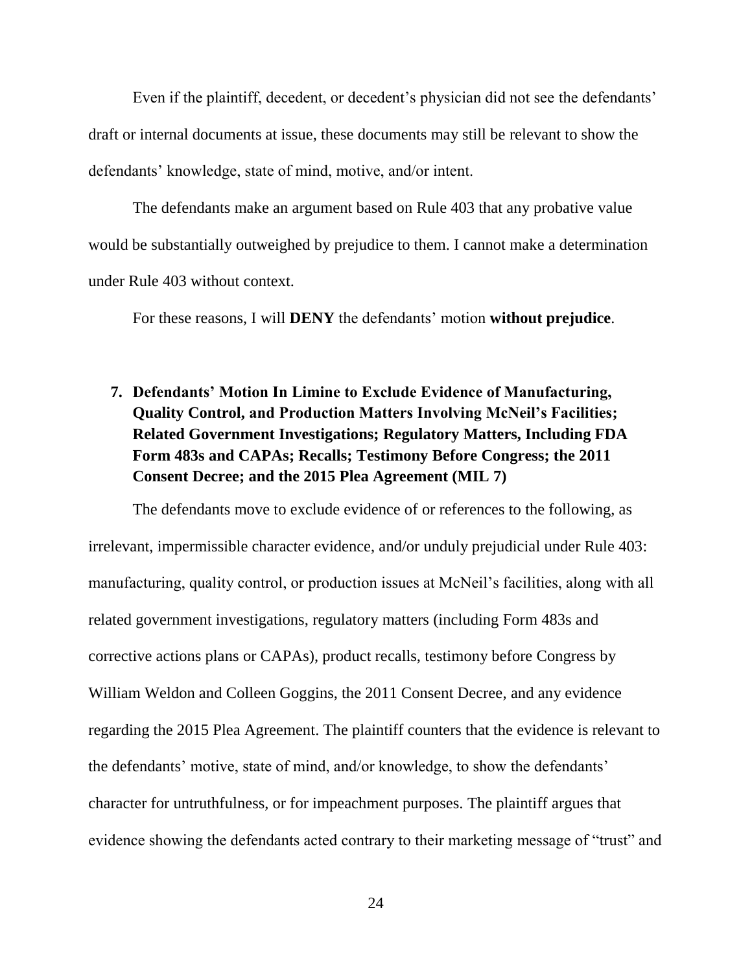Even if the plaintiff, decedent, or decedent's physician did not see the defendants' draft or internal documents at issue, these documents may still be relevant to show the defendants' knowledge, state of mind, motive, and/or intent.

The defendants make an argument based on Rule 403 that any probative value would be substantially outweighed by prejudice to them. I cannot make a determination under Rule 403 without context.

For these reasons, I will **DENY** the defendants' motion **without prejudice**.

# **7. Defendants' Motion In Limine to Exclude Evidence of Manufacturing, Quality Control, and Production Matters Involving McNeil's Facilities; Related Government Investigations; Regulatory Matters, Including FDA Form 483s and CAPAs; Recalls; Testimony Before Congress; the 2011 Consent Decree; and the 2015 Plea Agreement (MIL 7)**

The defendants move to exclude evidence of or references to the following, as irrelevant, impermissible character evidence, and/or unduly prejudicial under Rule 403: manufacturing, quality control, or production issues at McNeil's facilities, along with all related government investigations, regulatory matters (including Form 483s and corrective actions plans or CAPAs), product recalls, testimony before Congress by William Weldon and Colleen Goggins, the 2011 Consent Decree, and any evidence regarding the 2015 Plea Agreement. The plaintiff counters that the evidence is relevant to the defendants' motive, state of mind, and/or knowledge, to show the defendants' character for untruthfulness, or for impeachment purposes. The plaintiff argues that evidence showing the defendants acted contrary to their marketing message of "trust" and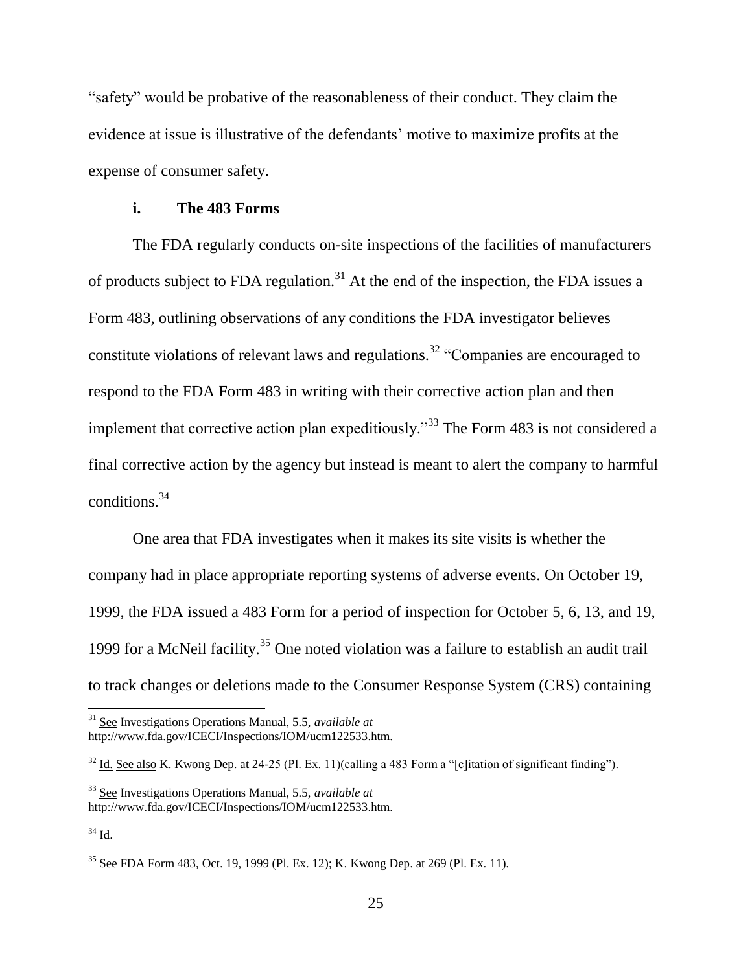"safety" would be probative of the reasonableness of their conduct. They claim the evidence at issue is illustrative of the defendants' motive to maximize profits at the expense of consumer safety.

### **i. The 483 Forms**

The FDA regularly conducts on-site inspections of the facilities of manufacturers of products subject to FDA regulation.<sup>31</sup> At the end of the inspection, the FDA issues a Form 483, outlining observations of any conditions the FDA investigator believes constitute violations of relevant laws and regulations.<sup>32</sup> "Companies are encouraged to respond to the FDA Form 483 in writing with their corrective action plan and then implement that corrective action plan expeditiously."<sup>33</sup> The Form 483 is not considered a final corrective action by the agency but instead is meant to alert the company to harmful conditions.<sup>34</sup>

One area that FDA investigates when it makes its site visits is whether the company had in place appropriate reporting systems of adverse events. On October 19, 1999, the FDA issued a 483 Form for a period of inspection for October 5, 6, 13, and 19, 1999 for a McNeil facility.<sup>35</sup> One noted violation was a failure to establish an audit trail to track changes or deletions made to the Consumer Response System (CRS) containing

<sup>31</sup> See Investigations Operations Manual, 5.5, *available at* http://www.fda.gov/ICECI/Inspections/IOM/ucm122533.htm.

<sup>&</sup>lt;sup>32</sup> Id. See also K. Kwong Dep. at 24-25 (Pl. Ex. 11)(calling a 483 Form a "[c]itation of significant finding").

<sup>33</sup> See Investigations Operations Manual, 5.5, *available at*

http://www.fda.gov/ICECI/Inspections/IOM/ucm122533.htm.

 $34$  Id.

<sup>35</sup> See FDA Form 483, Oct. 19, 1999 (Pl. Ex. 12); K. Kwong Dep. at 269 (Pl. Ex. 11).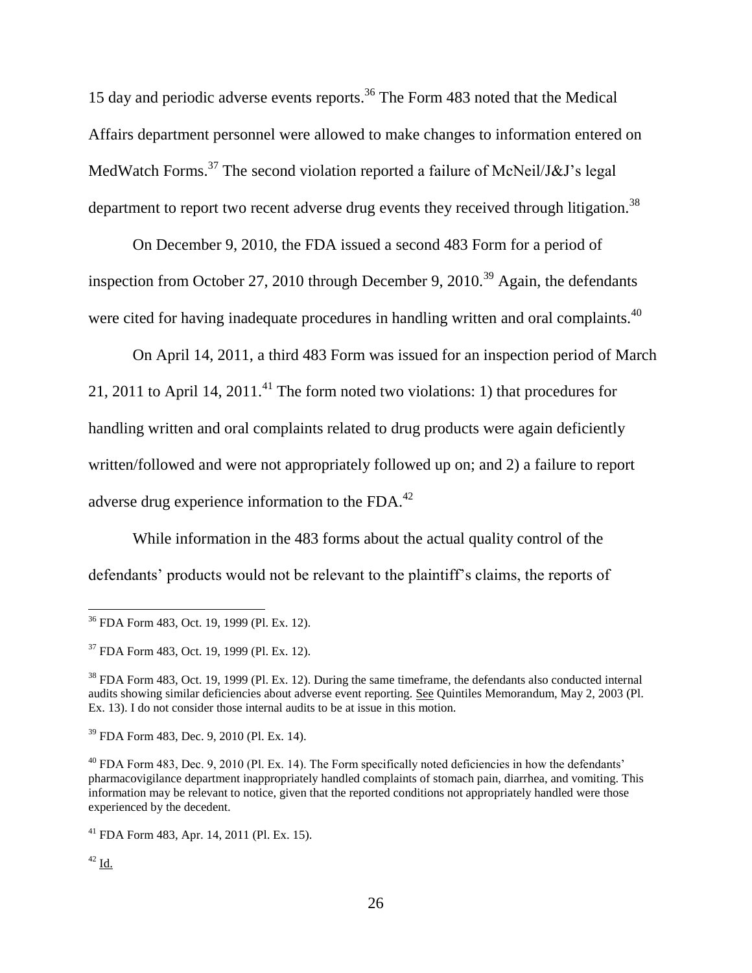15 day and periodic adverse events reports.<sup>36</sup> The Form 483 noted that the Medical Affairs department personnel were allowed to make changes to information entered on MedWatch Forms.<sup>37</sup> The second violation reported a failure of McNeil/J&J's legal department to report two recent adverse drug events they received through litigation.<sup>38</sup>

On December 9, 2010, the FDA issued a second 483 Form for a period of inspection from October 27, 2010 through December 9, 2010.<sup>39</sup> Again, the defendants were cited for having inadequate procedures in handling written and oral complaints.<sup>40</sup>

On April 14, 2011, a third 483 Form was issued for an inspection period of March 21, 2011 to April 14, 2011.<sup>41</sup> The form noted two violations: 1) that procedures for handling written and oral complaints related to drug products were again deficiently written/followed and were not appropriately followed up on; and 2) a failure to report adverse drug experience information to the FDA.<sup>42</sup>

While information in the 483 forms about the actual quality control of the defendants' products would not be relevant to the plaintiff's claims, the reports of

<sup>36</sup> FDA Form 483, Oct. 19, 1999 (Pl. Ex. 12).

<sup>37</sup> FDA Form 483, Oct. 19, 1999 (Pl. Ex. 12).

<sup>&</sup>lt;sup>38</sup> FDA Form 483, Oct. 19, 1999 (Pl. Ex. 12). During the same timeframe, the defendants also conducted internal audits showing similar deficiencies about adverse event reporting. See Quintiles Memorandum, May 2, 2003 (Pl. Ex. 13). I do not consider those internal audits to be at issue in this motion.

<sup>39</sup> FDA Form 483, Dec. 9, 2010 (Pl. Ex. 14).

<sup>&</sup>lt;sup>40</sup> FDA Form 483, Dec. 9, 2010 (Pl. Ex. 14). The Form specifically noted deficiencies in how the defendants' pharmacovigilance department inappropriately handled complaints of stomach pain, diarrhea, and vomiting. This information may be relevant to notice, given that the reported conditions not appropriately handled were those experienced by the decedent.

 $^{41}$  FDA Form 483, Apr. 14, 2011 (Pl. Ex. 15).

 $42$  Id.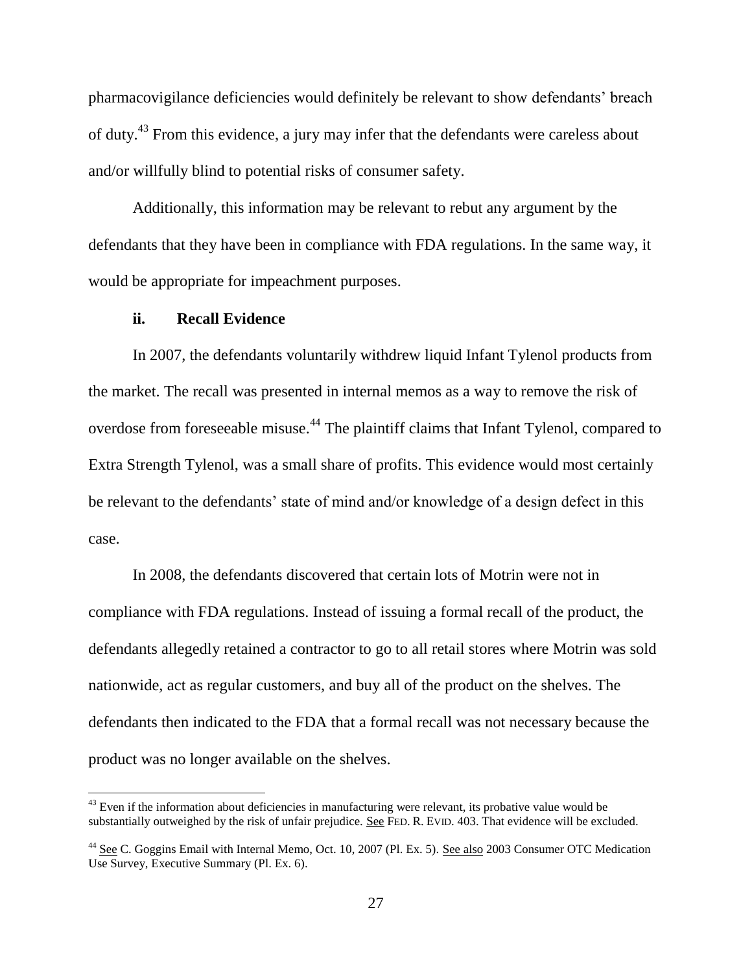pharmacovigilance deficiencies would definitely be relevant to show defendants' breach of duty.<sup>43</sup> From this evidence, a jury may infer that the defendants were careless about and/or willfully blind to potential risks of consumer safety.

Additionally, this information may be relevant to rebut any argument by the defendants that they have been in compliance with FDA regulations. In the same way, it would be appropriate for impeachment purposes.

### **ii. Recall Evidence**

l

In 2007, the defendants voluntarily withdrew liquid Infant Tylenol products from the market. The recall was presented in internal memos as a way to remove the risk of overdose from foreseeable misuse.<sup>44</sup> The plaintiff claims that Infant Tylenol, compared to Extra Strength Tylenol, was a small share of profits. This evidence would most certainly be relevant to the defendants' state of mind and/or knowledge of a design defect in this case.

In 2008, the defendants discovered that certain lots of Motrin were not in compliance with FDA regulations. Instead of issuing a formal recall of the product, the defendants allegedly retained a contractor to go to all retail stores where Motrin was sold nationwide, act as regular customers, and buy all of the product on the shelves. The defendants then indicated to the FDA that a formal recall was not necessary because the product was no longer available on the shelves.

 $43$  Even if the information about deficiencies in manufacturing were relevant, its probative value would be substantially outweighed by the risk of unfair prejudice. See FED. R. EVID. 403. That evidence will be excluded.

<sup>&</sup>lt;sup>44</sup> See C. Goggins Email with Internal Memo, Oct. 10, 2007 (Pl. Ex. 5). See also 2003 Consumer OTC Medication Use Survey, Executive Summary (Pl. Ex. 6).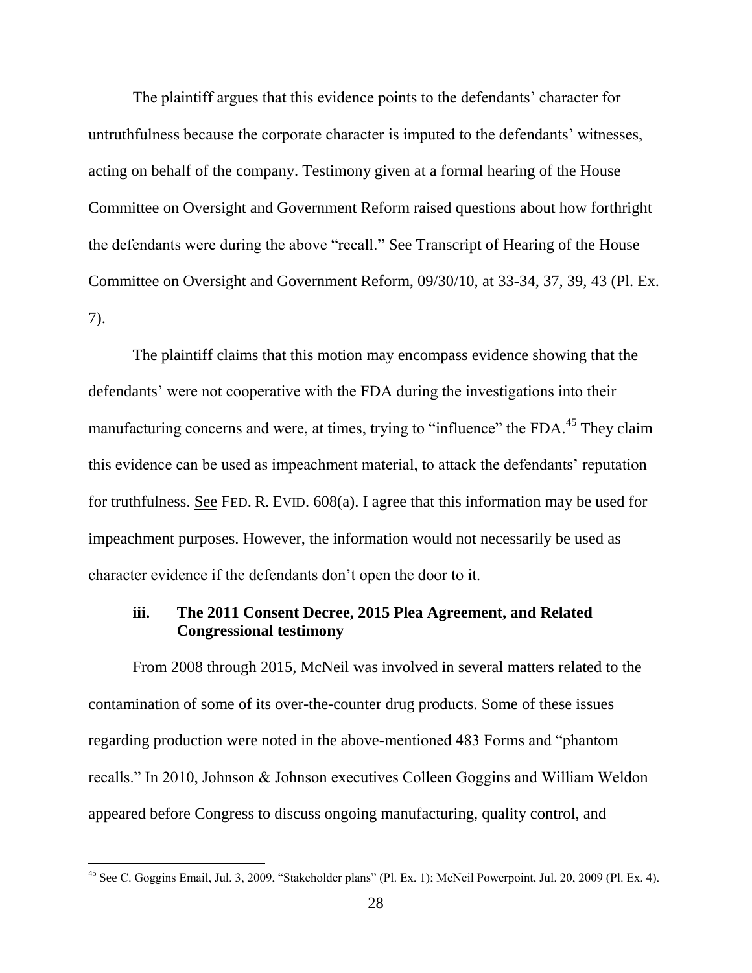The plaintiff argues that this evidence points to the defendants' character for untruthfulness because the corporate character is imputed to the defendants' witnesses, acting on behalf of the company. Testimony given at a formal hearing of the House Committee on Oversight and Government Reform raised questions about how forthright the defendants were during the above "recall." See Transcript of Hearing of the House Committee on Oversight and Government Reform, 09/30/10, at 33-34, 37, 39, 43 (Pl. Ex. 7).

The plaintiff claims that this motion may encompass evidence showing that the defendants' were not cooperative with the FDA during the investigations into their manufacturing concerns and were, at times, trying to "influence" the FDA.<sup>45</sup> They claim this evidence can be used as impeachment material, to attack the defendants' reputation for truthfulness. See FED. R. EVID. 608(a). I agree that this information may be used for impeachment purposes. However, the information would not necessarily be used as character evidence if the defendants don't open the door to it.

### **iii. The 2011 Consent Decree, 2015 Plea Agreement, and Related Congressional testimony**

From 2008 through 2015, McNeil was involved in several matters related to the contamination of some of its over-the-counter drug products. Some of these issues regarding production were noted in the above-mentioned 483 Forms and "phantom recalls." In 2010, Johnson & Johnson executives Colleen Goggins and William Weldon appeared before Congress to discuss ongoing manufacturing, quality control, and

 $^{45}$  See C. Goggins Email, Jul. 3, 2009, "Stakeholder plans" (Pl. Ex. 1); McNeil Powerpoint, Jul. 20, 2009 (Pl. Ex. 4).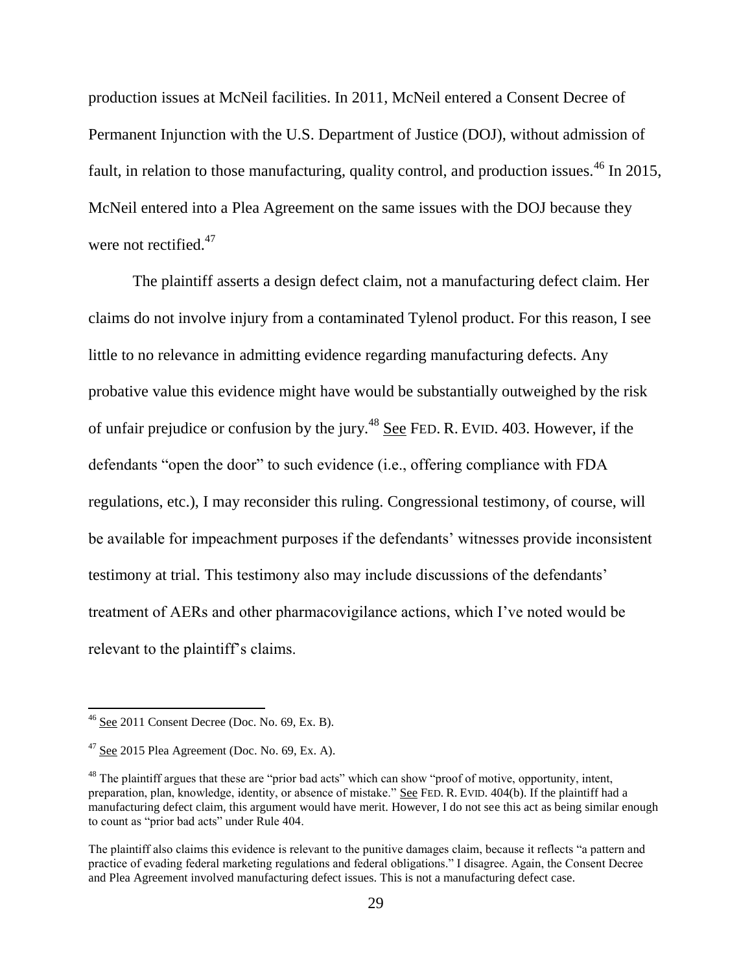production issues at McNeil facilities. In 2011, McNeil entered a Consent Decree of Permanent Injunction with the U.S. Department of Justice (DOJ), without admission of fault, in relation to those manufacturing, quality control, and production issues.<sup>46</sup> In 2015, McNeil entered into a Plea Agreement on the same issues with the DOJ because they were not rectified. $47$ 

The plaintiff asserts a design defect claim, not a manufacturing defect claim. Her claims do not involve injury from a contaminated Tylenol product. For this reason, I see little to no relevance in admitting evidence regarding manufacturing defects. Any probative value this evidence might have would be substantially outweighed by the risk of unfair prejudice or confusion by the jury.<sup>48</sup> See FED. R. EVID. 403. However, if the defendants "open the door" to such evidence (i.e., offering compliance with FDA regulations, etc.), I may reconsider this ruling. Congressional testimony, of course, will be available for impeachment purposes if the defendants' witnesses provide inconsistent testimony at trial. This testimony also may include discussions of the defendants' treatment of AERs and other pharmacovigilance actions, which I've noted would be relevant to the plaintiff's claims.

 $46$  See 2011 Consent Decree (Doc. No. 69, Ex. B).

 $47$  See 2015 Plea Agreement (Doc. No. 69, Ex. A).

<sup>&</sup>lt;sup>48</sup> The plaintiff argues that these are "prior bad acts" which can show "proof of motive, opportunity, intent, preparation, plan, knowledge, identity, or absence of mistake." See FED. R. EVID. 404(b). If the plaintiff had a manufacturing defect claim, this argument would have merit. However, I do not see this act as being similar enough to count as "prior bad acts" under Rule 404.

The plaintiff also claims this evidence is relevant to the punitive damages claim, because it reflects "a pattern and practice of evading federal marketing regulations and federal obligations." I disagree. Again, the Consent Decree and Plea Agreement involved manufacturing defect issues. This is not a manufacturing defect case.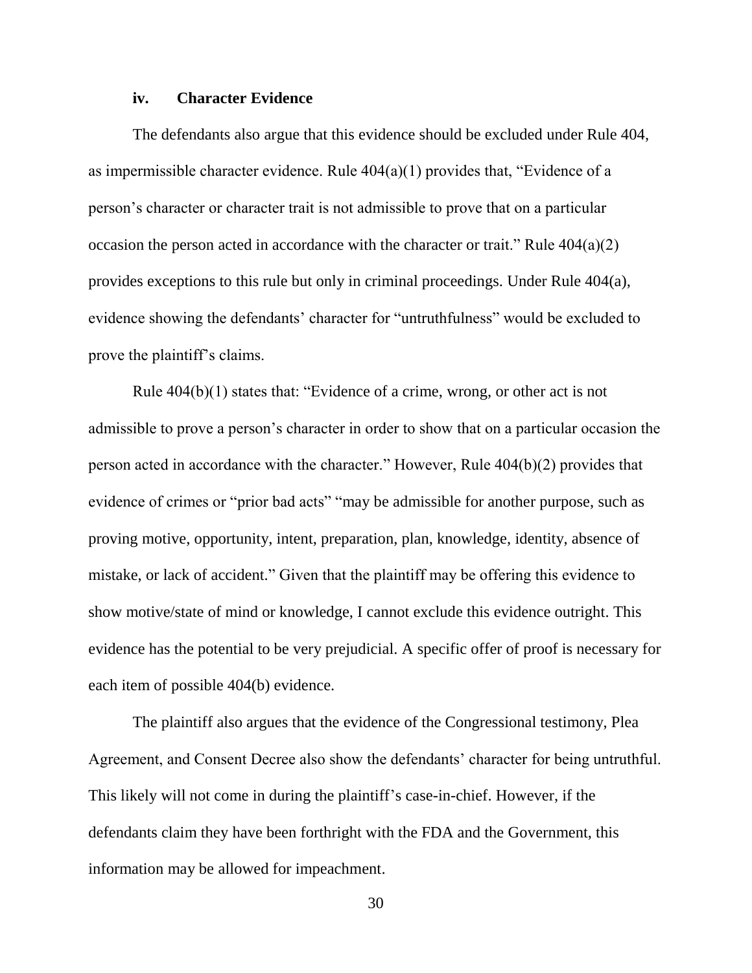#### **iv. Character Evidence**

The defendants also argue that this evidence should be excluded under Rule 404, as impermissible character evidence. Rule 404(a)(1) provides that, "Evidence of a person's character or character trait is not admissible to prove that on a particular occasion the person acted in accordance with the character or trait." Rule  $404(a)(2)$ provides exceptions to this rule but only in criminal proceedings. Under Rule 404(a), evidence showing the defendants' character for "untruthfulness" would be excluded to prove the plaintiff's claims.

Rule 404(b)(1) states that: "Evidence of a crime, wrong, or other act is not admissible to prove a person's character in order to show that on a particular occasion the person acted in accordance with the character." However, Rule 404(b)(2) provides that evidence of crimes or "prior bad acts" "may be admissible for another purpose, such as proving motive, opportunity, intent, preparation, plan, knowledge, identity, absence of mistake, or lack of accident." Given that the plaintiff may be offering this evidence to show motive/state of mind or knowledge, I cannot exclude this evidence outright. This evidence has the potential to be very prejudicial. A specific offer of proof is necessary for each item of possible 404(b) evidence.

The plaintiff also argues that the evidence of the Congressional testimony, Plea Agreement, and Consent Decree also show the defendants' character for being untruthful. This likely will not come in during the plaintiff's case-in-chief. However, if the defendants claim they have been forthright with the FDA and the Government, this information may be allowed for impeachment.

30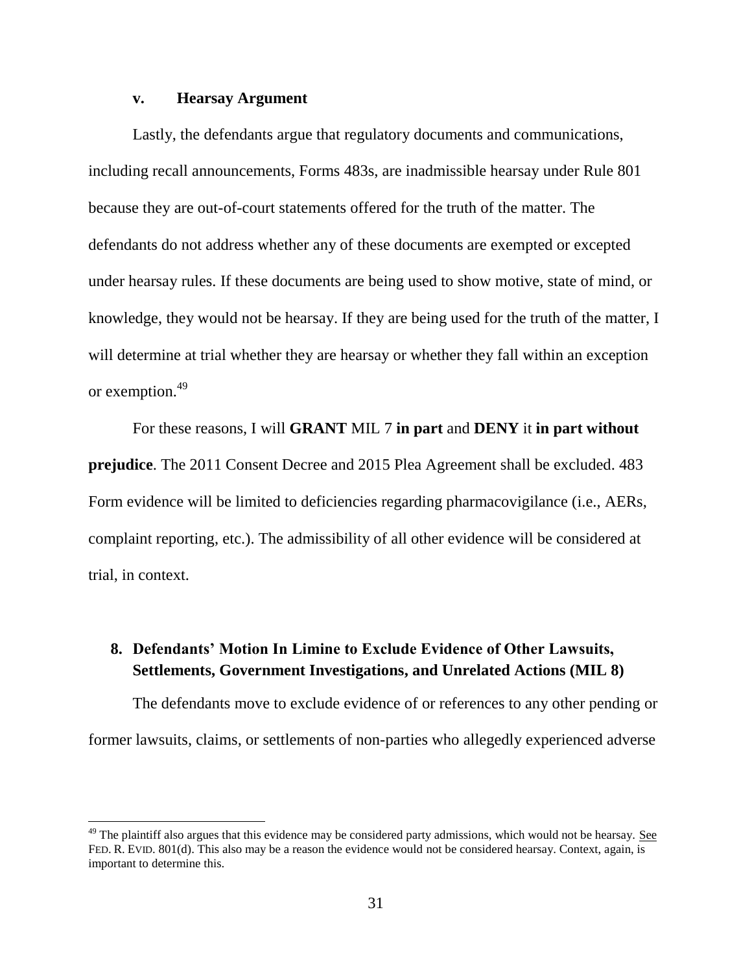#### **v. Hearsay Argument**

 $\overline{\phantom{a}}$ 

Lastly, the defendants argue that regulatory documents and communications, including recall announcements, Forms 483s, are inadmissible hearsay under Rule 801 because they are out-of-court statements offered for the truth of the matter. The defendants do not address whether any of these documents are exempted or excepted under hearsay rules. If these documents are being used to show motive, state of mind, or knowledge, they would not be hearsay. If they are being used for the truth of the matter, I will determine at trial whether they are hearsay or whether they fall within an exception or exemption.<sup>49</sup>

For these reasons, I will **GRANT** MIL 7 **in part** and **DENY** it **in part without prejudice**. The 2011 Consent Decree and 2015 Plea Agreement shall be excluded. 483 Form evidence will be limited to deficiencies regarding pharmacovigilance (i.e., AERs, complaint reporting, etc.). The admissibility of all other evidence will be considered at trial, in context.

## **8. Defendants' Motion In Limine to Exclude Evidence of Other Lawsuits, Settlements, Government Investigations, and Unrelated Actions (MIL 8)**

The defendants move to exclude evidence of or references to any other pending or former lawsuits, claims, or settlements of non-parties who allegedly experienced adverse

 $49$  The plaintiff also argues that this evidence may be considered party admissions, which would not be hearsay. See FED. R. EVID. 801(d). This also may be a reason the evidence would not be considered hearsay. Context, again, is important to determine this.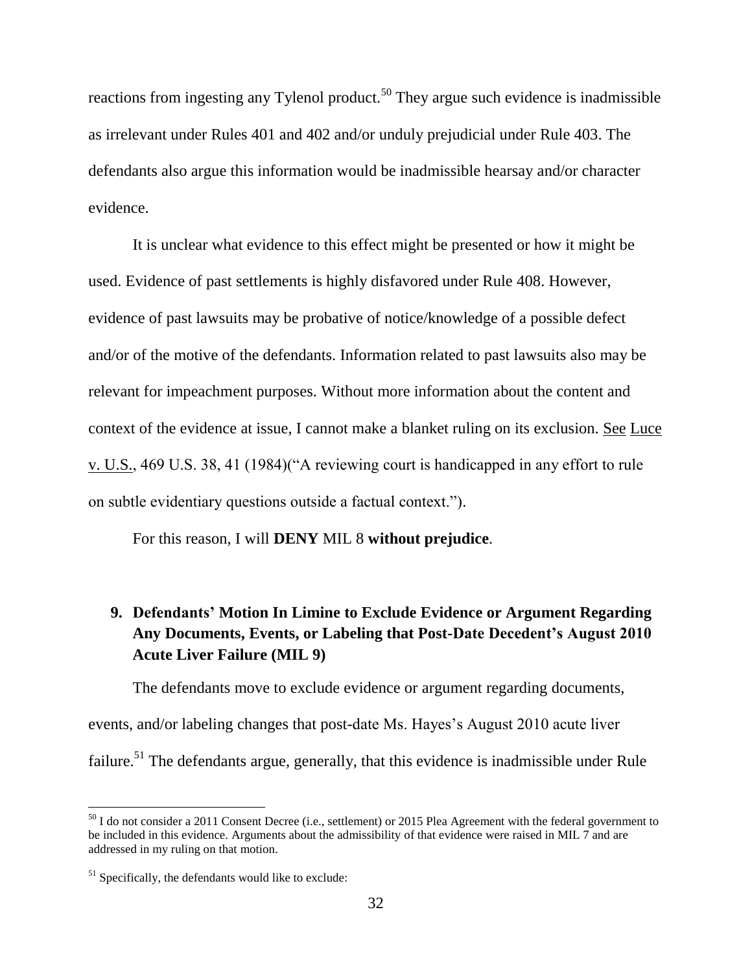reactions from ingesting any Tylenol product.<sup>50</sup> They argue such evidence is inadmissible as irrelevant under Rules 401 and 402 and/or unduly prejudicial under Rule 403. The defendants also argue this information would be inadmissible hearsay and/or character evidence.

It is unclear what evidence to this effect might be presented or how it might be used. Evidence of past settlements is highly disfavored under Rule 408. However, evidence of past lawsuits may be probative of notice/knowledge of a possible defect and/or of the motive of the defendants. Information related to past lawsuits also may be relevant for impeachment purposes. Without more information about the content and context of the evidence at issue, I cannot make a blanket ruling on its exclusion. See Luce v. U.S., 469 U.S. 38, 41 (1984)("A reviewing court is handicapped in any effort to rule on subtle evidentiary questions outside a factual context.").

For this reason, I will **DENY** MIL 8 **without prejudice**.

# **9. Defendants' Motion In Limine to Exclude Evidence or Argument Regarding Any Documents, Events, or Labeling that Post-Date Decedent's August 2010 Acute Liver Failure (MIL 9)**

The defendants move to exclude evidence or argument regarding documents, events, and/or labeling changes that post-date Ms. Hayes's August 2010 acute liver failure.<sup>51</sup> The defendants argue, generally, that this evidence is inadmissible under Rule

 $50$  I do not consider a 2011 Consent Decree (i.e., settlement) or 2015 Plea Agreement with the federal government to be included in this evidence. Arguments about the admissibility of that evidence were raised in MIL 7 and are addressed in my ruling on that motion.

 $51$  Specifically, the defendants would like to exclude: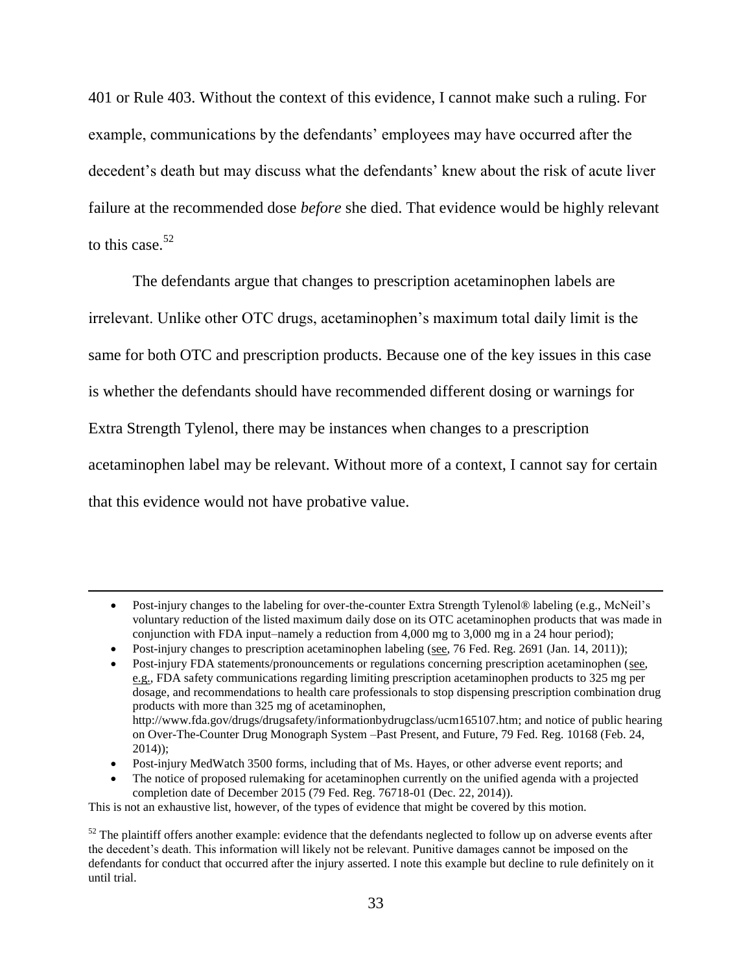401 or Rule 403. Without the context of this evidence, I cannot make such a ruling. For example, communications by the defendants' employees may have occurred after the decedent's death but may discuss what the defendants' knew about the risk of acute liver failure at the recommended dose *before* she died. That evidence would be highly relevant to this case  $52$ 

The defendants argue that changes to prescription acetaminophen labels are irrelevant. Unlike other OTC drugs, acetaminophen's maximum total daily limit is the same for both OTC and prescription products. Because one of the key issues in this case is whether the defendants should have recommended different dosing or warnings for Extra Strength Tylenol, there may be instances when changes to a prescription acetaminophen label may be relevant. Without more of a context, I cannot say for certain that this evidence would not have probative value.

- Post-injury MedWatch 3500 forms, including that of Ms. Hayes, or other adverse event reports; and
- The notice of proposed rulemaking for acetaminophen currently on the unified agenda with a projected completion date of December 2015 (79 Fed. Reg. 76718-01 (Dec. 22, 2014)).

This is not an exhaustive list, however, of the types of evidence that might be covered by this motion.

Post-injury changes to the labeling for over-the-counter Extra Strength Tylenol® labeling (e.g., McNeil's voluntary reduction of the listed maximum daily dose on its OTC acetaminophen products that was made in conjunction with FDA input–namely a reduction from 4,000 mg to 3,000 mg in a 24 hour period);

Post-injury changes to prescription acetaminophen labeling (see, 76 Fed. Reg. 2691 (Jan. 14, 2011));

Post-injury FDA statements/pronouncements or regulations concerning prescription acetaminophen (see, e.g., FDA safety communications regarding limiting prescription acetaminophen products to 325 mg per dosage, and recommendations to health care professionals to stop dispensing prescription combination drug products with more than 325 mg of acetaminophen, http://www.fda.gov/drugs/drugsafety/informationbydrugclass/ucm165107.htm; and notice of public hearing on Over-The-Counter Drug Monograph System –Past Present, and Future, 79 Fed. Reg. 10168 (Feb. 24, 2014));

 $52$  The plaintiff offers another example: evidence that the defendants neglected to follow up on adverse events after the decedent's death. This information will likely not be relevant. Punitive damages cannot be imposed on the defendants for conduct that occurred after the injury asserted. I note this example but decline to rule definitely on it until trial.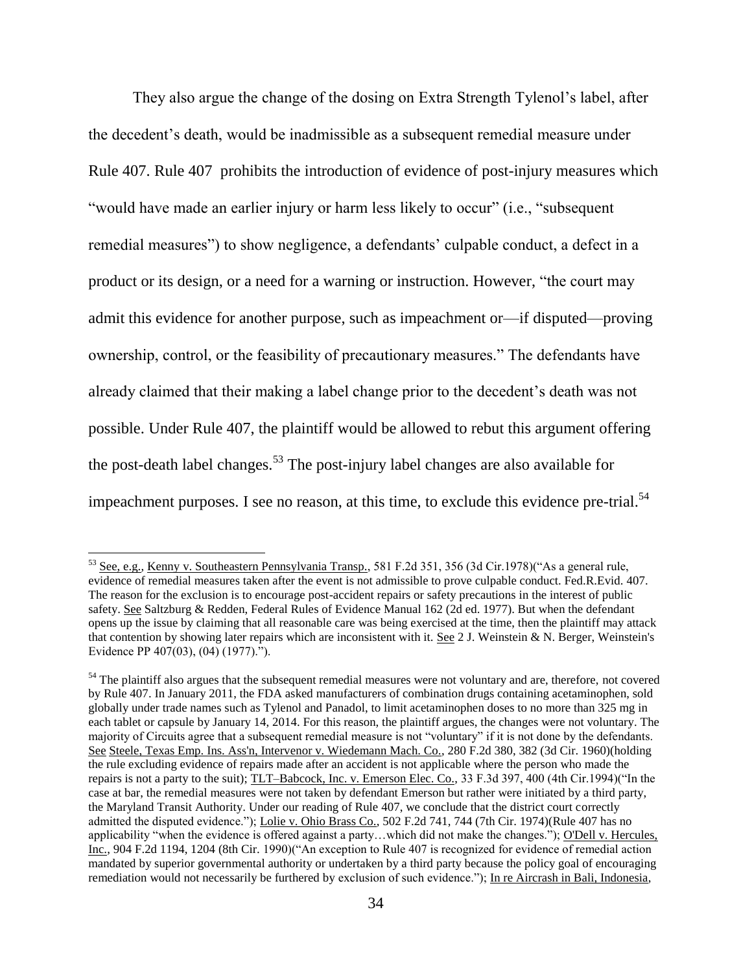They also argue the change of the dosing on Extra Strength Tylenol's label, after the decedent's death, would be inadmissible as a subsequent remedial measure under Rule 407. Rule 407 prohibits the introduction of evidence of post-injury measures which "would have made an earlier injury or harm less likely to occur" (i.e., "subsequent remedial measures") to show negligence, a defendants' culpable conduct, a defect in a product or its design, or a need for a warning or instruction. However, "the court may admit this evidence for another purpose, such as impeachment or—if disputed—proving ownership, control, or the feasibility of precautionary measures." The defendants have already claimed that their making a label change prior to the decedent's death was not possible. Under Rule 407, the plaintiff would be allowed to rebut this argument offering the post-death label changes.<sup>53</sup> The post-injury label changes are also available for impeachment purposes. I see no reason, at this time, to exclude this evidence pre-trial.<sup>54</sup>

<sup>53</sup> See, e.g., Kenny v. Southeastern Pennsylvania Transp., 581 F.2d 351, 356 (3d Cir.1978)("As a general rule, evidence of remedial measures taken after the event is not admissible to prove culpable conduct. Fed.R.Evid. 407. The reason for the exclusion is to encourage post-accident repairs or safety precautions in the interest of public safety. See Saltzburg & Redden, Federal Rules of Evidence Manual 162 (2d ed. 1977). But when the defendant opens up the issue by claiming that all reasonable care was being exercised at the time, then the plaintiff may attack that contention by showing later repairs which are inconsistent with it. See 2 J. Weinstein & N. Berger, Weinstein's Evidence PP 407(03), (04) (1977).").

 $54$  The plaintiff also argues that the subsequent remedial measures were not voluntary and are, therefore, not covered by Rule 407. In January 2011, the FDA asked manufacturers of combination drugs containing acetaminophen, sold globally under trade names such as Tylenol and Panadol, to limit acetaminophen doses to no more than 325 mg in each tablet or capsule by January 14, 2014. For this reason, the plaintiff argues, the changes were not voluntary. The majority of Circuits agree that a subsequent remedial measure is not "voluntary" if it is not done by the defendants. See Steele, Texas Emp. Ins. Ass'n, Intervenor v. Wiedemann Mach. Co., 280 F.2d 380, 382 (3d Cir. 1960)(holding the rule excluding evidence of repairs made after an accident is not applicable where the person who made the repairs is not a party to the suit); TLT–Babcock, Inc. v. Emerson Elec. Co., 33 F.3d 397, 400 (4th Cir.1994)("In the case at bar, the remedial measures were not taken by defendant Emerson but rather were initiated by a third party, the Maryland Transit Authority. Under our reading of Rule 407, we conclude that the district court correctly admitted the disputed evidence."); Lolie v. Ohio Brass Co., 502 F.2d 741, 744 (7th Cir. 1974)(Rule 407 has no applicability "when the evidence is offered against a party…which did not make the changes."); O'Dell v. Hercules, Inc., 904 F.2d 1194, 1204 (8th Cir. 1990)("An exception to Rule 407 is recognized for evidence of remedial action mandated by superior governmental authority or undertaken by a third party because the policy goal of encouraging remediation would not necessarily be furthered by exclusion of such evidence."); In re Aircrash in Bali, Indonesia,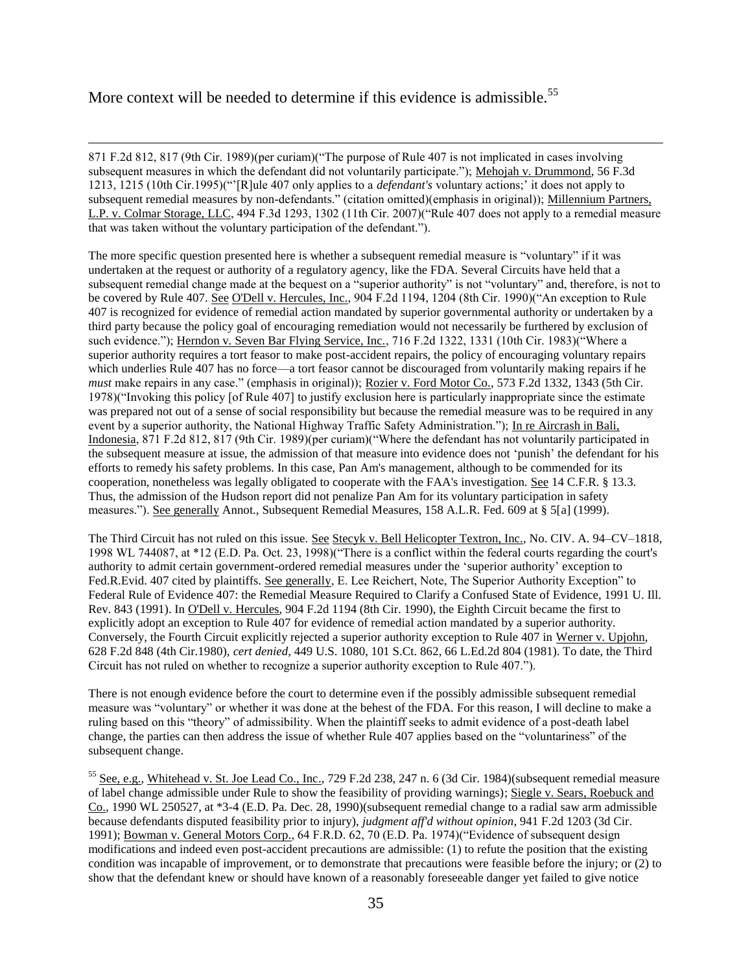# More context will be needed to determine if this evidence is admissible.<sup>55</sup>

 $\overline{\phantom{a}}$ 

871 F.2d 812, 817 (9th Cir. 1989)(per curiam)("The purpose of Rule 407 is not implicated in cases involving subsequent measures in which the defendant did not voluntarily participate."); Mehojah v. Drummond, 56 F.3d 1213, 1215 (10th Cir.1995)("'[R]ule 407 only applies to a *defendant's* voluntary actions;' it does not apply to subsequent remedial measures by non-defendants." (citation omitted)(emphasis in original)); Millennium Partners, L.P. v. Colmar Storage, LLC, 494 F.3d 1293, 1302 (11th Cir. 2007)("Rule 407 does not apply to a remedial measure that was taken without the voluntary participation of the defendant.").

The more specific question presented here is whether a subsequent remedial measure is "voluntary" if it was undertaken at the request or authority of a regulatory agency, like the FDA. Several Circuits have held that a subsequent remedial change made at the bequest on a "superior authority" is not "voluntary" and, therefore, is not to be covered by Rule 407. See O'Dell v. Hercules, Inc., 904 F.2d 1194, 1204 (8th Cir. 1990)("An exception to Rule 407 is recognized for evidence of remedial action mandated by superior governmental authority or undertaken by a third party because the policy goal of encouraging remediation would not necessarily be furthered by exclusion of such evidence."); Herndon v. Seven Bar Flying Service, Inc., 716 F.2d 1322, 1331 (10th Cir. 1983)("Where a superior authority requires a tort feasor to make post-accident repairs, the policy of encouraging voluntary repairs which underlies Rule 407 has no force—a tort feasor cannot be discouraged from voluntarily making repairs if he *must* make repairs in any case." (emphasis in original)); Rozier v. Ford Motor Co., 573 F.2d 1332, 1343 (5th Cir. 1978)("Invoking this policy [of Rule 407] to justify exclusion here is particularly inappropriate since the estimate was prepared not out of a sense of social responsibility but because the remedial measure was to be required in any event by a superior authority, the National Highway Traffic Safety Administration."); In re Aircrash in Bali, Indonesia, 871 F.2d 812, 817 (9th Cir. 1989)(per curiam)("Where the defendant has not voluntarily participated in the subsequent measure at issue, the admission of that measure into evidence does not 'punish' the defendant for his efforts to remedy his safety problems. In this case, Pan Am's management, although to be commended for its cooperation, nonetheless was legally obligated to cooperate with the FAA's investigation. See 14 C.F.R. § 13.3. Thus, the admission of the Hudson report did not penalize Pan Am for its voluntary participation in safety measures."). See generally Annot., Subsequent Remedial Measures, 158 A.L.R. Fed. 609 at § 5[a] (1999).

The Third Circuit has not ruled on this issue. See Stecyk v. Bell Helicopter Textron, Inc., No. CIV. A. 94–CV–1818, 1998 WL 744087, at \*12 (E.D. Pa. Oct. 23, 1998)("There is a conflict within the federal courts regarding the court's authority to admit certain government-ordered remedial measures under the 'superior authority' exception to Fed.R.Evid. 407 cited by plaintiffs. See generally, E. Lee Reichert, Note, The Superior Authority Exception" to Federal Rule of Evidence 407: the Remedial Measure Required to Clarify a Confused State of Evidence, 1991 U. Ill. Rev. 843 (1991). In O'Dell v. Hercules, 904 F.2d 1194 (8th Cir. 1990), the Eighth Circuit became the first to explicitly adopt an exception to Rule 407 for evidence of remedial action mandated by a superior authority. Conversely, the Fourth Circuit explicitly rejected a superior authority exception to Rule 407 in Werner v. Upjohn, 628 F.2d 848 (4th Cir.1980), *cert denied*, 449 U.S. 1080, 101 S.Ct. 862, 66 L.Ed.2d 804 (1981). To date, the Third Circuit has not ruled on whether to recognize a superior authority exception to Rule 407.").

There is not enough evidence before the court to determine even if the possibly admissible subsequent remedial measure was "voluntary" or whether it was done at the behest of the FDA. For this reason, I will decline to make a ruling based on this "theory" of admissibility. When the plaintiff seeks to admit evidence of a post-death label change, the parties can then address the issue of whether Rule 407 applies based on the "voluntariness" of the subsequent change.

<sup>55</sup> See, e.g., Whitehead v. St. Joe Lead Co., Inc., 729 F.2d 238, 247 n. 6 (3d Cir. 1984)(subsequent remedial measure of label change admissible under Rule to show the feasibility of providing warnings); Siegle v. Sears, Roebuck and Co., 1990 WL 250527, at \*3-4 (E.D. Pa. Dec. 28, 1990)(subsequent remedial change to a radial saw arm admissible because defendants disputed feasibility prior to injury), *judgment aff'd without opinion*, 941 F.2d 1203 (3d Cir. 1991); Bowman v. General Motors Corp., 64 F.R.D. 62, 70 (E.D. Pa. 1974)("Evidence of subsequent design modifications and indeed even post-accident precautions are admissible: (1) to refute the position that the existing condition was incapable of improvement, or to demonstrate that precautions were feasible before the injury; or (2) to show that the defendant knew or should have known of a reasonably foreseeable danger yet failed to give notice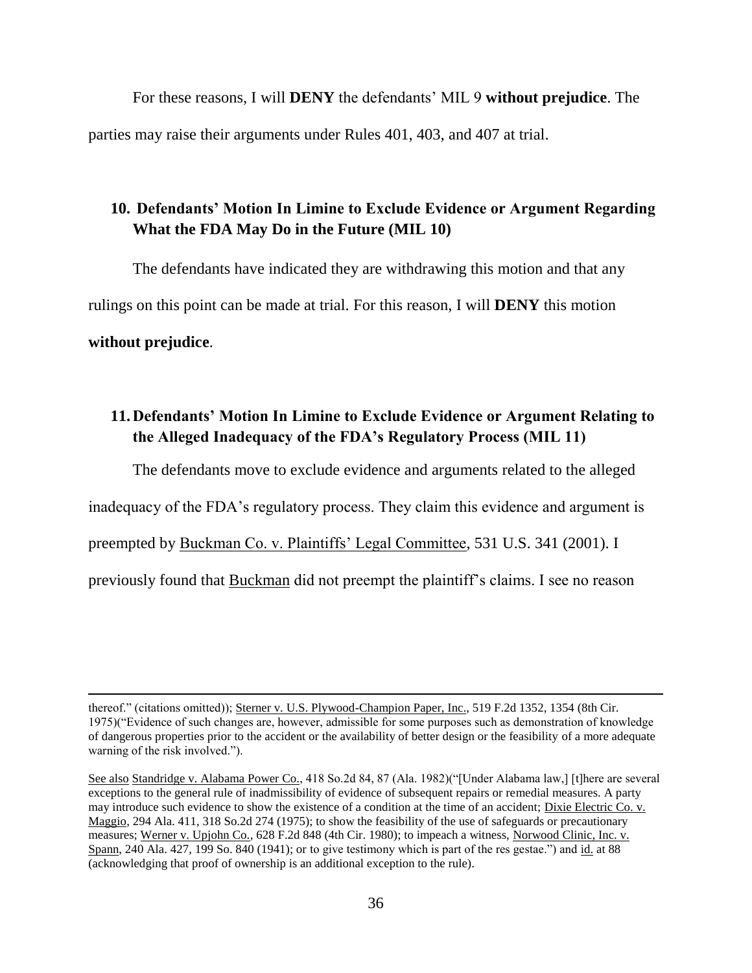For these reasons, I will **DENY** the defendants' MIL 9 **without prejudice**. The parties may raise their arguments under Rules 401, 403, and 407 at trial.

# **10. Defendants' Motion In Limine to Exclude Evidence or Argument Regarding What the FDA May Do in the Future (MIL 10)**

The defendants have indicated they are withdrawing this motion and that any rulings on this point can be made at trial. For this reason, I will **DENY** this motion **without prejudice**.

# **11.Defendants' Motion In Limine to Exclude Evidence or Argument Relating to the Alleged Inadequacy of the FDA's Regulatory Process (MIL 11)**

The defendants move to exclude evidence and arguments related to the alleged inadequacy of the FDA's regulatory process. They claim this evidence and argument is preempted by Buckman Co. v. Plaintiffs' Legal Committee, 531 U.S. 341 (2001). I

previously found that Buckman did not preempt the plaintiff's claims. I see no reason

thereof." (citations omitted)); Sterner v. U.S. Plywood-Champion Paper, Inc., 519 F.2d 1352, 1354 (8th Cir. 1975)("Evidence of such changes are, however, admissible for some purposes such as demonstration of knowledge of dangerous properties prior to the accident or the availability of better design or the feasibility of a more adequate warning of the risk involved.").

See also Standridge v. Alabama Power Co., 418 So.2d 84, 87 (Ala. 1982)("[Under Alabama law,] [t]here are several exceptions to the general rule of inadmissibility of evidence of subsequent repairs or remedial measures. A party may introduce such evidence to show the existence of a condition at the time of an accident; Dixie Electric Co. v. Maggio, 294 Ala. 411, 318 So.2d 274 (1975); to show the feasibility of the use of safeguards or precautionary measures; Werner v. Upjohn Co., 628 F.2d 848 (4th Cir. 1980); to impeach a witness, Norwood Clinic, Inc. v. Spann, 240 Ala. 427, 199 So. 840 (1941); or to give testimony which is part of the res gestae.") and id. at 88 (acknowledging that proof of ownership is an additional exception to the rule).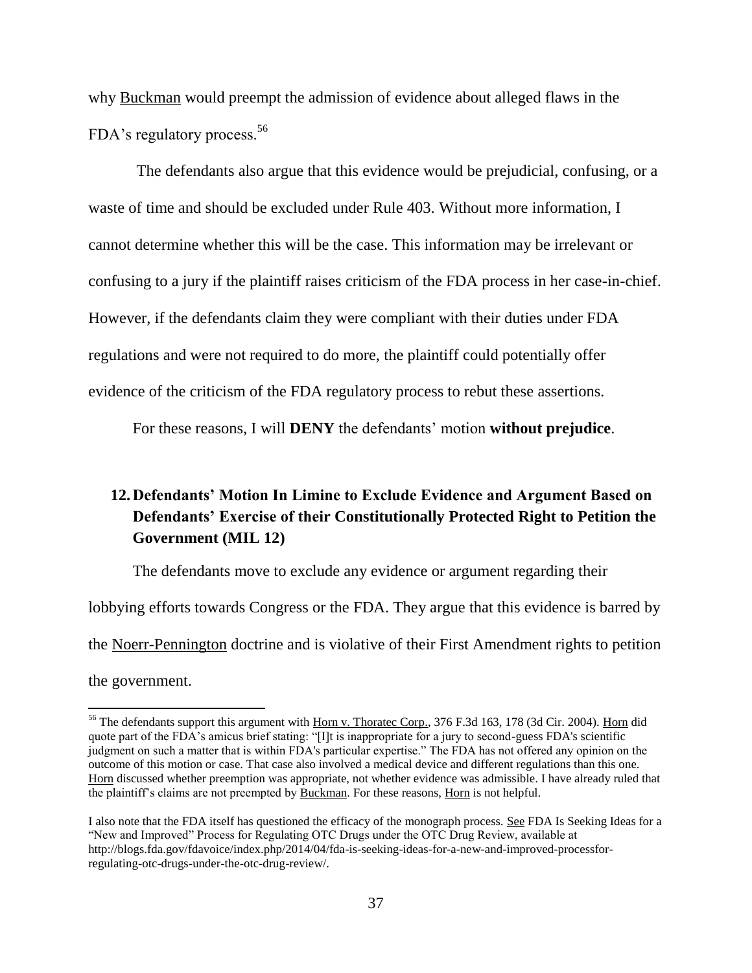why Buckman would preempt the admission of evidence about alleged flaws in the FDA's regulatory process.<sup>56</sup>

The defendants also argue that this evidence would be prejudicial, confusing, or a waste of time and should be excluded under Rule 403. Without more information, I cannot determine whether this will be the case. This information may be irrelevant or confusing to a jury if the plaintiff raises criticism of the FDA process in her case-in-chief. However, if the defendants claim they were compliant with their duties under FDA regulations and were not required to do more, the plaintiff could potentially offer evidence of the criticism of the FDA regulatory process to rebut these assertions.

For these reasons, I will **DENY** the defendants' motion **without prejudice**.

# **12.Defendants' Motion In Limine to Exclude Evidence and Argument Based on Defendants' Exercise of their Constitutionally Protected Right to Petition the Government (MIL 12)**

The defendants move to exclude any evidence or argument regarding their lobbying efforts towards Congress or the FDA. They argue that this evidence is barred by the Noerr-Pennington doctrine and is violative of their First Amendment rights to petition the government.

<sup>&</sup>lt;sup>56</sup> The defendants support this argument with Horn v. Thoratec Corp., 376 F.3d 163, 178 (3d Cir. 2004). Horn did quote part of the FDA's amicus brief stating: "[I]t is inappropriate for a jury to second-guess FDA's scientific judgment on such a matter that is within FDA's particular expertise." The FDA has not offered any opinion on the outcome of this motion or case. That case also involved a medical device and different regulations than this one. Horn discussed whether preemption was appropriate, not whether evidence was admissible. I have already ruled that the plaintiff's claims are not preempted by Buckman. For these reasons, Horn is not helpful.

I also note that the FDA itself has questioned the efficacy of the monograph process. See FDA Is Seeking Ideas for a "New and Improved" Process for Regulating OTC Drugs under the OTC Drug Review, available at http://blogs.fda.gov/fdavoice/index.php/2014/04/fda-is-seeking-ideas-for-a-new-and-improved-processforregulating-otc-drugs-under-the-otc-drug-review/.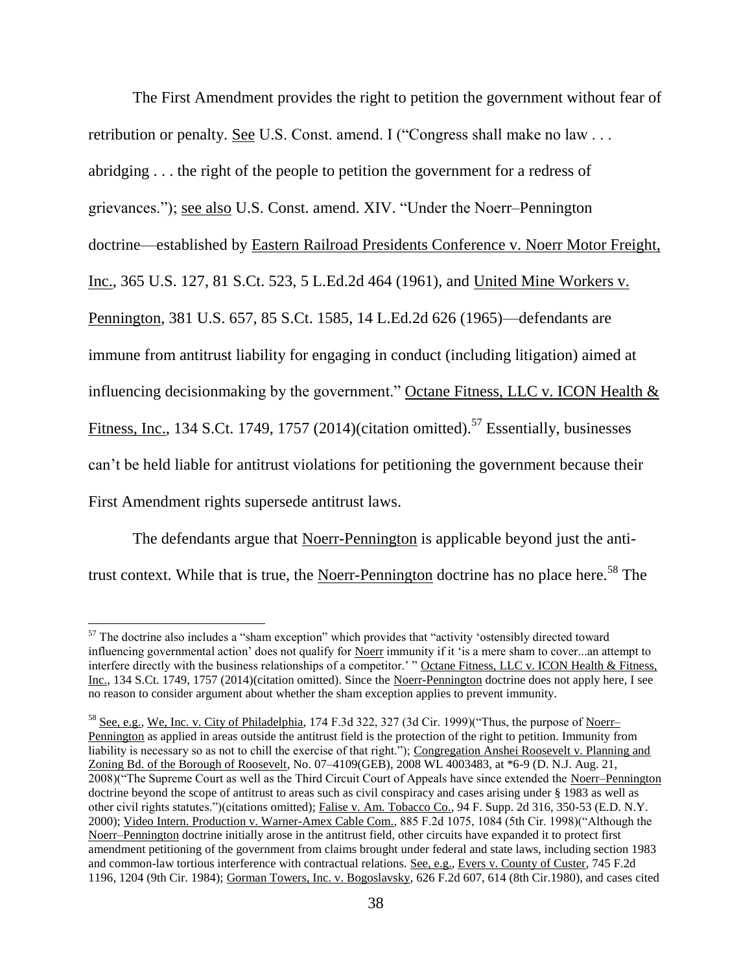The First Amendment provides the right to petition the government without fear of retribution or penalty. See U.S. Const. amend. I ("Congress shall make no law ... abridging . . . the right of the people to petition the government for a redress of grievances."); see also U.S. Const. amend. XIV. "Under the Noerr–Pennington doctrine—established by Eastern Railroad Presidents Conference v. Noerr Motor Freight, Inc., 365 U.S. 127, 81 S.Ct. 523, 5 L.Ed.2d 464 (1961), and United Mine Workers v. Pennington, 381 U.S. 657, 85 S.Ct. 1585, 14 L.Ed.2d 626 (1965)—defendants are immune from antitrust liability for engaging in conduct (including litigation) aimed at influencing decisionmaking by the government." Octane Fitness, LLC v. ICON Health & Fitness, Inc., 134 S.Ct. 1749, 1757 (2014)(citation omitted).<sup>57</sup> Essentially, businesses can't be held liable for antitrust violations for petitioning the government because their First Amendment rights supersede antitrust laws.

The defendants argue that Noerr-Pennington is applicable beyond just the antitrust context. While that is true, the Noerr-Pennington doctrine has no place here.<sup>58</sup> The

 $\overline{a}$  $57$  The doctrine also includes a "sham exception" which provides that "activity 'ostensibly directed toward influencing governmental action' does not qualify for Noerr immunity if it 'is a mere sham to cover...an attempt to interfere directly with the business relationships of a competitor.' " Octane Fitness, LLC v. ICON Health & Fitness, Inc., 134 S.Ct. 1749, 1757 (2014)(citation omitted). Since the Noerr-Pennington doctrine does not apply here, I see no reason to consider argument about whether the sham exception applies to prevent immunity.

<sup>58</sup> See, e.g., We, Inc. v. City of Philadelphia, 174 F.3d 322, 327 (3d Cir. 1999)("Thus, the purpose of Noerr– Pennington as applied in areas outside the antitrust field is the protection of the right to petition. Immunity from liability is necessary so as not to chill the exercise of that right."); Congregation Anshei Roosevelt v. Planning and Zoning Bd. of the Borough of Roosevelt, No. 07–4109(GEB), 2008 WL 4003483, at \*6-9 (D. N.J. Aug. 21, 2008)("The Supreme Court as well as the Third Circuit Court of Appeals have since extended the Noerr–Pennington doctrine beyond the scope of antitrust to areas such as civil conspiracy and cases arising under § 1983 as well as other civil rights statutes.")(citations omitted); Falise v. Am. Tobacco Co., 94 F. Supp. 2d 316, 350-53 (E.D. N.Y. 2000); Video Intern. Production v. Warner-Amex Cable Com., 885 F.2d 1075, 1084 (5th Cir. 1998)("Although the Noerr–Pennington doctrine initially arose in the antitrust field, other circuits have expanded it to protect first amendment petitioning of the government from claims brought under federal and state laws, including section 1983 and common-law tortious interference with contractual relations. See, e.g., Evers v. County of Custer, 745 F.2d 1196, 1204 (9th Cir. 1984); Gorman Towers, Inc. v. Bogoslavsky, 626 F.2d 607, 614 (8th Cir.1980), and cases cited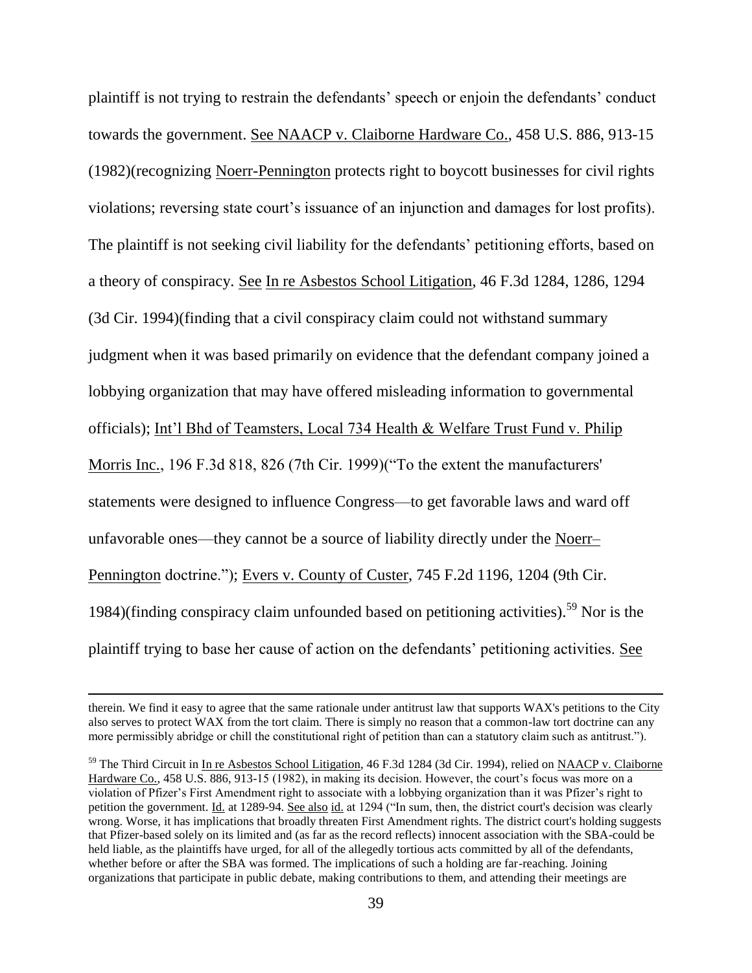plaintiff is not trying to restrain the defendants' speech or enjoin the defendants' conduct towards the government. See NAACP v. Claiborne Hardware Co., 458 U.S. 886, 913-15 (1982)(recognizing Noerr-Pennington protects right to boycott businesses for civil rights violations; reversing state court's issuance of an injunction and damages for lost profits). The plaintiff is not seeking civil liability for the defendants' petitioning efforts, based on a theory of conspiracy. See In re Asbestos School Litigation, 46 F.3d 1284, 1286, 1294 (3d Cir. 1994)(finding that a civil conspiracy claim could not withstand summary judgment when it was based primarily on evidence that the defendant company joined a lobbying organization that may have offered misleading information to governmental officials); Int'l Bhd of Teamsters, Local 734 Health & Welfare Trust Fund v. Philip Morris Inc., 196 F.3d 818, 826 (7th Cir. 1999)("To the extent the manufacturers' statements were designed to influence Congress—to get favorable laws and ward off unfavorable ones—they cannot be a source of liability directly under the Noerr– Pennington doctrine."); Evers v. County of Custer, 745 F.2d 1196, 1204 (9th Cir. 1984)(finding conspiracy claim unfounded based on petitioning activities).<sup>59</sup> Nor is the plaintiff trying to base her cause of action on the defendants' petitioning activities. See

therein. We find it easy to agree that the same rationale under antitrust law that supports WAX's petitions to the City also serves to protect WAX from the tort claim. There is simply no reason that a common-law tort doctrine can any more permissibly abridge or chill the constitutional right of petition than can a statutory claim such as antitrust.").

<sup>&</sup>lt;sup>59</sup> The Third Circuit in In re Asbestos School Litigation, 46 F.3d 1284 (3d Cir. 1994), relied on NAACP v. Claiborne Hardware Co., 458 U.S. 886, 913-15 (1982), in making its decision. However, the court's focus was more on a violation of Pfizer's First Amendment right to associate with a lobbying organization than it was Pfizer's right to petition the government. Id. at 1289-94. See also id. at 1294 ("In sum, then, the district court's decision was clearly wrong. Worse, it has implications that broadly threaten First Amendment rights. The district court's holding suggests that Pfizer-based solely on its limited and (as far as the record reflects) innocent association with the SBA-could be held liable, as the plaintiffs have urged, for all of the allegedly tortious acts committed by all of the defendants, whether before or after the SBA was formed. The implications of such a holding are far-reaching. Joining organizations that participate in public debate, making contributions to them, and attending their meetings are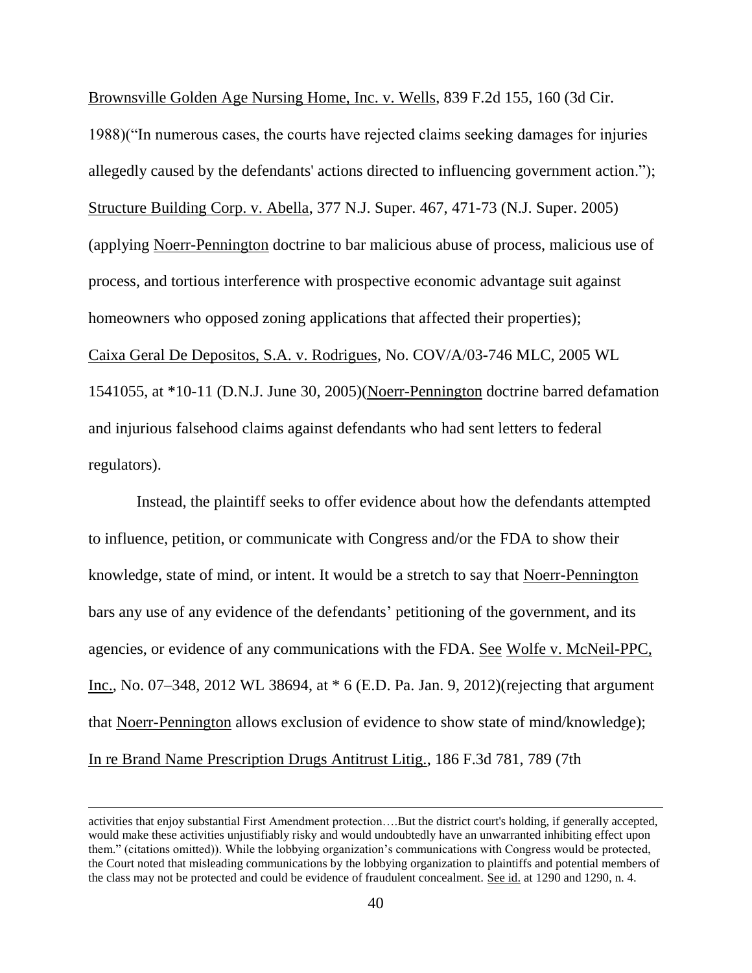Brownsville Golden Age Nursing Home, Inc. v. Wells, 839 F.2d 155, 160 (3d Cir.

1988)("In numerous cases, the courts have rejected claims seeking damages for injuries allegedly caused by the defendants' actions directed to influencing government action."); Structure Building Corp. v. Abella, 377 N.J. Super. 467, 471-73 (N.J. Super. 2005) (applying Noerr-Pennington doctrine to bar malicious abuse of process, malicious use of process, and tortious interference with prospective economic advantage suit against homeowners who opposed zoning applications that affected their properties); Caixa Geral De Depositos, S.A. v. Rodrigues, No. COV/A/03-746 MLC, 2005 WL 1541055, at \*10-11 (D.N.J. June 30, 2005)(Noerr-Pennington doctrine barred defamation and injurious falsehood claims against defendants who had sent letters to federal regulators).

Instead, the plaintiff seeks to offer evidence about how the defendants attempted to influence, petition, or communicate with Congress and/or the FDA to show their knowledge, state of mind, or intent. It would be a stretch to say that Noerr-Pennington bars any use of any evidence of the defendants' petitioning of the government, and its agencies, or evidence of any communications with the FDA. See Wolfe v. McNeil-PPC, Inc., No. 07–348, 2012 WL 38694, at \* 6 (E.D. Pa. Jan. 9, 2012)(rejecting that argument that Noerr-Pennington allows exclusion of evidence to show state of mind/knowledge); In re Brand Name Prescription Drugs Antitrust Litig., 186 F.3d 781, 789 (7th

activities that enjoy substantial First Amendment protection….But the district court's holding, if generally accepted, would make these activities unjustifiably risky and would undoubtedly have an unwarranted inhibiting effect upon them." (citations omitted)). While the lobbying organization's communications with Congress would be protected, the Court noted that misleading communications by the lobbying organization to plaintiffs and potential members of the class may not be protected and could be evidence of fraudulent concealment. See id. at 1290 and 1290, n. 4.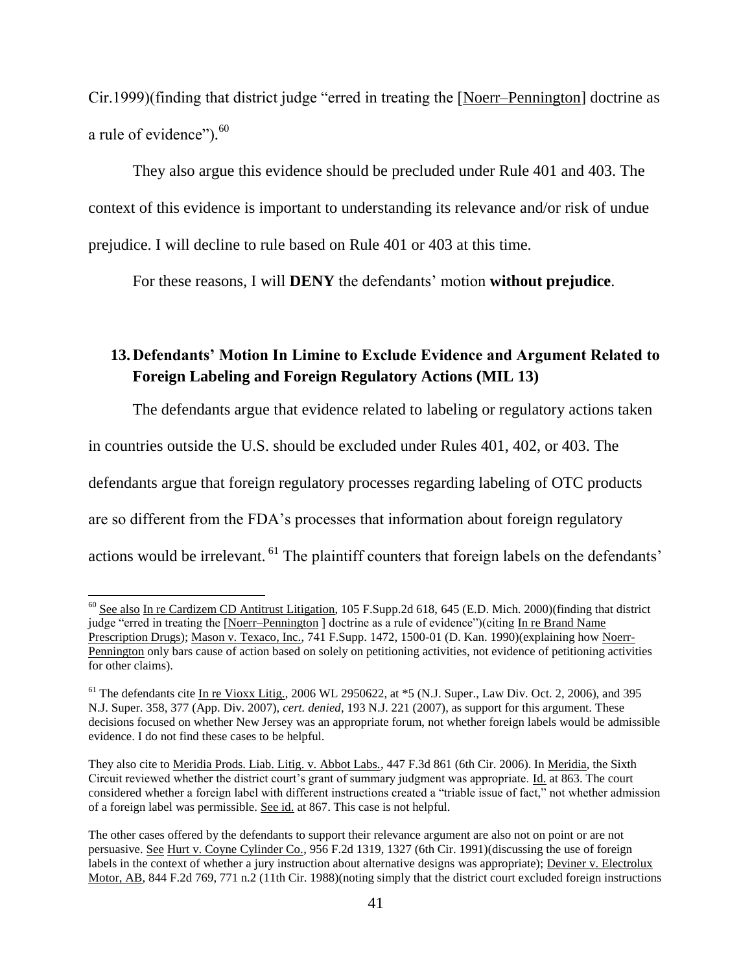Cir.1999)(finding that district judge "erred in treating the [Noerr–Pennington] doctrine as a rule of evidence").<sup>60</sup>

They also argue this evidence should be precluded under Rule 401 and 403. The context of this evidence is important to understanding its relevance and/or risk of undue prejudice. I will decline to rule based on Rule 401 or 403 at this time.

For these reasons, I will **DENY** the defendants' motion **without prejudice**.

# **13.Defendants' Motion In Limine to Exclude Evidence and Argument Related to Foreign Labeling and Foreign Regulatory Actions (MIL 13)**

The defendants argue that evidence related to labeling or regulatory actions taken in countries outside the U.S. should be excluded under Rules 401, 402, or 403. The defendants argue that foreign regulatory processes regarding labeling of OTC products are so different from the FDA's processes that information about foreign regulatory actions would be irrelevant. <sup>61</sup> The plaintiff counters that foreign labels on the defendants'

 $60$  See also In re Cardizem CD Antitrust Litigation, 105 F.Supp.2d 618, 645 (E.D. Mich. 2000)(finding that district judge "erred in treating the [Noerr–Pennington ] doctrine as a rule of evidence")(citing In re Brand Name Prescription Drugs); Mason v. Texaco, Inc., 741 F.Supp. 1472, 1500-01 (D. Kan. 1990)(explaining how Noerr-Pennington only bars cause of action based on solely on petitioning activities, not evidence of petitioning activities for other claims).

<sup>&</sup>lt;sup>61</sup> The defendants cite In re Vioxx Litig., 2006 WL 2950622, at \*5 (N.J. Super., Law Div. Oct. 2, 2006), and 395 N.J. Super. 358, 377 (App. Div. 2007), *cert. denied*, 193 N.J. 221 (2007), as support for this argument. These decisions focused on whether New Jersey was an appropriate forum, not whether foreign labels would be admissible evidence. I do not find these cases to be helpful.

They also cite to Meridia Prods. Liab. Litig. v. Abbot Labs., 447 F.3d 861 (6th Cir. 2006). In Meridia, the Sixth Circuit reviewed whether the district court's grant of summary judgment was appropriate. Id. at 863. The court considered whether a foreign label with different instructions created a "triable issue of fact," not whether admission of a foreign label was permissible. See id. at 867. This case is not helpful.

The other cases offered by the defendants to support their relevance argument are also not on point or are not persuasive. See Hurt v. Coyne Cylinder Co., 956 F.2d 1319, 1327 (6th Cir. 1991)(discussing the use of foreign labels in the context of whether a jury instruction about alternative designs was appropriate); Deviner v. Electrolux Motor, AB, 844 F.2d 769, 771 n.2 (11th Cir. 1988)(noting simply that the district court excluded foreign instructions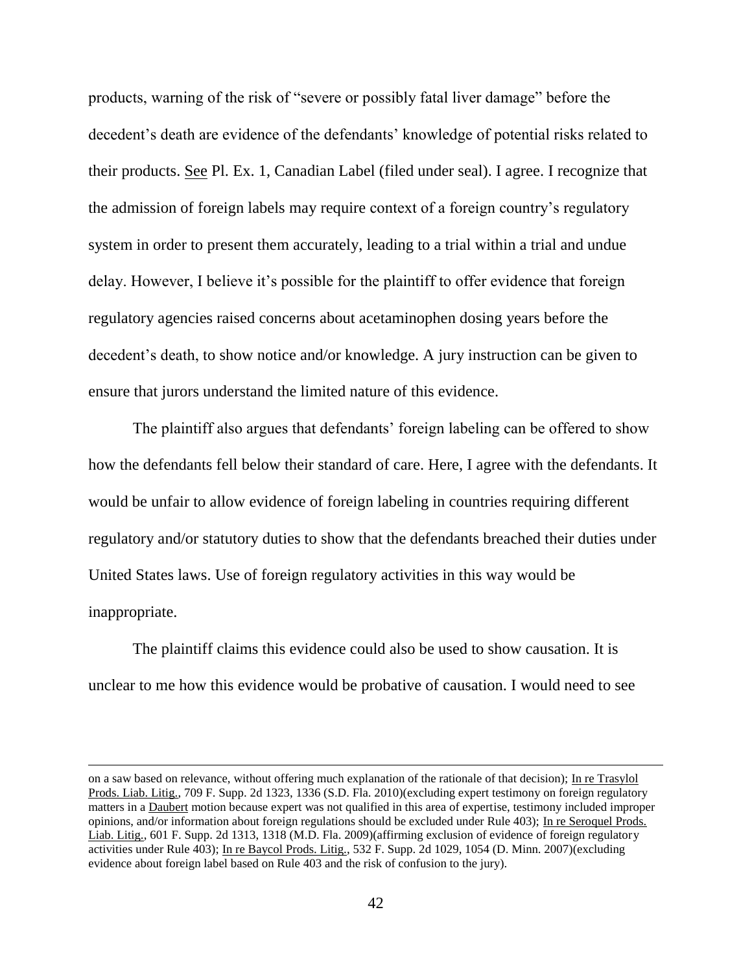products, warning of the risk of "severe or possibly fatal liver damage" before the decedent's death are evidence of the defendants' knowledge of potential risks related to their products. See Pl. Ex. 1, Canadian Label (filed under seal). I agree. I recognize that the admission of foreign labels may require context of a foreign country's regulatory system in order to present them accurately, leading to a trial within a trial and undue delay. However, I believe it's possible for the plaintiff to offer evidence that foreign regulatory agencies raised concerns about acetaminophen dosing years before the decedent's death, to show notice and/or knowledge. A jury instruction can be given to ensure that jurors understand the limited nature of this evidence.

The plaintiff also argues that defendants' foreign labeling can be offered to show how the defendants fell below their standard of care. Here, I agree with the defendants. It would be unfair to allow evidence of foreign labeling in countries requiring different regulatory and/or statutory duties to show that the defendants breached their duties under United States laws. Use of foreign regulatory activities in this way would be inappropriate.

The plaintiff claims this evidence could also be used to show causation. It is unclear to me how this evidence would be probative of causation. I would need to see

on a saw based on relevance, without offering much explanation of the rationale of that decision); In re Trasylol Prods. Liab. Litig., 709 F. Supp. 2d 1323, 1336 (S.D. Fla. 2010)(excluding expert testimony on foreign regulatory matters in a Daubert motion because expert was not qualified in this area of expertise, testimony included improper opinions, and/or information about foreign regulations should be excluded under Rule 403); In re Seroquel Prods. Liab. Litig., 601 F. Supp. 2d 1313, 1318 (M.D. Fla. 2009)(affirming exclusion of evidence of foreign regulatory activities under Rule 403); In re Baycol Prods. Litig., 532 F. Supp. 2d 1029, 1054 (D. Minn. 2007)(excluding evidence about foreign label based on Rule 403 and the risk of confusion to the jury).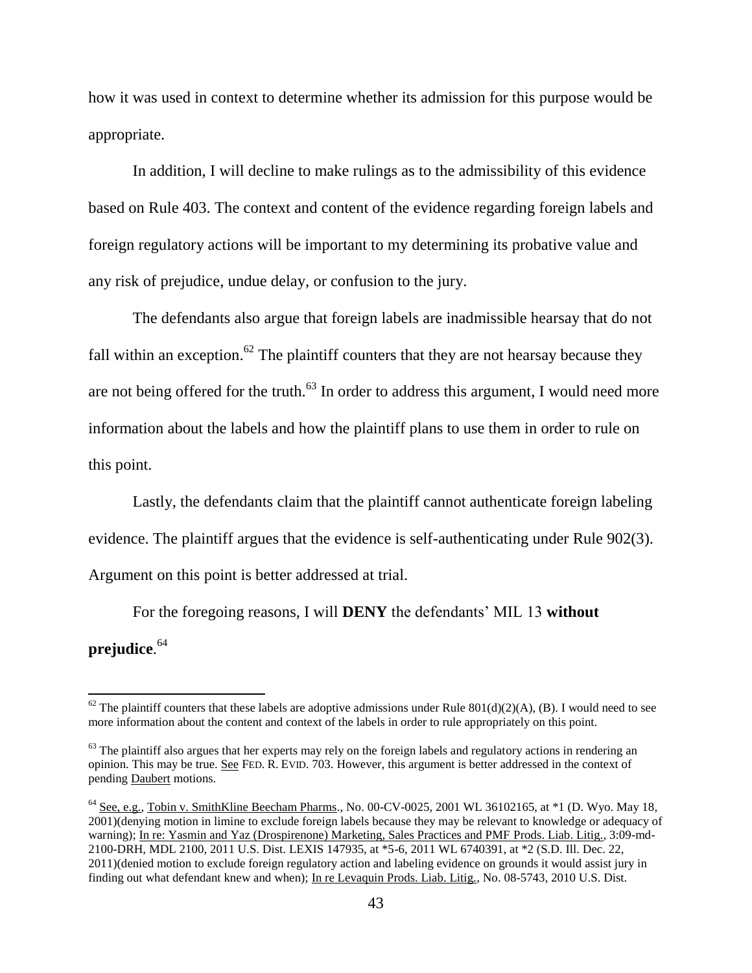how it was used in context to determine whether its admission for this purpose would be appropriate.

In addition, I will decline to make rulings as to the admissibility of this evidence based on Rule 403. The context and content of the evidence regarding foreign labels and foreign regulatory actions will be important to my determining its probative value and any risk of prejudice, undue delay, or confusion to the jury.

The defendants also argue that foreign labels are inadmissible hearsay that do not fall within an exception.<sup>62</sup> The plaintiff counters that they are not hearsay because they are not being offered for the truth.<sup>63</sup> In order to address this argument, I would need more information about the labels and how the plaintiff plans to use them in order to rule on this point.

Lastly, the defendants claim that the plaintiff cannot authenticate foreign labeling evidence. The plaintiff argues that the evidence is self-authenticating under Rule 902(3). Argument on this point is better addressed at trial.

For the foregoing reasons, I will **DENY** the defendants' MIL 13 **without prejudice**. 64

 $62$  The plaintiff counters that these labels are adoptive admissions under Rule 801(d)(2)(A), (B). I would need to see more information about the content and context of the labels in order to rule appropriately on this point.

 $63$  The plaintiff also argues that her experts may rely on the foreign labels and regulatory actions in rendering an opinion. This may be true. See FED. R. EVID. 703. However, this argument is better addressed in the context of pending Daubert motions.

 $64$  See, e.g., Tobin v. SmithKline Beecham Pharms., No. 00-CV-0025, 2001 WL 36102165, at  $*1$  (D. Wyo. May 18, 2001)(denying motion in limine to exclude foreign labels because they may be relevant to knowledge or adequacy of warning); In re: Yasmin and Yaz (Drospirenone) Marketing, Sales Practices and PMF Prods. Liab. Litig., 3:09-md-2100-DRH, MDL 2100, 2011 U.S. Dist. LEXIS 147935, at \*5-6, 2011 WL 6740391, at \*2 (S.D. Ill. Dec. 22, 2011)(denied motion to exclude foreign regulatory action and labeling evidence on grounds it would assist jury in finding out what defendant knew and when); In re Levaquin Prods. Liab. Litig., No. 08-5743, 2010 U.S. Dist.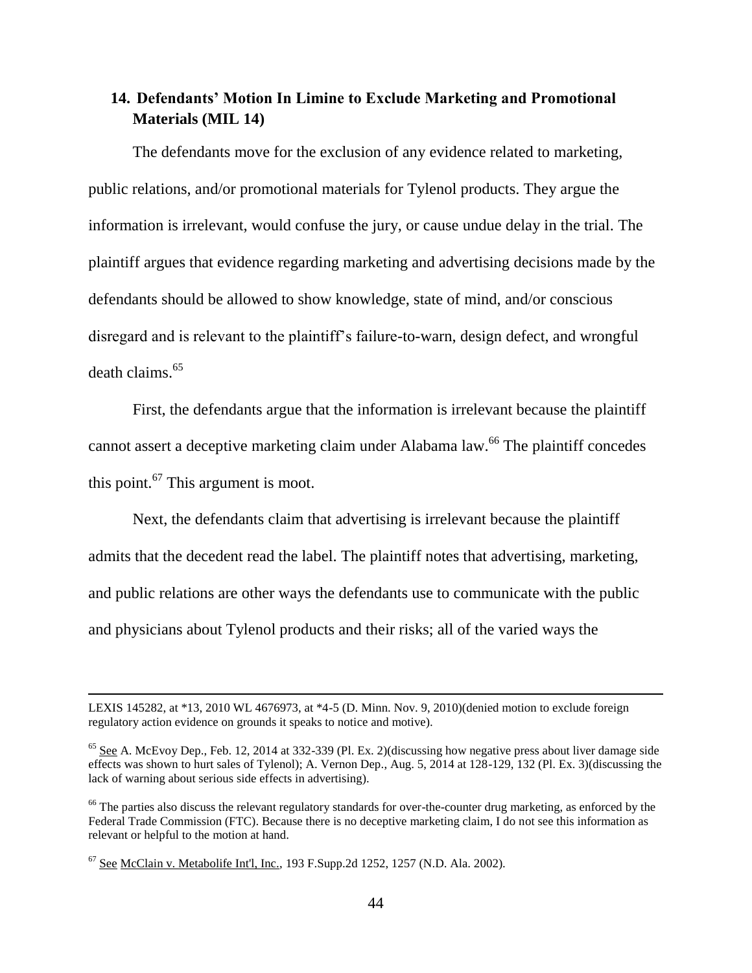### **14. Defendants' Motion In Limine to Exclude Marketing and Promotional Materials (MIL 14)**

The defendants move for the exclusion of any evidence related to marketing, public relations, and/or promotional materials for Tylenol products. They argue the information is irrelevant, would confuse the jury, or cause undue delay in the trial. The plaintiff argues that evidence regarding marketing and advertising decisions made by the defendants should be allowed to show knowledge, state of mind, and/or conscious disregard and is relevant to the plaintiff's failure-to-warn, design defect, and wrongful death claims.<sup>65</sup>

First, the defendants argue that the information is irrelevant because the plaintiff cannot assert a deceptive marketing claim under Alabama law.<sup>66</sup> The plaintiff concedes this point.<sup>67</sup> This argument is moot.

Next, the defendants claim that advertising is irrelevant because the plaintiff admits that the decedent read the label. The plaintiff notes that advertising, marketing, and public relations are other ways the defendants use to communicate with the public and physicians about Tylenol products and their risks; all of the varied ways the

LEXIS 145282, at \*13, 2010 WL 4676973, at \*4-5 (D. Minn. Nov. 9, 2010)(denied motion to exclude foreign regulatory action evidence on grounds it speaks to notice and motive).

 $65$  See A. McEvoy Dep., Feb. 12, 2014 at 332-339 (Pl. Ex. 2)(discussing how negative press about liver damage side effects was shown to hurt sales of Tylenol); A. Vernon Dep., Aug. 5, 2014 at 128-129, 132 (Pl. Ex. 3)(discussing the lack of warning about serious side effects in advertising).

<sup>&</sup>lt;sup>66</sup> The parties also discuss the relevant regulatory standards for over-the-counter drug marketing, as enforced by the Federal Trade Commission (FTC). Because there is no deceptive marketing claim, I do not see this information as relevant or helpful to the motion at hand.

 $67$  See McClain v. Metabolife Int'l, Inc., 193 F.Supp.2d 1252, 1257 (N.D. Ala. 2002).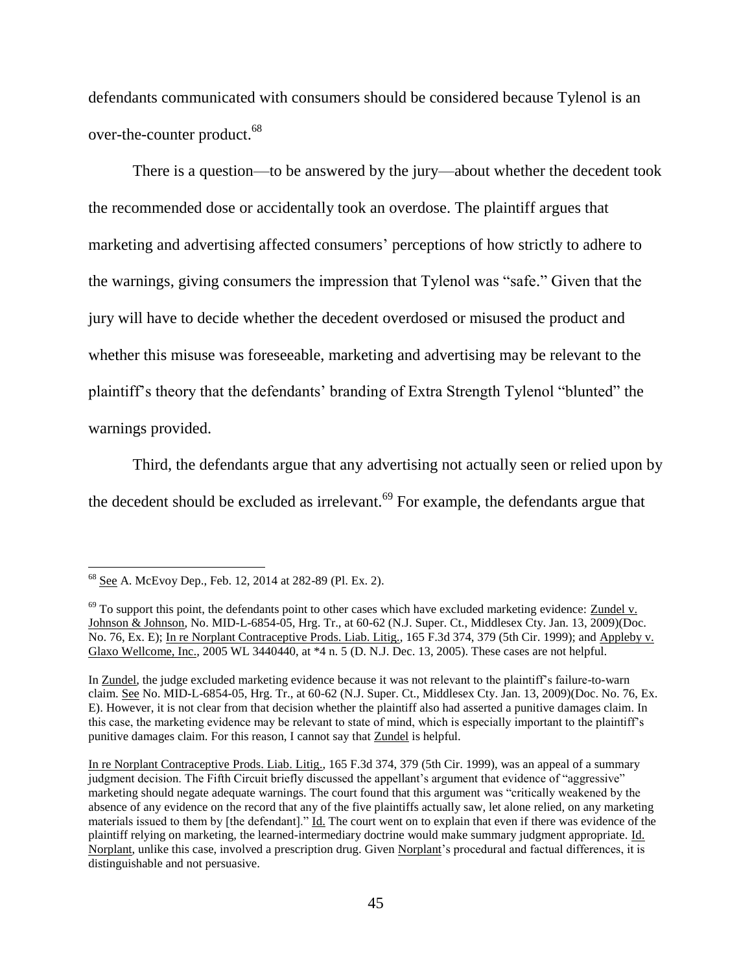defendants communicated with consumers should be considered because Tylenol is an over-the-counter product.<sup>68</sup>

There is a question—to be answered by the jury—about whether the decedent took the recommended dose or accidentally took an overdose. The plaintiff argues that marketing and advertising affected consumers' perceptions of how strictly to adhere to the warnings, giving consumers the impression that Tylenol was "safe." Given that the jury will have to decide whether the decedent overdosed or misused the product and whether this misuse was foreseeable, marketing and advertising may be relevant to the plaintiff's theory that the defendants' branding of Extra Strength Tylenol "blunted" the warnings provided.

Third, the defendants argue that any advertising not actually seen or relied upon by the decedent should be excluded as irrelevant.<sup>69</sup> For example, the defendants argue that

<sup>68</sup> See A. McEvoy Dep., Feb. 12, 2014 at 282-89 (Pl. Ex. 2).

 $69$  To support this point, the defendants point to other cases which have excluded marketing evidence: Zundel v. Johnson & Johnson, No. MID-L-6854-05, Hrg. Tr., at 60-62 (N.J. Super. Ct., Middlesex Cty. Jan. 13, 2009)(Doc. No. 76, Ex. E); In re Norplant Contraceptive Prods. Liab. Litig., 165 F.3d 374, 379 (5th Cir. 1999); and Appleby v. Glaxo Wellcome, Inc., 2005 WL 3440440, at \*4 n. 5 (D. N.J. Dec. 13, 2005). These cases are not helpful.

In Zundel, the judge excluded marketing evidence because it was not relevant to the plaintiff's failure-to-warn claim. See No. MID-L-6854-05, Hrg. Tr., at 60-62 (N.J. Super. Ct., Middlesex Cty. Jan. 13, 2009)(Doc. No. 76, Ex. E). However, it is not clear from that decision whether the plaintiff also had asserted a punitive damages claim. In this case, the marketing evidence may be relevant to state of mind, which is especially important to the plaintiff's punitive damages claim. For this reason, I cannot say that Zundel is helpful.

In re Norplant Contraceptive Prods. Liab. Litig., 165 F.3d 374, 379 (5th Cir. 1999), was an appeal of a summary judgment decision. The Fifth Circuit briefly discussed the appellant's argument that evidence of "aggressive" marketing should negate adequate warnings. The court found that this argument was "critically weakened by the absence of any evidence on the record that any of the five plaintiffs actually saw, let alone relied, on any marketing materials issued to them by [the defendant]." Id. The court went on to explain that even if there was evidence of the plaintiff relying on marketing, the learned-intermediary doctrine would make summary judgment appropriate. Id. Norplant, unlike this case, involved a prescription drug. Given Norplant's procedural and factual differences, it is distinguishable and not persuasive.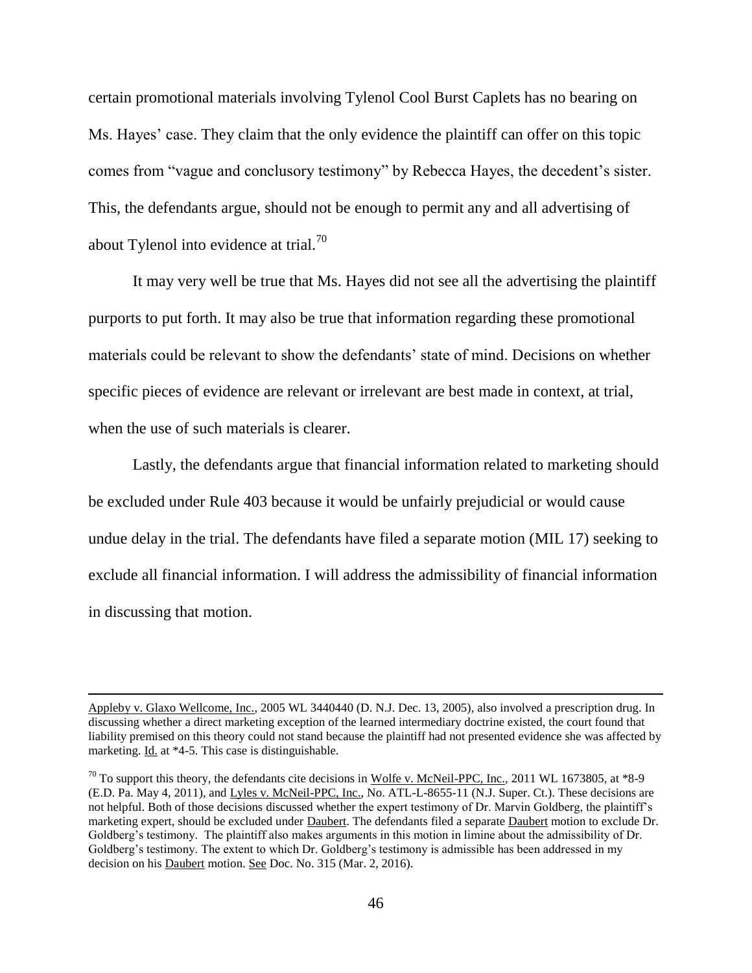certain promotional materials involving Tylenol Cool Burst Caplets has no bearing on Ms. Hayes' case. They claim that the only evidence the plaintiff can offer on this topic comes from "vague and conclusory testimony" by Rebecca Hayes, the decedent's sister. This, the defendants argue, should not be enough to permit any and all advertising of about Tylenol into evidence at trial.<sup>70</sup>

It may very well be true that Ms. Hayes did not see all the advertising the plaintiff purports to put forth. It may also be true that information regarding these promotional materials could be relevant to show the defendants' state of mind. Decisions on whether specific pieces of evidence are relevant or irrelevant are best made in context, at trial, when the use of such materials is clearer.

Lastly, the defendants argue that financial information related to marketing should be excluded under Rule 403 because it would be unfairly prejudicial or would cause undue delay in the trial. The defendants have filed a separate motion (MIL 17) seeking to exclude all financial information. I will address the admissibility of financial information in discussing that motion.

Appleby v. Glaxo Wellcome, Inc., 2005 WL 3440440 (D. N.J. Dec. 13, 2005), also involved a prescription drug. In discussing whether a direct marketing exception of the learned intermediary doctrine existed, the court found that liability premised on this theory could not stand because the plaintiff had not presented evidence she was affected by marketing. Id. at \*4-5. This case is distinguishable.

 $^{70}$  To support this theory, the defendants cite decisions in Wolfe v. McNeil-PPC, Inc., 2011 WL 1673805, at \*8-9 (E.D. Pa. May 4, 2011), and Lyles v. McNeil-PPC, Inc., No. ATL-L-8655-11 (N.J. Super. Ct.). These decisions are not helpful. Both of those decisions discussed whether the expert testimony of Dr. Marvin Goldberg, the plaintiff's marketing expert, should be excluded under Daubert. The defendants filed a separate Daubert motion to exclude Dr. Goldberg's testimony. The plaintiff also makes arguments in this motion in limine about the admissibility of Dr. Goldberg's testimony. The extent to which Dr. Goldberg's testimony is admissible has been addressed in my decision on his Daubert motion. See Doc. No. 315 (Mar. 2, 2016).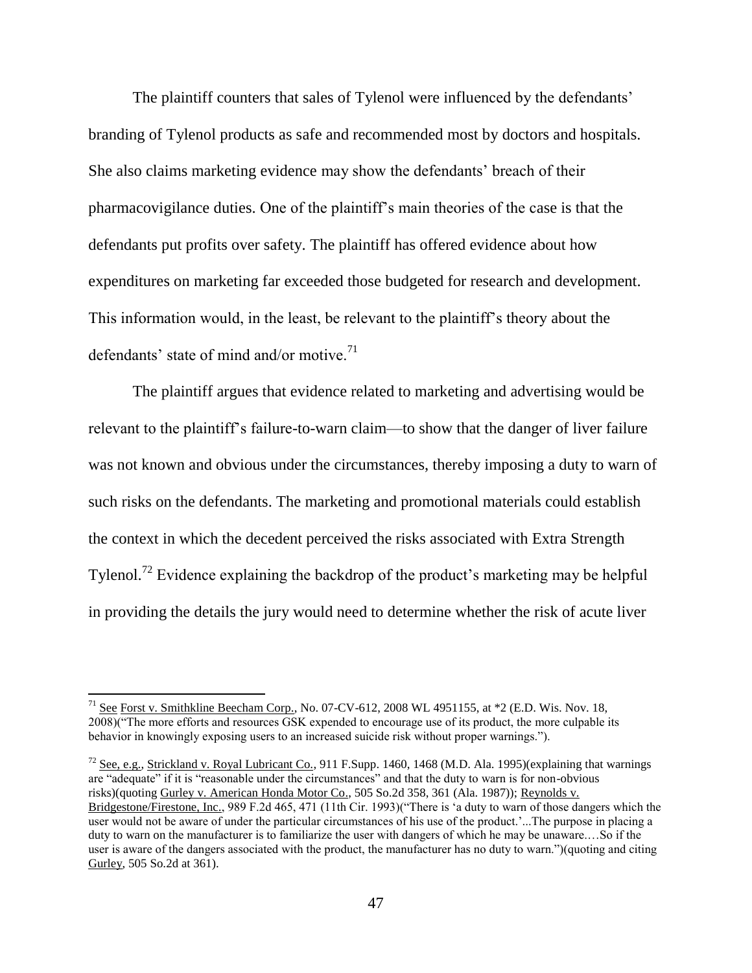The plaintiff counters that sales of Tylenol were influenced by the defendants' branding of Tylenol products as safe and recommended most by doctors and hospitals. She also claims marketing evidence may show the defendants' breach of their pharmacovigilance duties. One of the plaintiff's main theories of the case is that the defendants put profits over safety. The plaintiff has offered evidence about how expenditures on marketing far exceeded those budgeted for research and development. This information would, in the least, be relevant to the plaintiff's theory about the defendants' state of mind and/or motive.<sup>71</sup>

The plaintiff argues that evidence related to marketing and advertising would be relevant to the plaintiff's failure-to-warn claim—to show that the danger of liver failure was not known and obvious under the circumstances, thereby imposing a duty to warn of such risks on the defendants. The marketing and promotional materials could establish the context in which the decedent perceived the risks associated with Extra Strength Tylenol.<sup>72</sup> Evidence explaining the backdrop of the product's marketing may be helpful in providing the details the jury would need to determine whether the risk of acute liver

 $\overline{\phantom{a}}$ 

 $^{72}$  See, e.g., Strickland v. Royal Lubricant Co., 911 F.Supp. 1460, 1468 (M.D. Ala. 1995)(explaining that warnings are "adequate" if it is "reasonable under the circumstances" and that the duty to warn is for non-obvious risks)(quoting Gurley v. American Honda Motor Co., 505 So.2d 358, 361 (Ala. 1987)); Reynolds v. Bridgestone/Firestone, Inc., 989 F.2d 465, 471 (11th Cir. 1993)("There is 'a duty to warn of those dangers which the user would not be aware of under the particular circumstances of his use of the product.'...The purpose in placing a duty to warn on the manufacturer is to familiarize the user with dangers of which he may be unaware.…So if the user is aware of the dangers associated with the product, the manufacturer has no duty to warn.")(quoting and citing Gurley, 505 So.2d at 361).

<sup>&</sup>lt;sup>71</sup> See Forst v. Smithkline Beecham Corp., No. 07-CV-612, 2008 WL 4951155, at  $*2$  (E.D. Wis. Nov. 18, 2008)("The more efforts and resources GSK expended to encourage use of its product, the more culpable its behavior in knowingly exposing users to an increased suicide risk without proper warnings.").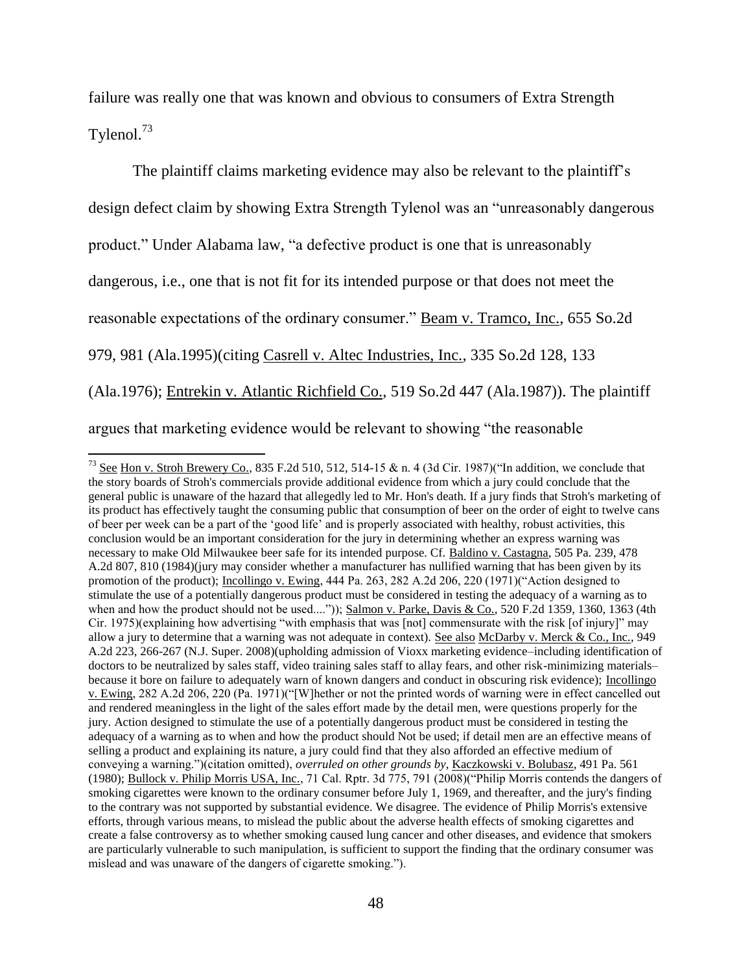failure was really one that was known and obvious to consumers of Extra Strength Tylenol.<sup>73</sup>

The plaintiff claims marketing evidence may also be relevant to the plaintiff's design defect claim by showing Extra Strength Tylenol was an "unreasonably dangerous product." Under Alabama law, "a defective product is one that is unreasonably dangerous, i.e., one that is not fit for its intended purpose or that does not meet the reasonable expectations of the ordinary consumer." Beam v. Tramco, Inc., 655 So.2d 979, 981 (Ala.1995)(citing Casrell v. Altec Industries, Inc., 335 So.2d 128, 133 (Ala.1976); Entrekin v. Atlantic Richfield Co., 519 So.2d 447 (Ala.1987)). The plaintiff argues that marketing evidence would be relevant to showing "the reasonable

<sup>&</sup>lt;sup>73</sup> See Hon v. Stroh Brewery Co., 835 F.2d 510, 512, 514-15 & n. 4 (3d Cir. 1987)("In addition, we conclude that the story boards of Stroh's commercials provide additional evidence from which a jury could conclude that the general public is unaware of the hazard that allegedly led to Mr. Hon's death. If a jury finds that Stroh's marketing of its product has effectively taught the consuming public that consumption of beer on the order of eight to twelve cans of beer per week can be a part of the 'good life' and is properly associated with healthy, robust activities, this conclusion would be an important consideration for the jury in determining whether an express warning was necessary to make Old Milwaukee beer safe for its intended purpose. Cf. Baldino v. Castagna, 505 Pa. 239, 478 A.2d 807, 810 (1984)(jury may consider whether a manufacturer has nullified warning that has been given by its promotion of the product); Incollingo v. Ewing, 444 Pa. 263, 282 A.2d 206, 220 (1971)("Action designed to stimulate the use of a potentially dangerous product must be considered in testing the adequacy of a warning as to when and how the product should not be used....")); Salmon v. Parke, Davis & Co.*,* 520 F.2d 1359, 1360, 1363 (4th Cir. 1975)(explaining how advertising "with emphasis that was [not] commensurate with the risk [of injury]" may allow a jury to determine that a warning was not adequate in context). See also McDarby v. Merck & Co., Inc., 949 A.2d 223, 266-267 (N.J. Super. 2008)(upholding admission of Vioxx marketing evidence–including identification of doctors to be neutralized by sales staff, video training sales staff to allay fears, and other risk-minimizing materials– because it bore on failure to adequately warn of known dangers and conduct in obscuring risk evidence); Incollingo v. Ewing, 282 A.2d 206, 220 (Pa. 1971)("[W]hether or not the printed words of warning were in effect cancelled out and rendered meaningless in the light of the sales effort made by the detail men, were questions properly for the jury. Action designed to stimulate the use of a potentially dangerous product must be considered in testing the adequacy of a warning as to when and how the product should Not be used; if detail men are an effective means of selling a product and explaining its nature, a jury could find that they also afforded an effective medium of conveying a warning.")(citation omitted), *overruled on other grounds by*, Kaczkowski v. Bolubasz, 491 Pa. 561 (1980); Bullock v. Philip Morris USA, Inc., 71 Cal. Rptr. 3d 775, 791 (2008)("Philip Morris contends the dangers of smoking cigarettes were known to the ordinary consumer before July 1, 1969, and thereafter, and the jury's finding to the contrary was not supported by substantial evidence. We disagree. The evidence of Philip Morris's extensive efforts, through various means, to mislead the public about the adverse health effects of smoking cigarettes and create a false controversy as to whether smoking caused lung cancer and other diseases, and evidence that smokers are particularly vulnerable to such manipulation, is sufficient to support the finding that the ordinary consumer was mislead and was unaware of the dangers of cigarette smoking.").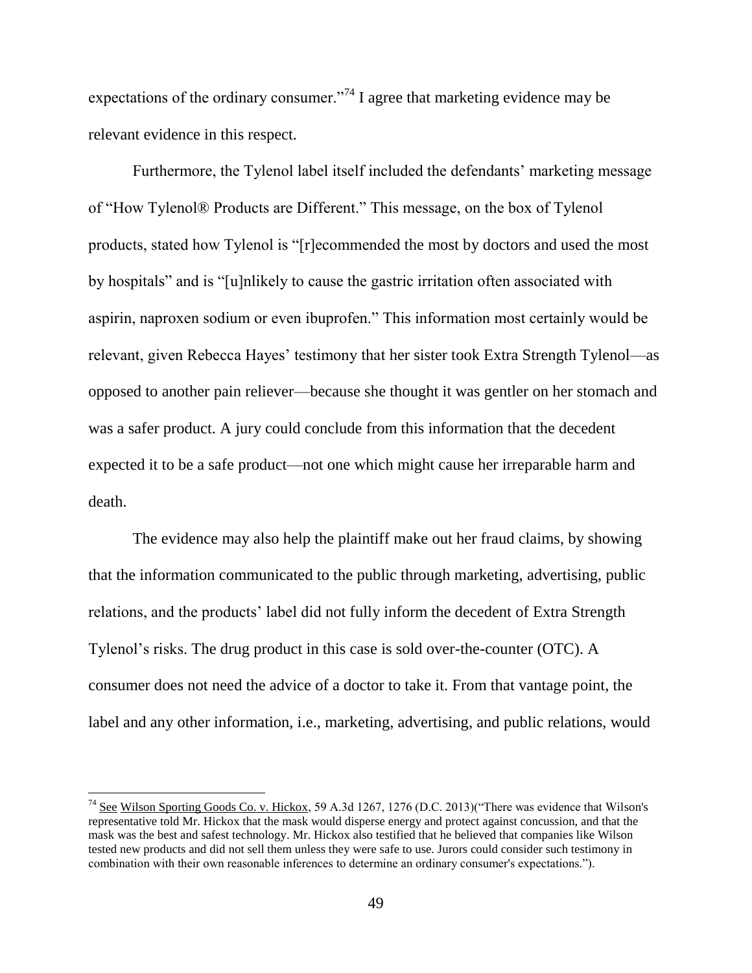expectations of the ordinary consumer."<sup>74</sup> I agree that marketing evidence may be relevant evidence in this respect.

Furthermore, the Tylenol label itself included the defendants' marketing message of "How Tylenol® Products are Different." This message, on the box of Tylenol products, stated how Tylenol is "[r]ecommended the most by doctors and used the most by hospitals" and is "[u]nlikely to cause the gastric irritation often associated with aspirin, naproxen sodium or even ibuprofen." This information most certainly would be relevant, given Rebecca Hayes' testimony that her sister took Extra Strength Tylenol—as opposed to another pain reliever—because she thought it was gentler on her stomach and was a safer product. A jury could conclude from this information that the decedent expected it to be a safe product—not one which might cause her irreparable harm and death.

The evidence may also help the plaintiff make out her fraud claims, by showing that the information communicated to the public through marketing, advertising, public relations, and the products' label did not fully inform the decedent of Extra Strength Tylenol's risks. The drug product in this case is sold over-the-counter (OTC). A consumer does not need the advice of a doctor to take it. From that vantage point, the label and any other information, i.e., marketing, advertising, and public relations, would

l

 $^{74}$  See Wilson Sporting Goods Co. v. Hickox, 59 A.3d 1267, 1276 (D.C. 2013)("There was evidence that Wilson's representative told Mr. Hickox that the mask would disperse energy and protect against concussion, and that the mask was the best and safest technology. Mr. Hickox also testified that he believed that companies like Wilson tested new products and did not sell them unless they were safe to use. Jurors could consider such testimony in combination with their own reasonable inferences to determine an ordinary consumer's expectations.").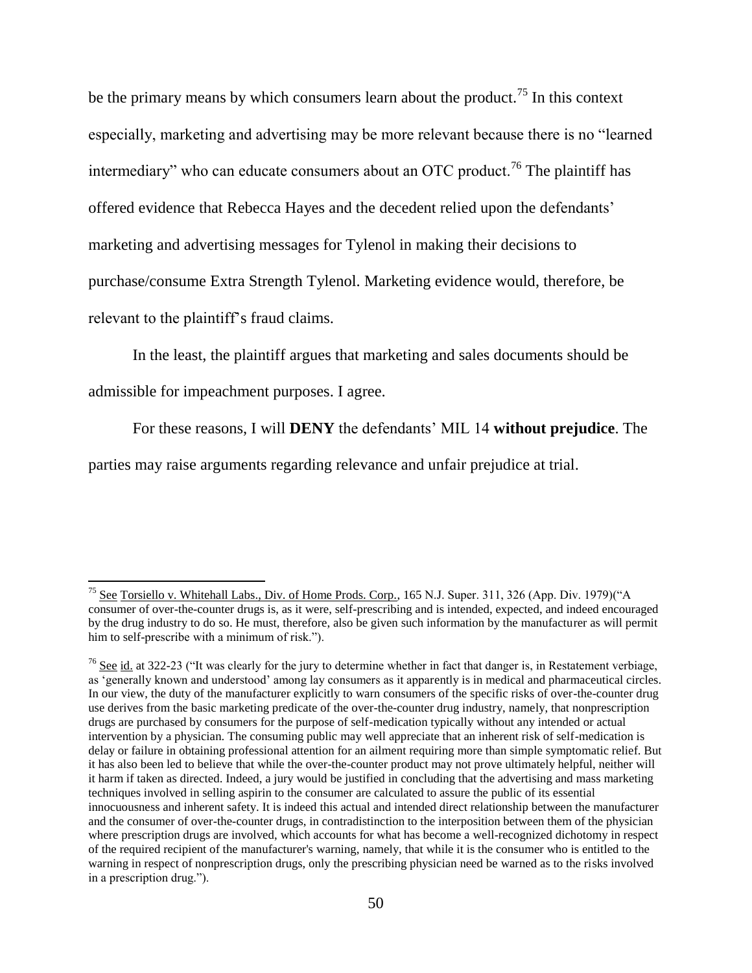be the primary means by which consumers learn about the product.<sup>75</sup> In this context especially, marketing and advertising may be more relevant because there is no "learned intermediary" who can educate consumers about an OTC product.<sup>76</sup> The plaintiff has offered evidence that Rebecca Hayes and the decedent relied upon the defendants' marketing and advertising messages for Tylenol in making their decisions to purchase/consume Extra Strength Tylenol. Marketing evidence would, therefore, be relevant to the plaintiff's fraud claims.

In the least, the plaintiff argues that marketing and sales documents should be

admissible for impeachment purposes. I agree.

For these reasons, I will **DENY** the defendants' MIL 14 **without prejudice**. The

parties may raise arguments regarding relevance and unfair prejudice at trial.

l <sup>75</sup> See Torsiello v. Whitehall Labs., Div. of Home Prods. Corp., 165 N.J. Super. 311, 326 (App. Div. 1979)("A consumer of over-the-counter drugs is, as it were, self-prescribing and is intended, expected, and indeed encouraged by the drug industry to do so. He must, therefore, also be given such information by the manufacturer as will permit him to self-prescribe with a minimum of risk.").

 $76$  See id. at 322-23 ("It was clearly for the jury to determine whether in fact that danger is, in Restatement verbiage, as 'generally known and understood' among lay consumers as it apparently is in medical and pharmaceutical circles. In our view, the duty of the manufacturer explicitly to warn consumers of the specific risks of over-the-counter drug use derives from the basic marketing predicate of the over-the-counter drug industry, namely, that nonprescription drugs are purchased by consumers for the purpose of self-medication typically without any intended or actual intervention by a physician. The consuming public may well appreciate that an inherent risk of self-medication is delay or failure in obtaining professional attention for an ailment requiring more than simple symptomatic relief. But it has also been led to believe that while the over-the-counter product may not prove ultimately helpful, neither will it harm if taken as directed. Indeed, a jury would be justified in concluding that the advertising and mass marketing techniques involved in selling aspirin to the consumer are calculated to assure the public of its essential innocuousness and inherent safety. It is indeed this actual and intended direct relationship between the manufacturer and the consumer of over-the-counter drugs, in contradistinction to the interposition between them of the physician where prescription drugs are involved, which accounts for what has become a well-recognized dichotomy in respect of the required recipient of the manufacturer's warning, namely, that while it is the consumer who is entitled to the warning in respect of nonprescription drugs, only the prescribing physician need be warned as to the risks involved in a prescription drug.").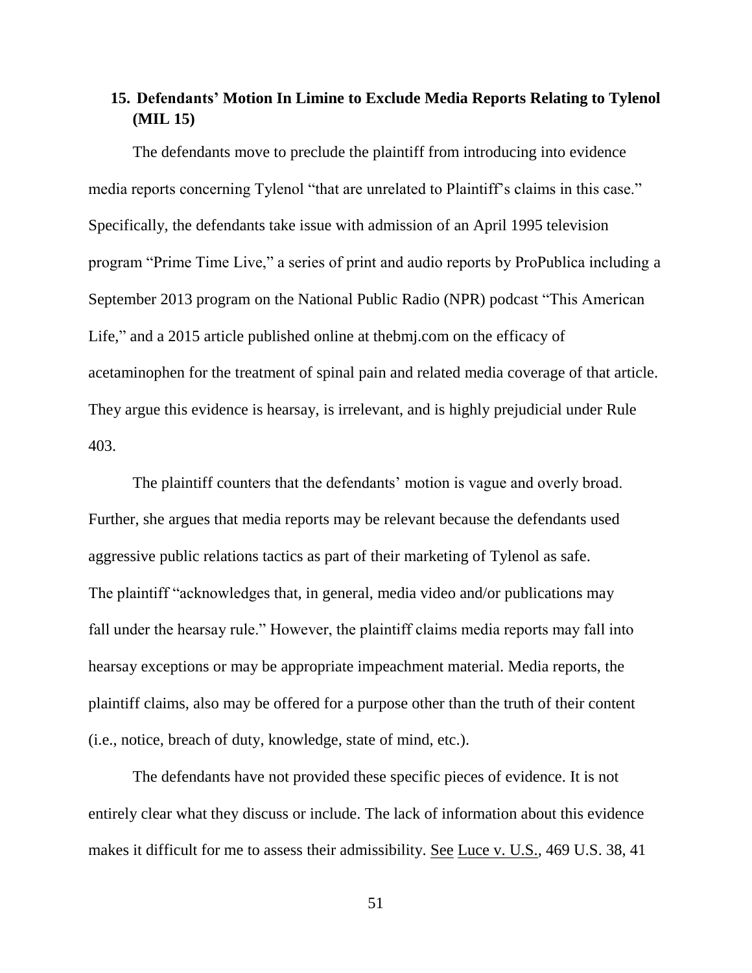# **15. Defendants' Motion In Limine to Exclude Media Reports Relating to Tylenol (MIL 15)**

The defendants move to preclude the plaintiff from introducing into evidence media reports concerning Tylenol "that are unrelated to Plaintiff's claims in this case." Specifically, the defendants take issue with admission of an April 1995 television program "Prime Time Live," a series of print and audio reports by ProPublica including a September 2013 program on the National Public Radio (NPR) podcast "This American Life," and a 2015 article published online at the big.com on the efficacy of acetaminophen for the treatment of spinal pain and related media coverage of that article. They argue this evidence is hearsay, is irrelevant, and is highly prejudicial under Rule 403.

The plaintiff counters that the defendants' motion is vague and overly broad. Further, she argues that media reports may be relevant because the defendants used aggressive public relations tactics as part of their marketing of Tylenol as safe. The plaintiff "acknowledges that, in general, media video and/or publications may fall under the hearsay rule." However, the plaintiff claims media reports may fall into hearsay exceptions or may be appropriate impeachment material. Media reports, the plaintiff claims, also may be offered for a purpose other than the truth of their content (i.e., notice, breach of duty, knowledge, state of mind, etc.).

The defendants have not provided these specific pieces of evidence. It is not entirely clear what they discuss or include. The lack of information about this evidence makes it difficult for me to assess their admissibility. See Luce v. U.S., 469 U.S. 38, 41

51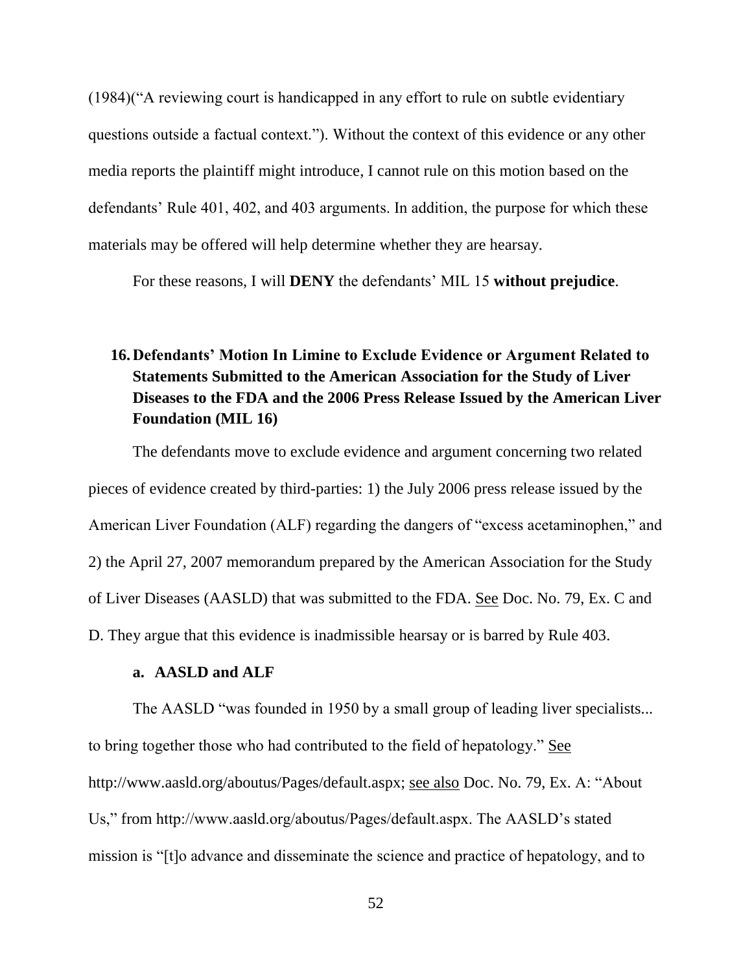(1984)("A reviewing court is handicapped in any effort to rule on subtle evidentiary questions outside a factual context."). Without the context of this evidence or any other media reports the plaintiff might introduce, I cannot rule on this motion based on the defendants' Rule 401, 402, and 403 arguments. In addition, the purpose for which these materials may be offered will help determine whether they are hearsay.

For these reasons, I will **DENY** the defendants' MIL 15 **without prejudice**.

# **16.Defendants' Motion In Limine to Exclude Evidence or Argument Related to Statements Submitted to the American Association for the Study of Liver Diseases to the FDA and the 2006 Press Release Issued by the American Liver Foundation (MIL 16)**

The defendants move to exclude evidence and argument concerning two related pieces of evidence created by third-parties: 1) the July 2006 press release issued by the American Liver Foundation (ALF) regarding the dangers of "excess acetaminophen," and 2) the April 27, 2007 memorandum prepared by the American Association for the Study of Liver Diseases (AASLD) that was submitted to the FDA. See Doc. No. 79, Ex. C and D. They argue that this evidence is inadmissible hearsay or is barred by Rule 403.

### **a. AASLD and ALF**

The AASLD "was founded in 1950 by a small group of leading liver specialists... to bring together those who had contributed to the field of hepatology." See http://www.aasld.org/aboutus/Pages/default.aspx; see also Doc. No. 79, Ex. A: "About Us," from http://www.aasld.org/aboutus/Pages/default.aspx. The AASLD's stated mission is "[t]o advance and disseminate the science and practice of hepatology, and to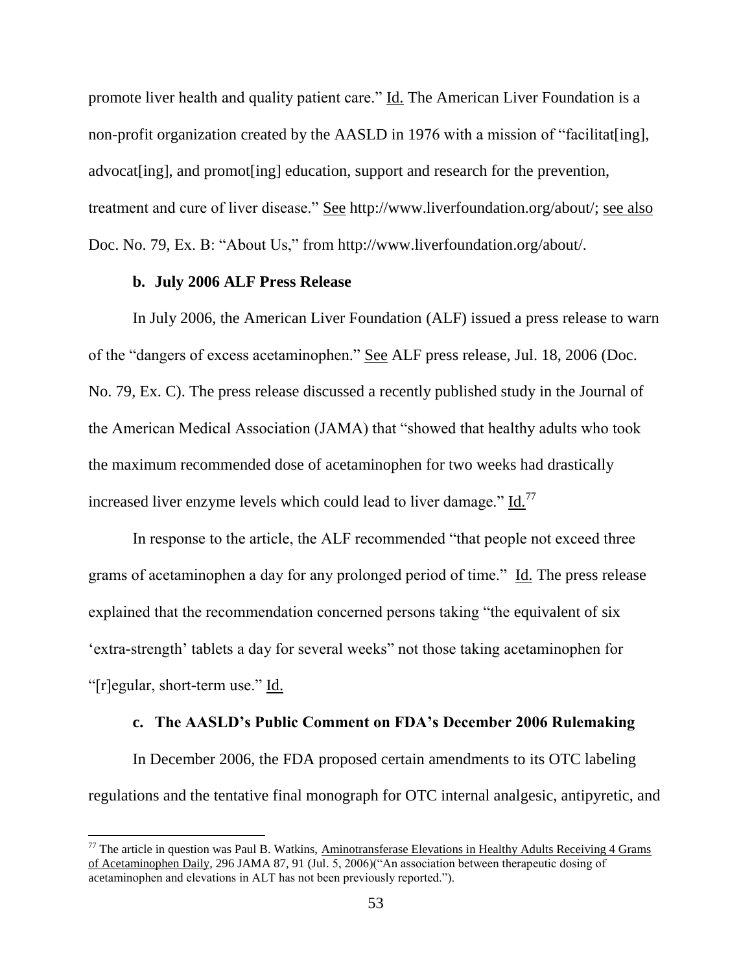promote liver health and quality patient care." Id. The American Liver Foundation is a non-profit organization created by the AASLD in 1976 with a mission of "facilitat[ing], advocat [ing], and promot [ing] education, support and research for the prevention, treatment and cure of liver disease." See http://www.liverfoundation.org/about/; see also Doc. No. 79, Ex. B: "About Us," from http://www.liverfoundation.org/about/.

### **b. July 2006 ALF Press Release**

 $\overline{\phantom{a}}$ 

In July 2006, the American Liver Foundation (ALF) issued a press release to warn of the "dangers of excess acetaminophen." See ALF press release, Jul. 18, 2006 (Doc. No. 79, Ex. C). The press release discussed a recently published study in the Journal of the American Medical Association (JAMA) that "showed that healthy adults who took the maximum recommended dose of acetaminophen for two weeks had drastically increased liver enzyme levels which could lead to liver damage."  $Id.<sup>77</sup>$ 

In response to the article, the ALF recommended "that people not exceed three grams of acetaminophen a day for any prolonged period of time." Id. The press release explained that the recommendation concerned persons taking "the equivalent of six 'extra-strength' tablets a day for several weeks" not those taking acetaminophen for "[r]egular, short-term use." Id.

#### **c. The AASLD's Public Comment on FDA's December 2006 Rulemaking**

In December 2006, the FDA proposed certain amendments to its OTC labeling regulations and the tentative final monograph for OTC internal analgesic, antipyretic, and

 $77$  The article in question was Paul B. Watkins, Aminotransferase Elevations in Healthy Adults Receiving 4 Grams of Acetaminophen Daily, 296 JAMA 87, 91 (Jul. 5, 2006)("An association between therapeutic dosing of acetaminophen and elevations in ALT has not been previously reported.").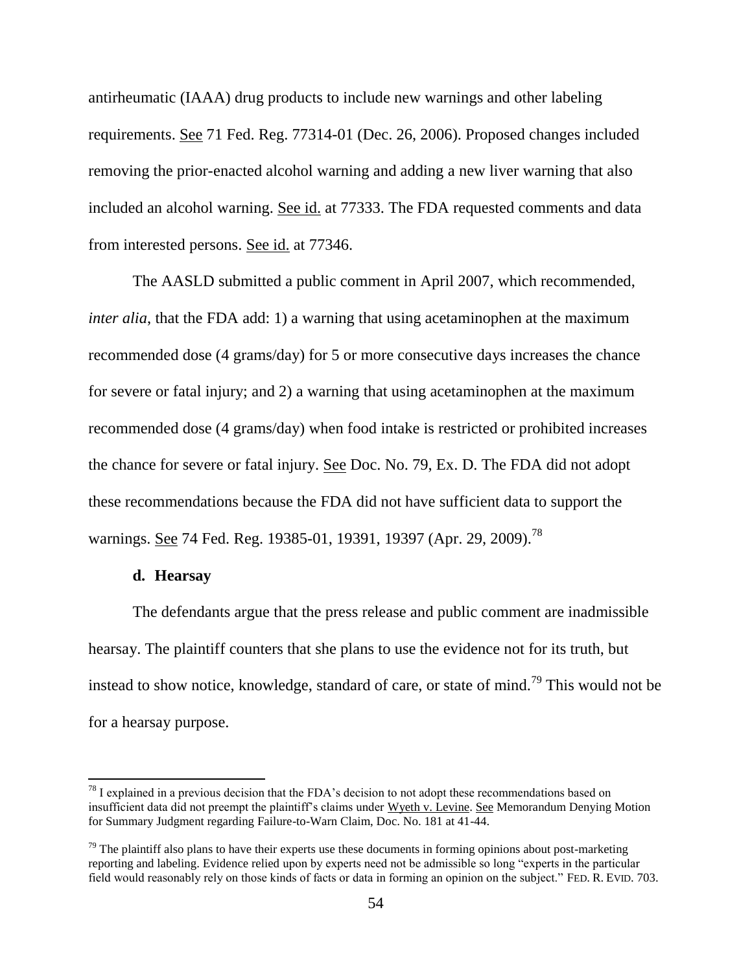antirheumatic (IAAA) drug products to include new warnings and other labeling requirements. See 71 Fed. Reg. 77314-01 (Dec. 26, 2006). Proposed changes included removing the prior-enacted alcohol warning and adding a new liver warning that also included an alcohol warning. See id. at 77333. The FDA requested comments and data from interested persons. See id. at 77346.

The AASLD submitted a public comment in April 2007, which recommended, *inter alia*, that the FDA add: 1) a warning that using acetaminophen at the maximum recommended dose (4 grams/day) for 5 or more consecutive days increases the chance for severe or fatal injury; and 2) a warning that using acetaminophen at the maximum recommended dose (4 grams/day) when food intake is restricted or prohibited increases the chance for severe or fatal injury. See Doc. No. 79, Ex. D. The FDA did not adopt these recommendations because the FDA did not have sufficient data to support the warnings. See 74 Fed. Reg. 19385-01, 19391, 19397 (Apr. 29, 2009).<sup>78</sup>

### **d. Hearsay**

 $\overline{\phantom{a}}$ 

The defendants argue that the press release and public comment are inadmissible hearsay. The plaintiff counters that she plans to use the evidence not for its truth, but instead to show notice, knowledge, standard of care, or state of mind.<sup>79</sup> This would not be for a hearsay purpose.

 $^{78}$  I explained in a previous decision that the FDA's decision to not adopt these recommendations based on insufficient data did not preempt the plaintiff's claims under Wyeth v. Levine. See Memorandum Denying Motion for Summary Judgment regarding Failure-to-Warn Claim, Doc. No. 181 at 41-44.

 $79$  The plaintiff also plans to have their experts use these documents in forming opinions about post-marketing reporting and labeling. Evidence relied upon by experts need not be admissible so long "experts in the particular field would reasonably rely on those kinds of facts or data in forming an opinion on the subject." FED. R. EVID. 703.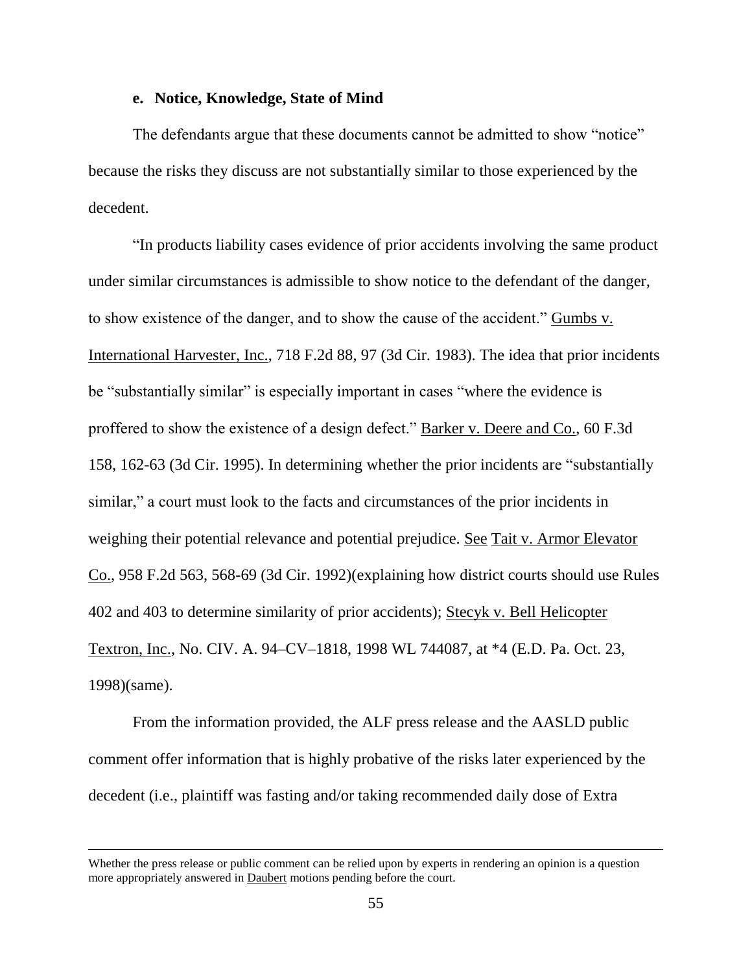### **e. Notice, Knowledge, State of Mind**

The defendants argue that these documents cannot be admitted to show "notice" because the risks they discuss are not substantially similar to those experienced by the decedent.

"In products liability cases evidence of prior accidents involving the same product under similar circumstances is admissible to show notice to the defendant of the danger, to show existence of the danger, and to show the cause of the accident." Gumbs v. International Harvester, Inc., 718 F.2d 88, 97 (3d Cir. 1983). The idea that prior incidents be "substantially similar" is especially important in cases "where the evidence is proffered to show the existence of a design defect." Barker v. Deere and Co., 60 F.3d 158, 162-63 (3d Cir. 1995). In determining whether the prior incidents are "substantially similar," a court must look to the facts and circumstances of the prior incidents in weighing their potential relevance and potential prejudice. See Tait v. Armor Elevator Co., 958 F.2d 563, 568-69 (3d Cir. 1992)(explaining how district courts should use Rules 402 and 403 to determine similarity of prior accidents); Stecyk v. Bell Helicopter Textron, Inc., No. CIV. A. 94–CV–1818, 1998 WL 744087, at \*4 (E.D. Pa. Oct. 23, 1998)(same).

From the information provided, the ALF press release and the AASLD public comment offer information that is highly probative of the risks later experienced by the decedent (i.e., plaintiff was fasting and/or taking recommended daily dose of Extra

Whether the press release or public comment can be relied upon by experts in rendering an opinion is a question more appropriately answered in Daubert motions pending before the court.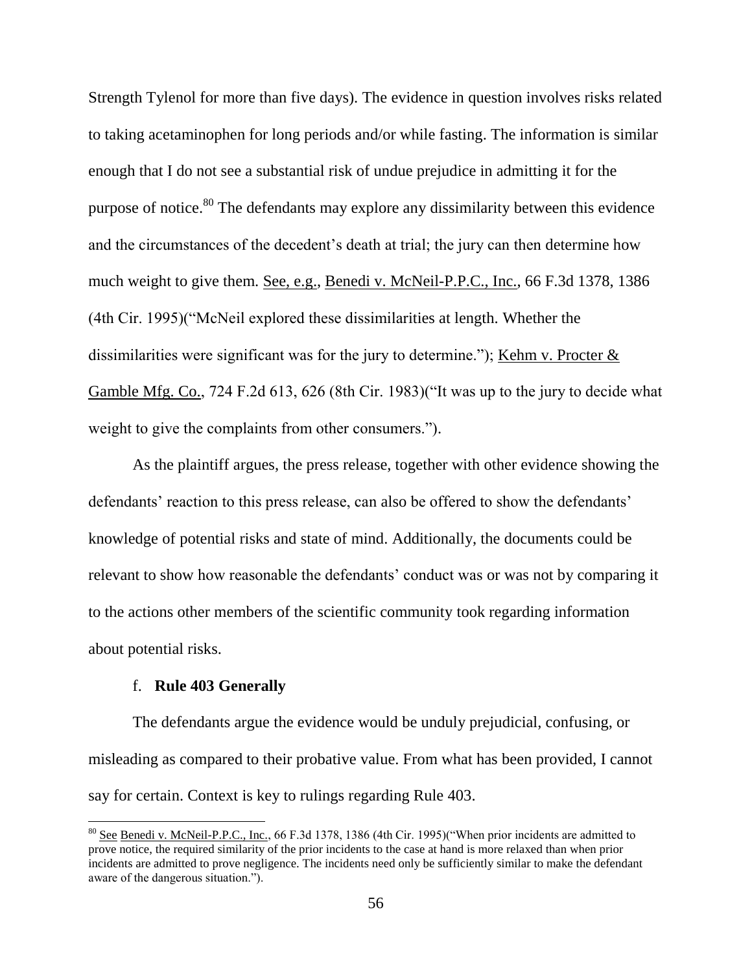Strength Tylenol for more than five days). The evidence in question involves risks related to taking acetaminophen for long periods and/or while fasting. The information is similar enough that I do not see a substantial risk of undue prejudice in admitting it for the purpose of notice.<sup>80</sup> The defendants may explore any dissimilarity between this evidence and the circumstances of the decedent's death at trial; the jury can then determine how much weight to give them. See, e.g., Benedi v. McNeil-P.P.C., Inc., 66 F.3d 1378, 1386 (4th Cir. 1995)("McNeil explored these dissimilarities at length. Whether the dissimilarities were significant was for the jury to determine."); Kehm v. Procter  $&$ Gamble Mfg. Co., 724 F.2d 613, 626 (8th Cir. 1983)("It was up to the jury to decide what weight to give the complaints from other consumers.").

As the plaintiff argues, the press release, together with other evidence showing the defendants' reaction to this press release, can also be offered to show the defendants' knowledge of potential risks and state of mind. Additionally, the documents could be relevant to show how reasonable the defendants' conduct was or was not by comparing it to the actions other members of the scientific community took regarding information about potential risks.

### f. **Rule 403 Generally**

 $\overline{\phantom{a}}$ 

The defendants argue the evidence would be unduly prejudicial, confusing, or misleading as compared to their probative value. From what has been provided, I cannot say for certain. Context is key to rulings regarding Rule 403.

<sup>&</sup>lt;sup>80</sup> See Benedi v. McNeil-P.P.C., Inc., 66 F.3d 1378, 1386 (4th Cir. 1995)("When prior incidents are admitted to prove notice, the required similarity of the prior incidents to the case at hand is more relaxed than when prior incidents are admitted to prove negligence. The incidents need only be sufficiently similar to make the defendant aware of the dangerous situation.").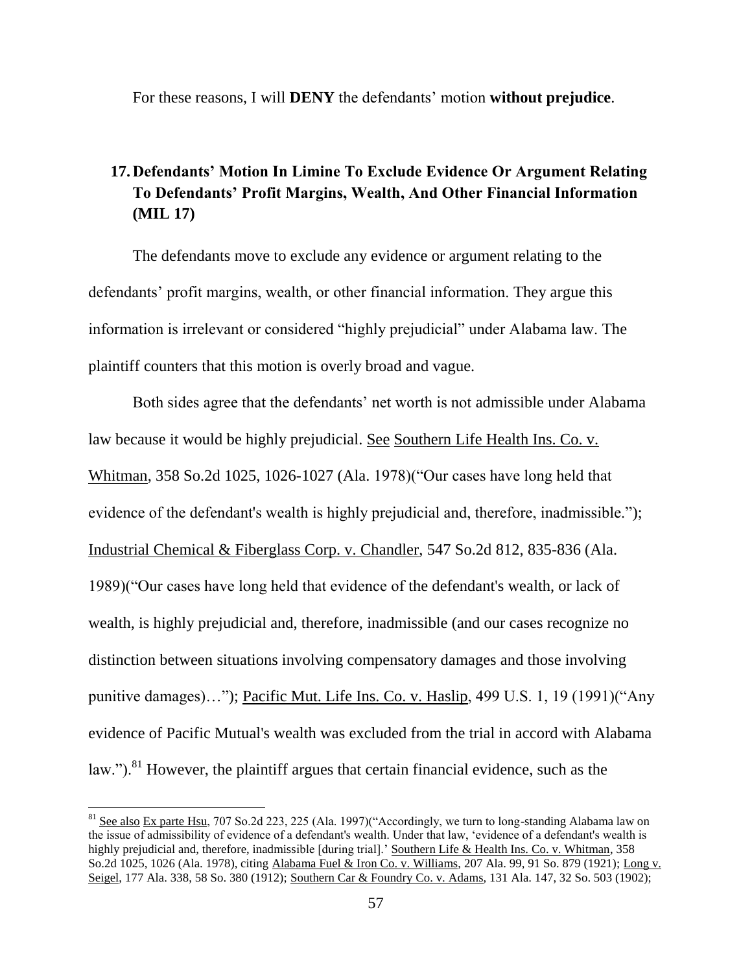For these reasons, I will **DENY** the defendants' motion **without prejudice**.

# **17.Defendants' Motion In Limine To Exclude Evidence Or Argument Relating To Defendants' Profit Margins, Wealth, And Other Financial Information (MIL 17)**

The defendants move to exclude any evidence or argument relating to the defendants' profit margins, wealth, or other financial information. They argue this information is irrelevant or considered "highly prejudicial" under Alabama law. The plaintiff counters that this motion is overly broad and vague.

Both sides agree that the defendants' net worth is not admissible under Alabama law because it would be highly prejudicial. See Southern Life Health Ins. Co. v. Whitman, 358 So.2d 1025, 1026-1027 (Ala. 1978)("Our cases have long held that evidence of the defendant's wealth is highly prejudicial and, therefore, inadmissible."); Industrial Chemical & Fiberglass Corp. v. Chandler, 547 So.2d 812, 835-836 (Ala. 1989)("Our cases have long held that evidence of the defendant's wealth, or lack of wealth, is highly prejudicial and, therefore, inadmissible (and our cases recognize no distinction between situations involving compensatory damages and those involving punitive damages)…"); Pacific Mut. Life Ins. Co. v. Haslip, 499 U.S. 1, 19 (1991)("Any evidence of Pacific Mutual's wealth was excluded from the trial in accord with Alabama law."). $81$  However, the plaintiff argues that certain financial evidence, such as the

<sup>&</sup>lt;sup>81</sup> See also Ex parte Hsu, 707 So.2d 223, 225 (Ala. 1997)("Accordingly, we turn to long-standing Alabama law on the issue of admissibility of evidence of a defendant's wealth. Under that law, 'evidence of a defendant's wealth is highly prejudicial and, therefore, inadmissible [during trial].' Southern Life & Health Ins. Co. v. Whitman, 358 So.2d 1025, 1026 (Ala. 1978), citing Alabama Fuel & Iron Co. v. Williams, 207 Ala. 99, 91 So. 879 (1921); Long v. Seigel, 177 Ala. 338, 58 So. 380 (1912); Southern Car & Foundry Co. v. Adams, 131 Ala. 147, 32 So. 503 (1902);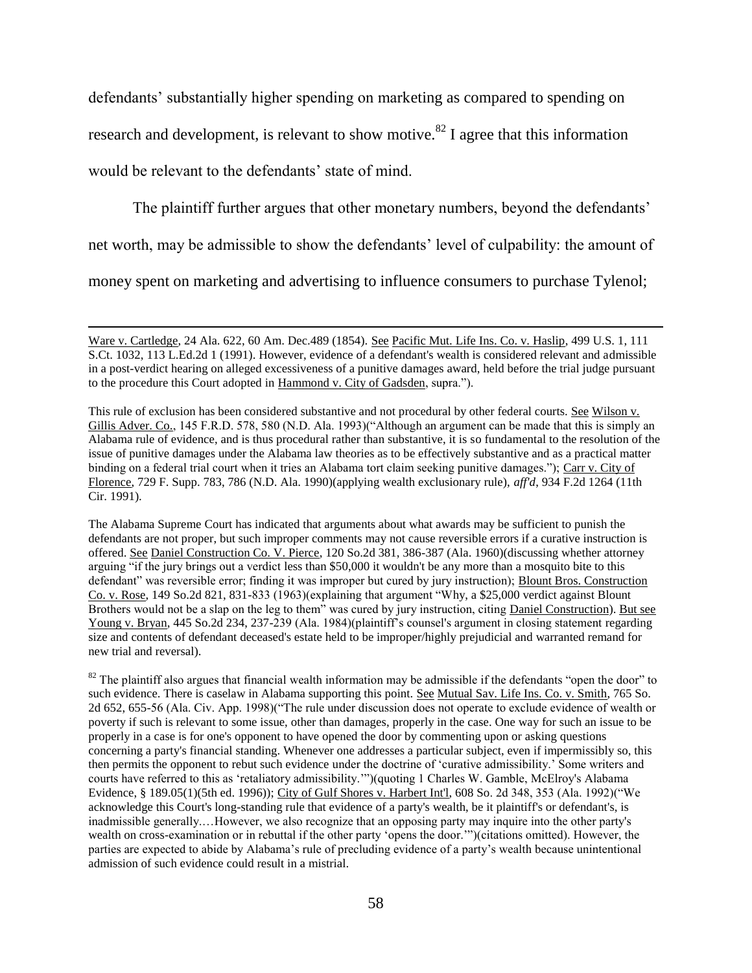defendants' substantially higher spending on marketing as compared to spending on research and development, is relevant to show motive.<sup>82</sup> I agree that this information would be relevant to the defendants' state of mind.

The plaintiff further argues that other monetary numbers, beyond the defendants'

net worth, may be admissible to show the defendants' level of culpability: the amount of

money spent on marketing and advertising to influence consumers to purchase Tylenol;

l

The Alabama Supreme Court has indicated that arguments about what awards may be sufficient to punish the defendants are not proper, but such improper comments may not cause reversible errors if a curative instruction is offered. See Daniel Construction Co. V. Pierce, 120 So.2d 381, 386-387 (Ala. 1960)(discussing whether attorney arguing "if the jury brings out a verdict less than \$50,000 it wouldn't be any more than a mosquito bite to this defendant" was reversible error; finding it was improper but cured by jury instruction); Blount Bros. Construction Co. v. Rose, 149 So.2d 821, 831-833 (1963)(explaining that argument "Why, a \$25,000 verdict against Blount Brothers would not be a slap on the leg to them" was cured by jury instruction, citing Daniel Construction). But see Young v. Bryan, 445 So.2d 234, 237-239 (Ala. 1984)(plaintiff's counsel's argument in closing statement regarding size and contents of defendant deceased's estate held to be improper/highly prejudicial and warranted remand for new trial and reversal).

 $82$  The plaintiff also argues that financial wealth information may be admissible if the defendants "open the door" to such evidence. There is caselaw in Alabama supporting this point. See Mutual Sav. Life Ins. Co. v. Smith, 765 So. 2d 652, 655-56 (Ala. Civ. App. 1998)("The rule under discussion does not operate to exclude evidence of wealth or poverty if such is relevant to some issue, other than damages, properly in the case. One way for such an issue to be properly in a case is for one's opponent to have opened the door by commenting upon or asking questions concerning a party's financial standing. Whenever one addresses a particular subject, even if impermissibly so, this then permits the opponent to rebut such evidence under the doctrine of 'curative admissibility.' Some writers and courts have referred to this as 'retaliatory admissibility.'")(quoting 1 Charles W. Gamble, McElroy's Alabama Evidence, § 189.05(1)(5th ed. 1996)); City of Gulf Shores v. Harbert Int'l, 608 So. 2d 348, 353 (Ala. 1992)("We acknowledge this Court's long-standing rule that evidence of a party's wealth, be it plaintiff's or defendant's, is inadmissible generally.…However, we also recognize that an opposing party may inquire into the other party's wealth on cross-examination or in rebuttal if the other party 'opens the door.'")(citations omitted). However, the parties are expected to abide by Alabama's rule of precluding evidence of a party's wealth because unintentional admission of such evidence could result in a mistrial.

Ware v. Cartledge, 24 Ala. 622, 60 Am. Dec.489 (1854). See Pacific Mut. Life Ins. Co. v. Haslip, 499 U.S. 1, 111 S.Ct. 1032, 113 L.Ed.2d 1 (1991). However, evidence of a defendant's wealth is considered relevant and admissible in a post-verdict hearing on alleged excessiveness of a punitive damages award, held before the trial judge pursuant to the procedure this Court adopted in Hammond v. City of Gadsden, supra.").

This rule of exclusion has been considered substantive and not procedural by other federal courts. See Wilson v. Gillis Adver. Co., 145 F.R.D. 578, 580 (N.D. Ala. 1993)("Although an argument can be made that this is simply an Alabama rule of evidence, and is thus procedural rather than substantive, it is so fundamental to the resolution of the issue of punitive damages under the Alabama law theories as to be effectively substantive and as a practical matter binding on a federal trial court when it tries an Alabama tort claim seeking punitive damages."); Carr v. City of Florence, 729 F. Supp. 783, 786 (N.D. Ala. 1990)(applying wealth exclusionary rule), *aff'd*, 934 F.2d 1264 (11th Cir. 1991).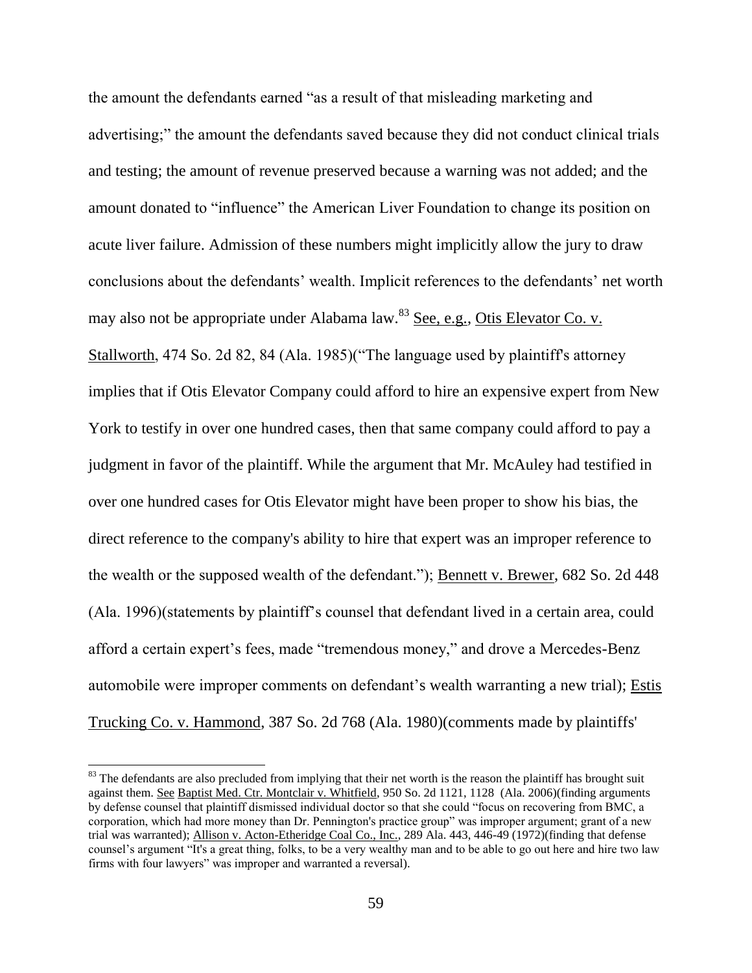the amount the defendants earned "as a result of that misleading marketing and advertising;" the amount the defendants saved because they did not conduct clinical trials and testing; the amount of revenue preserved because a warning was not added; and the amount donated to "influence" the American Liver Foundation to change its position on acute liver failure. Admission of these numbers might implicitly allow the jury to draw conclusions about the defendants' wealth. Implicit references to the defendants' net worth may also not be appropriate under Alabama law. $83$  See, e.g., Otis Elevator Co. v. Stallworth, 474 So. 2d 82, 84 (Ala. 1985) ("The language used by plaintiff's attorney implies that if Otis Elevator Company could afford to hire an expensive expert from New York to testify in over one hundred cases, then that same company could afford to pay a judgment in favor of the plaintiff. While the argument that Mr. McAuley had testified in over one hundred cases for Otis Elevator might have been proper to show his bias, the direct reference to the company's ability to hire that expert was an improper reference to the wealth or the supposed wealth of the defendant."); Bennett v. Brewer, 682 So. 2d 448 (Ala. 1996)(statements by plaintiff's counsel that defendant lived in a certain area, could afford a certain expert's fees, made "tremendous money," and drove a Mercedes-Benz automobile were improper comments on defendant's wealth warranting a new trial); Estis Trucking Co. v. Hammond, 387 So. 2d 768 (Ala. 1980)(comments made by plaintiffs'

 $83$  The defendants are also precluded from implying that their net worth is the reason the plaintiff has brought suit against them. See Baptist Med. Ctr. Montclair v. Whitfield, 950 So. 2d 1121, 1128 (Ala. 2006)(finding arguments by defense counsel that plaintiff dismissed individual doctor so that she could "focus on recovering from BMC, a corporation, which had more money than Dr. Pennington's practice group" was improper argument; grant of a new trial was warranted); Allison v. Acton-Etheridge Coal Co., Inc., 289 Ala. 443, 446-49 (1972)(finding that defense counsel's argument "It's a great thing, folks, to be a very wealthy man and to be able to go out here and hire two law firms with four lawyers" was improper and warranted a reversal).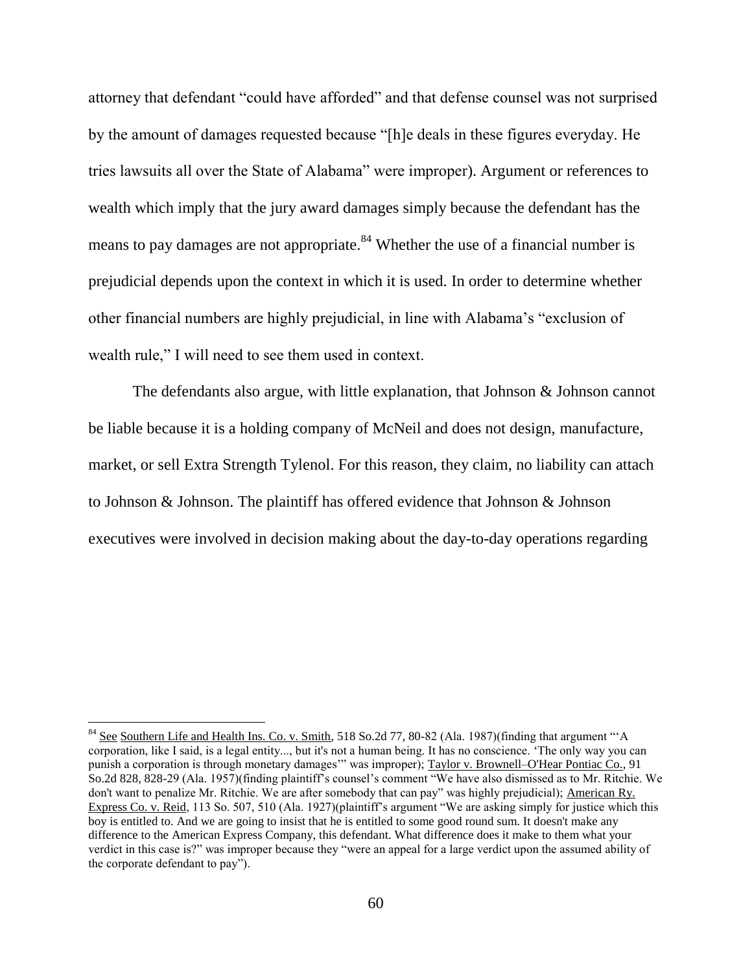attorney that defendant "could have afforded" and that defense counsel was not surprised by the amount of damages requested because "[h]e deals in these figures everyday. He tries lawsuits all over the State of Alabama" were improper). Argument or references to wealth which imply that the jury award damages simply because the defendant has the means to pay damages are not appropriate.<sup>84</sup> Whether the use of a financial number is prejudicial depends upon the context in which it is used. In order to determine whether other financial numbers are highly prejudicial, in line with Alabama's "exclusion of wealth rule," I will need to see them used in context.

The defendants also argue, with little explanation, that Johnson  $\&$  Johnson cannot be liable because it is a holding company of McNeil and does not design, manufacture, market, or sell Extra Strength Tylenol. For this reason, they claim, no liability can attach to Johnson & Johnson. The plaintiff has offered evidence that Johnson & Johnson executives were involved in decision making about the day-to-day operations regarding

<sup>&</sup>lt;sup>84</sup> See Southern Life and Health Ins. Co. v. Smith, 518 So.2d 77, 80-82 (Ala. 1987)(finding that argument "'A corporation, like I said, is a legal entity..., but it's not a human being. It has no conscience. 'The only way you can punish a corporation is through monetary damages" was improper); Taylor v. Brownell–O'Hear Pontiac Co., 91 So.2d 828, 828-29 (Ala. 1957)(finding plaintiff's counsel's comment "We have also dismissed as to Mr. Ritchie. We don't want to penalize Mr. Ritchie. We are after somebody that can pay" was highly prejudicial); American Ry. Express Co. v. Reid, 113 So. 507, 510 (Ala. 1927)(plaintiff's argument "We are asking simply for justice which this boy is entitled to. And we are going to insist that he is entitled to some good round sum. It doesn't make any difference to the American Express Company, this defendant. What difference does it make to them what your verdict in this case is?" was improper because they "were an appeal for a large verdict upon the assumed ability of the corporate defendant to pay").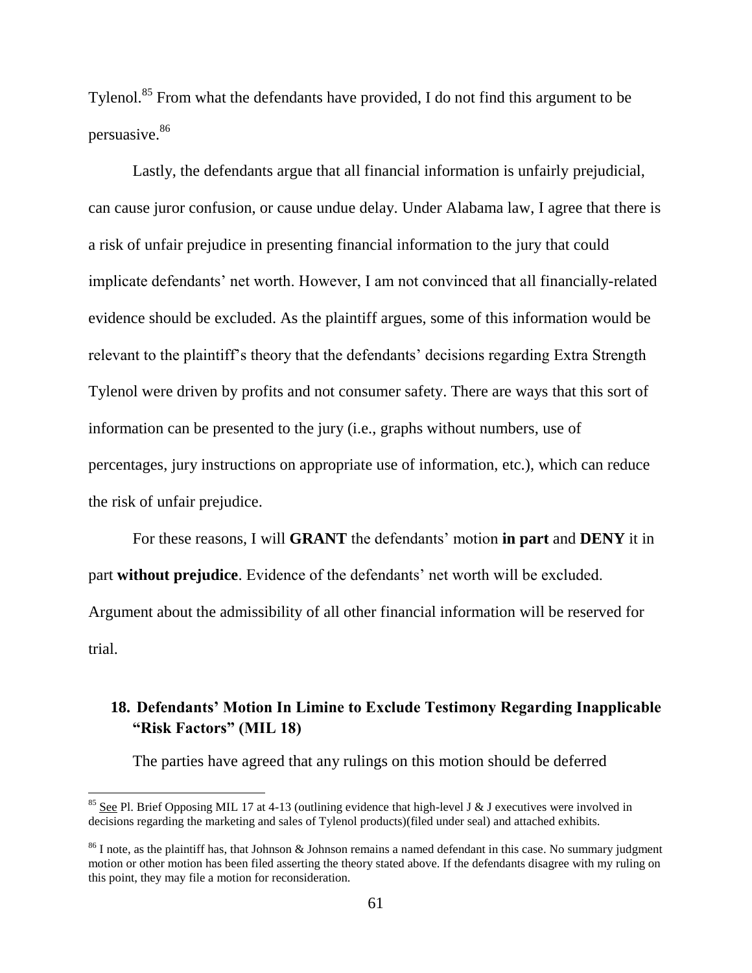Tylenol.<sup>85</sup> From what the defendants have provided, I do not find this argument to be persuasive.<sup>86</sup>

Lastly, the defendants argue that all financial information is unfairly prejudicial, can cause juror confusion, or cause undue delay. Under Alabama law, I agree that there is a risk of unfair prejudice in presenting financial information to the jury that could implicate defendants' net worth. However, I am not convinced that all financially-related evidence should be excluded. As the plaintiff argues, some of this information would be relevant to the plaintiff's theory that the defendants' decisions regarding Extra Strength Tylenol were driven by profits and not consumer safety. There are ways that this sort of information can be presented to the jury (i.e., graphs without numbers, use of percentages, jury instructions on appropriate use of information, etc.), which can reduce the risk of unfair prejudice.

For these reasons, I will **GRANT** the defendants' motion **in part** and **DENY** it in part **without prejudice**. Evidence of the defendants' net worth will be excluded. Argument about the admissibility of all other financial information will be reserved for trial.

# **18. Defendants' Motion In Limine to Exclude Testimony Regarding Inapplicable "Risk Factors" (MIL 18)**

The parties have agreed that any rulings on this motion should be deferred

l

 $85$  See Pl. Brief Opposing MIL 17 at 4-13 (outlining evidence that high-level J & J executives were involved in decisions regarding the marketing and sales of Tylenol products)(filed under seal) and attached exhibits.

 $86$  I note, as the plaintiff has, that Johnson & Johnson remains a named defendant in this case. No summary judgment motion or other motion has been filed asserting the theory stated above. If the defendants disagree with my ruling on this point, they may file a motion for reconsideration.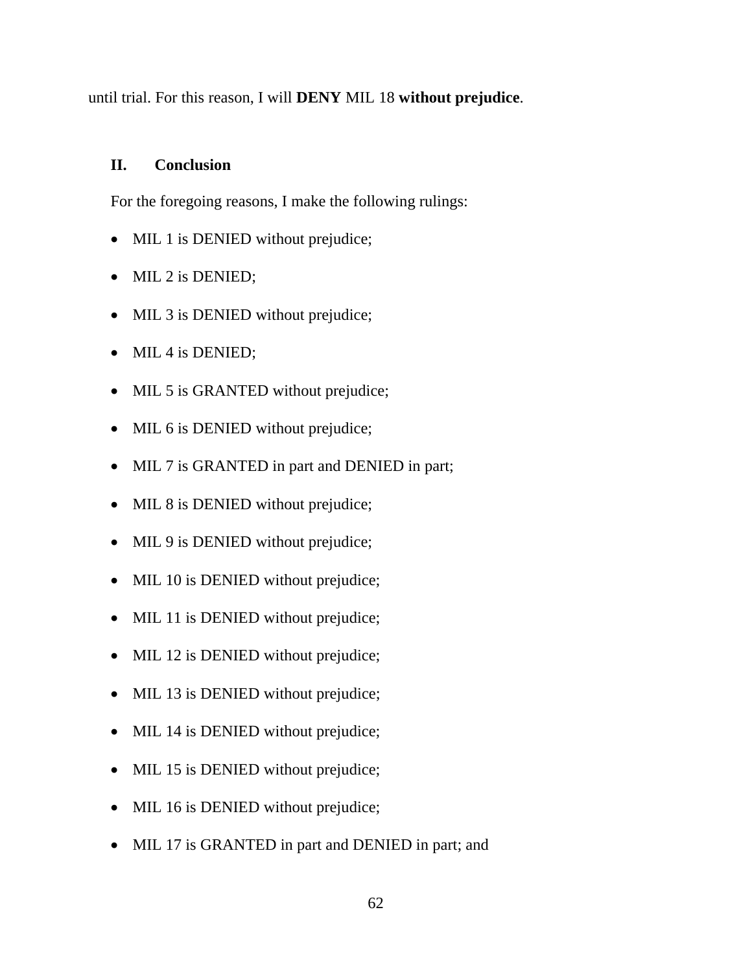until trial. For this reason, I will **DENY** MIL 18 **without prejudice**.

### **II. Conclusion**

For the foregoing reasons, I make the following rulings:

- MIL 1 is DENIED without prejudice;
- MIL 2 is DENIED;
- MIL 3 is DENIED without prejudice;
- MIL 4 is DENIED;
- MIL 5 is GRANTED without prejudice;
- MIL 6 is DENIED without prejudice;
- MIL 7 is GRANTED in part and DENIED in part;
- MIL 8 is DENIED without prejudice;
- MIL 9 is DENIED without prejudice;
- MIL 10 is DENIED without prejudice;
- MIL 11 is DENIED without prejudice;
- MIL 12 is DENIED without prejudice;
- MIL 13 is DENIED without prejudice;
- MIL 14 is DENIED without prejudice;
- MIL 15 is DENIED without prejudice;
- MIL 16 is DENIED without prejudice;
- MIL 17 is GRANTED in part and DENIED in part; and